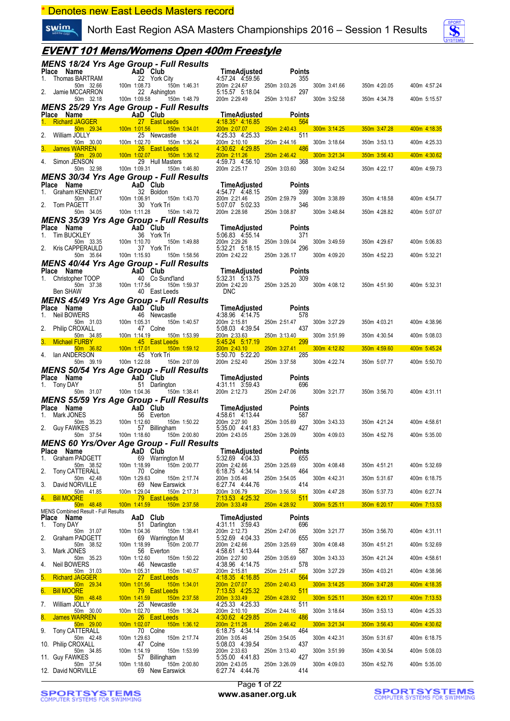\* Denotes new East Leeds Masters record

swim. North East Region ASA Masters Championships 2016 – Session 1 Results



### **EVENT 101 Mens/Womens Open 400m Freestyle**

|    |                                                                                                                                                              | MENS 18/24 Yrs Age Group - Full Results                                                                                                                                                                                                                                          |                                                                                                                                                                                                                                                              |                                                                                                                                                |                              |              |                              |
|----|--------------------------------------------------------------------------------------------------------------------------------------------------------------|----------------------------------------------------------------------------------------------------------------------------------------------------------------------------------------------------------------------------------------------------------------------------------|--------------------------------------------------------------------------------------------------------------------------------------------------------------------------------------------------------------------------------------------------------------|------------------------------------------------------------------------------------------------------------------------------------------------|------------------------------|--------------|------------------------------|
|    | <b>Place Name AaD Club</b><br>1. Thomas BARTRAM 22 York City<br>50m 32.66 100m 1:08.73 150m<br>2. Jamie MCCARRON 22 Ashington<br>50m 32.18 100m 1:09.58 150m | <b>lub</b><br>ork City<br>150m 1:46.31<br>shington<br>150m 1:48.79                                                                                                                                                                                                               | <b>TimeAdjusted</b><br>4:57.24   4:59.56                                                                                                                                                                                                                     | <b>Points</b><br>355                                                                                                                           |                              |              |                              |
|    |                                                                                                                                                              |                                                                                                                                                                                                                                                                                  | 200m 2:24.67 250m 3:03.26                                                                                                                                                                                                                                    | 297                                                                                                                                            | 300m 3:41.66                 | 350m 4:20.05 | 400m 4:57.24                 |
|    |                                                                                                                                                              |                                                                                                                                                                                                                                                                                  | 200m 2:29.49 250m 3:10.67                                                                                                                                                                                                                                    |                                                                                                                                                | 300m 3:52.58                 | 350m 4:34.78 | 400m 5:15.57                 |
|    |                                                                                                                                                              | <b>MENS 25/29 Yrs Age Group - Full Results</b>                                                                                                                                                                                                                                   |                                                                                                                                                                                                                                                              |                                                                                                                                                |                              |              |                              |
|    |                                                                                                                                                              |                                                                                                                                                                                                                                                                                  | <b>TimeAdiusted</b>                                                                                                                                                                                                                                          | <b>Points</b><br>564                                                                                                                           |                              |              |                              |
|    |                                                                                                                                                              |                                                                                                                                                                                                                                                                                  |                                                                                                                                                                                                                                                              | 250m 2:40.43<br>511                                                                                                                            | $300m$ $3:14.25$             | 350m 3:47.28 | 400m 4:18.35                 |
|    |                                                                                                                                                              |                                                                                                                                                                                                                                                                                  |                                                                                                                                                                                                                                                              | 250m 2:44.16                                                                                                                                   | 300m 3:18.64                 | 350m 3:53.13 | 400m 4:25.33                 |
|    |                                                                                                                                                              | <b>Piace Name 1.98.25 775 Age Group - Furn Results<br/> 1. Richard JAGGER<br/> 1. Richard JAGGER<br/> 1. Richard JAGGER<br/> 1. Simon 29.34<br/> 2000 100m 1:01.56<br/> 2. William JOLLY<br/> 2. William JOLLY<br/> 2. Simon 20.00<br/> 100m 1:02.70<br/> 2. Reveastle<br/> </b> |                                                                                                                                                                                                                                                              | 486<br>$\mathcal{L}(\mathcal{L})$ and $\mathcal{L}(\mathcal{L})$ and $\mathcal{L}(\mathcal{L})$ and $\mathcal{L}(\mathcal{L})$<br>250m 2:46.42 | 300m 3:21.34                 | 350m 3:56.43 | 400m 4:30.62                 |
|    |                                                                                                                                                              |                                                                                                                                                                                                                                                                                  | 4:59.73 4:56.10                                                                                                                                                                                                                                              | 368                                                                                                                                            |                              |              |                              |
|    |                                                                                                                                                              |                                                                                                                                                                                                                                                                                  | 200m 2:25.17 250m 3:03.60                                                                                                                                                                                                                                    |                                                                                                                                                | 300m 3:42.54                 | 350m 4:22.17 | 400m 4:59.73                 |
|    |                                                                                                                                                              |                                                                                                                                                                                                                                                                                  | <b>TimeAdjusted</b><br>4:54.77   4:48.15                                                                                                                                                                                                                     | <b>Points</b>                                                                                                                                  |                              |              |                              |
|    |                                                                                                                                                              |                                                                                                                                                                                                                                                                                  |                                                                                                                                                                                                                                                              | 399                                                                                                                                            | 300m 3:38.89                 | 350m 4:18.58 | 400m 4:54.77                 |
|    | 50m 34.05                                                                                                                                                    | <b>MENS 30/34 Yrs Age of Outpet Control Place Name AaD Club</b><br>1. Graham KENNEDY 32 Boldon<br>1. Graham KENNEDY 30 Norm 300<br>2 Tom PAGETT 30 York Tri 30 Tom 1:49.72<br>2 100m 1:41.28 150m 1:49.72<br>100m 1:11.28<br>150m 1:49.72                                        | 200m 2:21.46 250m 2:59.79<br>5:07.07 5:02.33 346<br>200m 2:28.98 250m 3:08.87                                                                                                                                                                                |                                                                                                                                                | 300m 3:48.84                 | 350m 4:28.82 | 400m 5:07.07                 |
|    |                                                                                                                                                              | <b>MENS 35/39 Yrs Age Group - Full Results</b>                                                                                                                                                                                                                                   |                                                                                                                                                                                                                                                              |                                                                                                                                                |                              |              |                              |
|    | Place Name                                                                                                                                                   | 113 Apr Club<br>CKLEY 36 York Tri<br>50m 33.35 100m 1:10.70 150m 1:49.88<br>PPERAULD 37 York Tri<br>50m 35.64 100m 1:15.93 150m 1:58.56                                                                                                                                          | TimeAdjusted<br>5:06.83 4:55.14<br>:49.88 200m 2:29.26<br>5:32.21 5:19.45<br>$\frac{5:32.21}{5:32.21}$                                                                                                                                                       | Points                                                                                                                                         |                              |              |                              |
|    | 1. Tim BUCKLEY                                                                                                                                               |                                                                                                                                                                                                                                                                                  | 200m 2:29.26 250m 3:09.04<br>5:32.21 5:18.15 296                                                                                                                                                                                                             | 371                                                                                                                                            | 300m 3:49.59                 | 350m 4:29.67 | 400m 5:06.83                 |
|    | 2. Kris CAPPERAULD                                                                                                                                           |                                                                                                                                                                                                                                                                                  | 200m 2:42.22 250m 3:26.17                                                                                                                                                                                                                                    | 296                                                                                                                                            | 300m 4:09.20                 | 350m 4:52.23 | 400m 5:32.21                 |
|    |                                                                                                                                                              | MENS 40/44 Yrs Age Group - Full Results                                                                                                                                                                                                                                          |                                                                                                                                                                                                                                                              |                                                                                                                                                |                              |              |                              |
|    |                                                                                                                                                              | Place Name<br>1. Christopher TOOP<br>100m 1:17.56 150m 1:59.37<br>Ben SHAW<br>100m 1:17.56 150m 1:59.37<br>Ben SHAW<br>100m 1:17.56 150m 1:59.37                                                                                                                                 | <b>TimeAdjusted</b><br>5.32.31 5.13.75 309                                                                                                                                                                                                                   | <b>Points</b>                                                                                                                                  |                              |              |                              |
|    |                                                                                                                                                              |                                                                                                                                                                                                                                                                                  | 200m 2:42.20 250m 3:25.20 300m 4:08.12                                                                                                                                                                                                                       |                                                                                                                                                |                              | 350m 4:51.90 | 400m 5:32.31                 |
|    | Ben SHAW                                                                                                                                                     | 40 East Leeds                                                                                                                                                                                                                                                                    | <b>DNC</b>                                                                                                                                                                                                                                                   |                                                                                                                                                |                              |              |                              |
|    |                                                                                                                                                              | MENS 45/49 Yrs Age Group - Full Results                                                                                                                                                                                                                                          |                                                                                                                                                                                                                                                              | Points                                                                                                                                         |                              |              |                              |
|    |                                                                                                                                                              | <b>Price Name 1:</b> Neil Bow<br>Place Name 1. Neil Bow<br>1. Neil Bow<br>1. Neil Bow<br>50m 31.03<br>2. Philip CROXALL<br>50m 31.03<br>2. Philip CROXALL<br>50m 31.03<br>3. Michael FURBY<br>50m 38.82<br>100m 1:17.01<br>150m<br>161 14.19<br>16 150m<br>16 150                | 117 Nessunts<br>TimeAdjusted<br>150m 1:40.57<br>150m 1:53.99<br>160m 1:53.99<br>200m 2:15.81<br>160m 1:53.99<br>200m 2:33.63<br>200m 2:33.63<br>200m 2:33.63<br>200m 2:33.63<br>200m 2:33.63<br>200m 2:33.63<br>200m 2:33.63<br>200m 2:33.63<br>200m 2:33.63 | 578                                                                                                                                            |                              |              |                              |
|    |                                                                                                                                                              |                                                                                                                                                                                                                                                                                  |                                                                                                                                                                                                                                                              | 250m 2:51.47<br>437                                                                                                                            | 300m 3:27.29                 | 350m 4:03.21 | 400m 4:38.96                 |
|    |                                                                                                                                                              |                                                                                                                                                                                                                                                                                  | $5.45.24$ 5:17.19                                                                                                                                                                                                                                            | 250m 3:13.40<br>299                                                                                                                            | 300m 3:51.99                 | 350m 4:30.54 | 400m 5:08.03                 |
|    |                                                                                                                                                              | $150m$ 1:59.12                                                                                                                                                                                                                                                                   | 200m 2:43.10 250m 3:27.41                                                                                                                                                                                                                                    |                                                                                                                                                | 300m 4:12.82                 | 350m 4:59.60 | 400m 5:45.24                 |
|    |                                                                                                                                                              | 150m 2:07.09                                                                                                                                                                                                                                                                     | 5:50.70 5:22.20<br>200m 2:52.40                                                                                                                                                                                                                              | 285                                                                                                                                            | 300m 4:22.74                 | 350m 5:07.77 | 400m 5:50.70                 |
|    |                                                                                                                                                              |                                                                                                                                                                                                                                                                                  |                                                                                                                                                                                                                                                              | 250m 3:37.58                                                                                                                                   |                              |              |                              |
|    |                                                                                                                                                              | MENS 50/54 Yrs Age Group - Full Results                                                                                                                                                                                                                                          |                                                                                                                                                                                                                                                              |                                                                                                                                                |                              |              |                              |
|    | Place Name                                                                                                                                                   |                                                                                                                                                                                                                                                                                  | $\lim_{4 \cdot 34}$ $\lim_{4 \cdot 34}$ $\lim_{3 \cdot 50}$ $\lim_{43}$                                                                                                                                                                                      | <b>Points</b>                                                                                                                                  |                              |              |                              |
|    | 1. Tony DAY                                                                                                                                                  | <b>And Club</b><br>Ay 51 Darlington<br>50m 31.07 100m 1:04.36 150m 1:38.41                                                                                                                                                                                                       | 4:31.11 3:59.43<br>200m 2:12.73 250m 2:47.06                                                                                                                                                                                                                 | 696                                                                                                                                            | 300m 3:21.77                 | 350m 3:56.70 | 400m 4:31.11                 |
|    |                                                                                                                                                              | <b>MENS 55/59 Yrs Age Group - Full Results</b>                                                                                                                                                                                                                                   |                                                                                                                                                                                                                                                              |                                                                                                                                                |                              |              |                              |
|    | Place Name<br>1. Mark JONES                                                                                                                                  |                                                                                                                                                                                                                                                                                  |                                                                                                                                                                                                                                                              | <b>Points</b><br>587                                                                                                                           |                              |              |                              |
|    | 2. Guy FAWKES                                                                                                                                                |                                                                                                                                                                                                                                                                                  |                                                                                                                                                                                                                                                              | 250m 3:05.69<br>427                                                                                                                            | 300m 3:43.33                 | 350m 4:21.24 | 400m 4:58.61                 |
|    |                                                                                                                                                              | me AaD Club<br>NMES 56 Everton<br>50 35.23 100m 1:12.60 15<br>WKES 57 Billinghai<br>50m 37.54 100m 1:18.60 15<br>57 Billingham<br>150m 2:00.80                                                                                                                                   | TimeAdjusted<br>m<br>150m 1:50.22<br>150m 1:50.22<br>200m 2:27.90<br>5:35.00 4:41.83<br>160m 2:00.80<br>160m 2:00.80<br>200m 2:43.05 250m 3:26.09                                                                                                            |                                                                                                                                                | 300m 4:09.03                 | 350m 4:52.76 | 400m 5:35.00                 |
|    |                                                                                                                                                              | MENS 60 Yrs/Over Age Group - Full Results                                                                                                                                                                                                                                        |                                                                                                                                                                                                                                                              |                                                                                                                                                |                              |              |                              |
| 1. | Place Name<br>Graham PADGETT                                                                                                                                 | AaD Club<br>69 Warrington M                                                                                                                                                                                                                                                      | <b>TimeAdjusted</b><br>5:32.69 4:04.33                                                                                                                                                                                                                       | <b>Points</b><br>655                                                                                                                           |                              |              |                              |
| 2. | 50m 38.52<br>Tony CATTERALL                                                                                                                                  | 100m 1:18.99<br>150m 2:00.77<br>70 Colne                                                                                                                                                                                                                                         | 200m 2:42.66<br>6:18.75 4:34.14                                                                                                                                                                                                                              | 250m 3:25.69<br>464                                                                                                                            | 300m 4:08.48                 | 350m 4:51.21 | 400m 5:32.69                 |
|    | 50m 42.48                                                                                                                                                    | 100m 1:29.63<br>150m 2:17.74                                                                                                                                                                                                                                                     | 200m 3:05.46                                                                                                                                                                                                                                                 | 250m 3:54.05                                                                                                                                   | 300m 4:42.31                 | 350m 5:31.67 | 400m 6:18.75                 |
| 3. | David NORVILLE<br>50m 41.85                                                                                                                                  | 69 New Earswick<br>100m 1:29.04<br><u>150m 2:17.31</u>                                                                                                                                                                                                                           | 6:27.74 4:44.76<br>200m 3:06.79                                                                                                                                                                                                                              | 414<br>250m 3:56.58                                                                                                                            | 300m 4:47.28                 | 350m 5:37.73 | 400m 6:27.74                 |
| 4. | <b>Bill MOORE</b><br>50m 48.48                                                                                                                               | 79 East Leeds<br>100m 1:41.59<br>150m 2:37.58                                                                                                                                                                                                                                    | 7:13.53 4:25.32<br>200m 3:33.49                                                                                                                                                                                                                              | 511<br>250m 4:28.92                                                                                                                            | 300m 5:25.11                 | 350m 6:20.17 | 400m 7:13.53                 |
|    | MENS Combined Result - Full Results                                                                                                                          |                                                                                                                                                                                                                                                                                  |                                                                                                                                                                                                                                                              |                                                                                                                                                |                              |              |                              |
| 1. | Place Name<br><b>Tony DAY</b>                                                                                                                                | AaD Club<br>51 Darlington                                                                                                                                                                                                                                                        | <b>TimeAdjusted</b><br>4:31.11 3:59.43                                                                                                                                                                                                                       | <b>Points</b><br>696                                                                                                                           |                              |              |                              |
|    | 50m 31.07                                                                                                                                                    | 100m 1:04.36<br>150m 1:38.41                                                                                                                                                                                                                                                     | 200m 2:12.73                                                                                                                                                                                                                                                 | 250m 2:47.06<br>655                                                                                                                            | 300m 3:21.77                 | 350m 3:56.70 | 400m 4:31.11                 |
| 2. | Graham PADGETT<br>50m 38.52                                                                                                                                  | 69 Warrington M<br>150m 2:00.77<br>100m 1:18.99                                                                                                                                                                                                                                  | 5:32.69 4:04.33<br>200m 2:42.66                                                                                                                                                                                                                              | 250m 3:25.69                                                                                                                                   | 300m 4:08.48                 | 350m 4:51.21 | 400m 5:32.69                 |
| 3. | Mark JONES<br>50m 35.23                                                                                                                                      | 56 Everton<br>100m 1:12.60<br>150m 1:50.22                                                                                                                                                                                                                                       | 4:58.61 4:13.44<br>200m 2:27.90                                                                                                                                                                                                                              | 587<br>250m 3:05.69                                                                                                                            | 300m 3:43.33                 | 350m 4:21.24 | 400m 4:58.61                 |
| 4. | Neil BOWERS<br>50m 31.03                                                                                                                                     | 46 Newcastle<br>100m 1:05.31<br>150m 1:40.57                                                                                                                                                                                                                                     | 4:38.96 4:14.75<br>200m 2:15.81                                                                                                                                                                                                                              | 578<br>250m 2:51.47                                                                                                                            | 300m 3:27.29                 | 350m 4:03.21 | 400m 4:38.96                 |
| 5. | <b>Richard JAGGER</b>                                                                                                                                        | 27 East Leeds                                                                                                                                                                                                                                                                    | 4:18.35 4:16.85                                                                                                                                                                                                                                              | 564                                                                                                                                            |                              |              |                              |
| 6. | 50m 29.34<br><b>Bill MOORE</b>                                                                                                                               | 100m 1:01.56<br>150m 1:34.01<br>79 East Leeds                                                                                                                                                                                                                                    | 200m 2:07.07<br>7.13.53 4.25.32                                                                                                                                                                                                                              | 250m 2:40.43<br>511                                                                                                                            | 300m 3:14.25                 | 350m 3:47.28 | 400m 4:18.35                 |
|    | 50m 48.48                                                                                                                                                    | 100m 1:41.59<br>150m 2:37.58                                                                                                                                                                                                                                                     | 200m 3:33.49                                                                                                                                                                                                                                                 | 250m 4:28.92                                                                                                                                   | 300m 5:25.11                 | 350m 6:20.17 | 400m 7:13.53                 |
| 7. | William JOLLY<br>50m 30.00                                                                                                                                   | 25 Newcastle<br>100m 1:02.70<br>150m 1:36.24                                                                                                                                                                                                                                     | 4:25.33 4:25.33<br>200m 2:10.10                                                                                                                                                                                                                              | 511<br>250m 2:44.16                                                                                                                            | 300m 3:18.64                 | 350m 3:53.13 | 400m 4:25.33                 |
| 8. | <b>James WARREN</b><br>50m 29.00                                                                                                                             | 26 East Leeds<br>100m 1:02.07<br>150m 1:36.12                                                                                                                                                                                                                                    | 4:30.62 4:29.85<br>200m 2:11.26                                                                                                                                                                                                                              | 486<br>250m 2:46.42                                                                                                                            | 300m 3:21.34                 | 350m 3:56.43 | 400m 4:30.62                 |
| 9. | Tony CATTERALL                                                                                                                                               | 70 Colne                                                                                                                                                                                                                                                                         | 6:18.75 4:34.14                                                                                                                                                                                                                                              | 464                                                                                                                                            |                              |              |                              |
|    | 50m 42.48<br>10. Philip CROXALL                                                                                                                              | 100m 1:29.63<br>150m 2:17.74<br>47 Colne                                                                                                                                                                                                                                         | 200m 3:05.46<br>5:08.03 4:39.54                                                                                                                                                                                                                              | 250m 3:54.05<br>437                                                                                                                            | 300m 4:42.31                 | 350m 5:31.67 | 400m 6:18.75                 |
|    | 50m 34.85<br>11. Guy FAWKES                                                                                                                                  | 100m 1:14.19<br>150m 1:53.99<br>57 Billingham<br>150m 2:00.80                                                                                                                                                                                                                    | 200m 2:33.63<br>5:35.00 4:41.83<br>200m 2:43.05                                                                                                                                                                                                              | 250m 3:13.40<br>427<br>250m 3:26.09                                                                                                            | 300m 3:51.99<br>300m 4:09.03 | 350m 4:30.54 | 400m 5:08.03<br>400m 5:35.00 |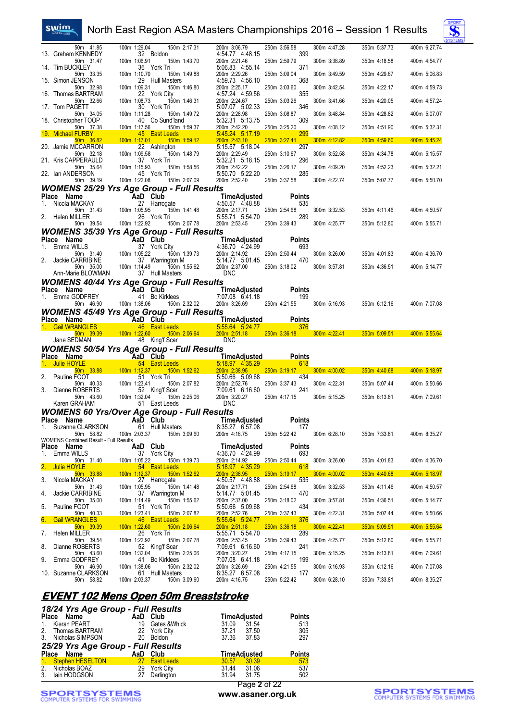#### North East Region ASA Masters Championships 2016 – Session 1 Results



| 50m 41.85                                      | 100m 1:29.04<br>150m 2:17.31                                                                                                                                                                                      | 200m 3:06.79                                                                                          | 250m 3:56.58                           | 300m 4:47.28                 | 350m 5:37.73                 | 400m 6:27.74                 |
|------------------------------------------------|-------------------------------------------------------------------------------------------------------------------------------------------------------------------------------------------------------------------|-------------------------------------------------------------------------------------------------------|----------------------------------------|------------------------------|------------------------------|------------------------------|
| 13. Graham KENNEDY<br>50m 31.47                | 32 Boldon<br>100m 1:06.91<br>150m 1:43.70                                                                                                                                                                         | 4:54.77 4:48.15<br>200m 2:21.46                                                                       | 399<br>250m 2:59.79                    | 300m 3:38.89                 | 350m 4:18.58                 | 400m 4:54.77                 |
| 14. Tim BUCKLEY<br>50m 33.35                   | 36 York Tri<br>100m 1:10.70<br>150m 1:49.88                                                                                                                                                                       | 5:06.83 4:55.14<br>200m 2:29.26                                                                       | 371<br>250m 3:09.04                    | 300m 3:49.59                 | 350m 4:29.67                 | 400m 5:06.83                 |
| 15. Simon JENSON<br>50m 32.98                  | 29 Hull Masters<br>150m 1:46.80<br>100m 1:09.31                                                                                                                                                                   | 4:59.73 4:56.10<br>200m 2:25.17                                                                       | 368<br>250m 3:03.60                    | 300m 3:42.54                 | 350m 4:22.17                 | 400m 4:59.73                 |
| 16. Thomas BARTRAM                             | 22 York City                                                                                                                                                                                                      | 4:57.24 4:59.56                                                                                       | 355                                    |                              |                              |                              |
| 50m 32.66<br>17. Tom PAGETT                    | 100m 1:08.73<br>150m 1:46.31<br>30 York Tri                                                                                                                                                                       | 200m 2:24.67<br>5:07.07 5:02.33                                                                       | 250m 3:03.26<br>346                    | 300m 3:41.66                 | 350m 4:20.05                 | 400m 4:57.24                 |
| 50m 34.05<br>18. Christopher TOOP              | 100m 1:11.28<br>150m 1:49.72<br>40 Co Sund'land                                                                                                                                                                   | 200m 2:28.98<br>5:32.31 5:13.75                                                                       | 250m 3:08.87<br>309                    | 300m 3:48.84                 | 350m 4:28.82                 | 400m 5:07.07                 |
| 50m 37.38<br>19. Michael FURBY                 | 100m 1:17.56<br>150m 1:59.37<br>45 East Leeds<br>and the state of the state of the state of the state of the state of the state of the state of the state of th                                                   | 200m 2:42.20<br>5:45.24 5:17.19                                                                       | 250m 3:25.20<br>299                    | 300m 4:08.12                 | 350m 4:51.90                 | 400m 5:32.31                 |
| 50m 36.82<br>20. Jamie MCCARRON                | 100m 1:17.01<br>150m 1:59.12                                                                                                                                                                                      | 200m 2:43.10<br>5:15.57 5:18.04                                                                       | 250m 3:27.41<br>297                    | 300m 4:12.82                 | 350m 4:59.60                 | 400m 5:45.24                 |
| 50m 32.18                                      | 22 Ashington<br>100m 1:09.58<br>150m 1:48.79                                                                                                                                                                      | 200m 2:29.49                                                                                          | 250m 3:10.67                           | 300m 3:52.58                 | 350m 4:34.78                 | 400m 5:15.57                 |
| 21. Kris CAPPERAULD<br>50m 35.64               | 37 York Tri<br>100m 1:15.93<br>150m 1:58.56                                                                                                                                                                       | 5:32.21 5:18.15<br>200m 2:42.22                                                                       | 296<br>250m 3:26.17                    | 300m 4:09.20                 | 350m 4:52.23                 | 400m 5:32.21                 |
| 22. Ian ANDERSON<br>50m 39.19                  | 45 York Tri<br>100m 1:22.08<br>150m 2:07.09                                                                                                                                                                       | 5:50.70 5:22.20<br>200m 2:52.40                                                                       | 285<br>250m 3:37.58                    | 300m 4:22.74                 | 350m 5:07.77                 | 400m 5:50.70                 |
|                                                | <b>WOMENS 25/29 Yrs Age Group - Full Results</b>                                                                                                                                                                  |                                                                                                       |                                        |                              |                              |                              |
| Place Name                                     | <b>Example 2018</b> AaD Club                                                                                                                                                                                      | TimeAdjusted                                                                                          | <b>Points</b>                          |                              |                              |                              |
| Nicola MACKAY<br>50m 31.43                     | <b>AaD Grup</b><br>27 Harrogate<br>28 105 105 150m 1:41.48                                                                                                                                                        | 4:50.57 4:48.88<br>200m 2:17.71                                                                       | 535<br>250m 2:54.68                    | 300m 3:32.53                 | 350m 4:11.46                 | 400m 4:50.57                 |
| 2. Helen MILLER                                | 26 York Tri                                                                                                                                                                                                       | 5:55.71 5:54.70                                                                                       | 289                                    |                              |                              |                              |
| 50m 39.54                                      | 150m 2:07.78<br>100m 1:22.92                                                                                                                                                                                      | 200m 2:53.45                                                                                          | 250m 3:39.43                           | 300m 4:25.77                 | 350m 5:12.80                 | 400m 5:55.71                 |
| Place Name                                     | <b>WOMENS 35/39 Yrs Age Group - Full Results</b>                                                                                                                                                                  |                                                                                                       | <b>Points</b>                          |                              |                              |                              |
| 1. Emma WILLS                                  |                                                                                                                                                                                                                   |                                                                                                       | 693                                    |                              |                              |                              |
| 50m 31.40<br>2. Jackie CARRIBINE               | Man Club<br>37 York City<br>31.40 100m 1:05.22 150m 1:39.73 200m 2:14.92<br>31.40 100m 1:05.22 150m 1:39.73 200m 2:14.92 150m<br>37 Warrington M 5:14.77 5:01.45<br>35.00 1:00m 1:14.49 150m 1:55.62 200m 2:37.00 |                                                                                                       | 250m 2:50.44<br>470                    | 300m 3:26.00                 | 350m 4:01.83                 | 400m 4:36.70                 |
| 50m 35.00<br>Ann-Marie BLOWMAN                 | 150m 1:55.62<br>37 Hull Masters                                                                                                                                                                                   | <b>DNC</b>                                                                                            | 250m 3:18.02                           | 300m 3:57.81                 | 350m 4:36.51                 | 400m 5:14.77                 |
|                                                | <b>WOMENS 40/44 Yrs Age Group - Full Results</b>                                                                                                                                                                  |                                                                                                       |                                        |                              |                              |                              |
| Place Name                                     |                                                                                                                                                                                                                   |                                                                                                       |                                        |                              |                              |                              |
| 1. Emma GODFREY                                | <b>AaD Club</b><br>REY 41 Bo Kirklees                                                                                                                                                                             | <b>TimeAdjusted</b> Points<br>7:07.08 6:41.18 199                                                     |                                        |                              |                              |                              |
| 50m 46.90                                      | 100m 1:38.06  150m 2:32.02                                                                                                                                                                                        |                                                                                                       | 200m 3:26.69 250m 4:21.55 300m 5:16.93 |                              |                              | 350m 6:12.16 400m 7:07.08    |
|                                                |                                                                                                                                                                                                                   |                                                                                                       |                                        |                              |                              |                              |
| Place Name                                     | <b>WOMENS 45/49 Yrs Age Group - Full Results</b><br><b>AaD</b> Club                                                                                                                                               |                                                                                                       | Points                                 |                              |                              |                              |
| 1. Gail WRANGLES                               | 46 East Leeds   5:55.64 5.24.77   376                                                                                                                                                                             | <b>TimeAdjusted</b>                                                                                   |                                        |                              |                              |                              |
| 50m 39.39<br>Jane SEDMAN                       | 100m 1:22.60<br>48 King'f Scar                                                                                                                                                                                    | 150m 2:06.64   200m 2:51.18   250m 3:36.18   300m 4:22.41   350m 5:09.51   400m 5:55.64<br><b>DNC</b> |                                        |                              |                              |                              |
|                                                | <b>WOMENS 50/54 Yrs Age Group - Full Results</b>                                                                                                                                                                  |                                                                                                       |                                        |                              |                              |                              |
|                                                |                                                                                                                                                                                                                   | <b>TimeAdjusted</b>                                                                                   | <b>Points</b>                          |                              |                              |                              |
| 1. Julie HOYLE<br>50m 33.88                    | 54 East Leeds<br>100m 1:12.37   150m 1:52.62                                                                                                                                                                      | 5:18.97 4:35.29<br>200m 2:38.95                                                                       | 618<br>$250m$ 3:19.17                  | 300m 4:00.02                 | 350m 4:40.68                 | 400m 5:18.97                 |
| 2.<br>Pauline FOOT<br>50m 40.33                | 51 York Tri<br>150m 2:07.82                                                                                                                                                                                       | 5:50.66 5:09.68                                                                                       | 434                                    | 300m 4:22.31                 | 350m 5:07.44                 | 400m 5:50.66                 |
| 3. Dianne ROBERTS                              | 100 <sub>m</sub><br>100m 1:23.41<br>52 King't Scar                                                                                                                                                                | 200m 2:52.76<br>7:09.61 6:16.60                                                                       | 250m 3:37.43<br>241                    |                              |                              |                              |
| 50m 43.60<br>Karen GRAHAM                      | 100m 1:32.04<br>150m 2:25.06<br>51 East Leeds                                                                                                                                                                     | 200m 3:20.27<br><b>DNC</b>                                                                            | 250m 4:17.15                           | 300m 5:15.25                 | 350m 6:13.81                 | 400m 7:09.61                 |
|                                                | <b>WOMENS 60 Yrs/Over Age Group - Full Results</b>                                                                                                                                                                |                                                                                                       |                                        |                              |                              |                              |
| Place Name                                     | AaD Club TimeAdjusted                                                                                                                                                                                             |                                                                                                       | <b>Points</b>                          |                              |                              |                              |
| 1. Suzanne CLARKSON<br>50m 58.82               | 61 Hull Masters<br>100m 2:03.37<br>150m 3:09.60                                                                                                                                                                   | 8:35.27 6:57.08<br>200m 4:16.75                                                                       | 177<br>250m 5:22.42                    | 300m 6:28.10                 | 350m 7:33.81                 | 400m 8:35.27                 |
| <b>WOMENS Combined Result - Full Results</b>   |                                                                                                                                                                                                                   |                                                                                                       |                                        |                              |                              |                              |
| Place Name<br>Emma WILLS<br>1.                 | AaD Club<br>37 York City                                                                                                                                                                                          | TimeAdjusted<br>4:36.70 4:24.99                                                                       | <b>Points</b><br>693                   |                              |                              |                              |
| 50m 31.40                                      | 100m 1:05.22<br>150m 1:39.73                                                                                                                                                                                      | 200m 2:14.92                                                                                          | 250m 2:50.44                           | 300m 3:26.00                 | 350m 4:01.83                 | 400m 4:36.70                 |
| 2.<br>Julie HOYLE<br>50m 33.88                 | 54 East Leeds<br>100m 1:12.37<br>150m 1:52.62                                                                                                                                                                     | 5.18.97 4.35.29<br>200m 2:38.95                                                                       | 618<br>250m 3:19.17                    | 300m 4:00.02                 | 350m 4:40.68                 | 400m 5:18.97                 |
| 3.<br>Nicola MACKAY<br>50m 31.43               | 27 Harrogate<br>100m 1:05.95<br>150m 1:41.48                                                                                                                                                                      | 4:50.57 4:48.88<br>200m 2:17.71                                                                       | 535<br>250m 2:54.68                    | 300m 3:32.53                 | 350m 4:11.46                 | 400m 4:50.57                 |
| Jackie CARRIBINE<br>4.                         | 37 Warrington M<br>150m 1:55.62                                                                                                                                                                                   | 5:14.77 5:01.45                                                                                       | 470                                    |                              |                              |                              |
| 50m 35.00<br>Pauline FOOT<br>5.                | 100m 1:14.49<br>51 York Tri                                                                                                                                                                                       | 200m 2:37.00<br>5:50.66 5:09.68                                                                       | 250m 3:18.02<br>434                    | 300m 3:57.81                 | 350m 4:36.51                 | 400m 5:14.77                 |
| 50m 40.33<br>6.<br><b>Gail WRANGLES</b>        | 100m 1:23.41<br>150m 2:07.82<br>46 East Leeds                                                                                                                                                                     | 200m 2:52.76<br>5:55.64 5:24.77                                                                       | 250m 3:37.43<br>376                    | 300m 4:22.31                 | 350m 5:07.44                 | 400m 5:50.66                 |
| 50m 39.39<br>Helen MILLER                      | 100m 1:22.60<br>150m 2:06.64                                                                                                                                                                                      | 200m 2:51.18                                                                                          | 250m 3:36.18<br>289                    | 300m 4:22.41                 | 350m 5:09.51                 | 400m 5:55.64                 |
| 7.<br>50m 39.54                                | 26 York Tri<br>100m 1:22.92<br>150m 2:07.78                                                                                                                                                                       | 5:55.71 5:54.70<br>200m 2:53.45                                                                       | 250m 3:39.43                           | 300m 4:25.77                 | 350m 5:12.80                 | 400m 5:55.71                 |
| Dianne ROBERTS<br>8.<br>50m 43.60              | 52 King'f Scar<br>100m 1:32.04<br>150m 2:25.06                                                                                                                                                                    | 7:09.61 6:16.60<br>200m 3:20.27                                                                       | 241<br>250m 4:17.15                    | 300m 5:15.25                 | 350m 6:13.81                 | 400m 7:09.61                 |
| 9.<br>Emma GODFREY                             | 41 Bo Kirklees                                                                                                                                                                                                    | 7:07.08 6:41.18                                                                                       | 199                                    |                              |                              |                              |
| 50m 46.90<br>10. Suzanne CLARKSON<br>50m 58.82 | 100m 1:38.06<br>150m 2:32.02<br>61 Hull Masters<br>100m 2:03.37<br>150m 3:09.60                                                                                                                                   | 200m 3:26.69<br>8:35.27 6:57.08<br>200m 4:16.75                                                       | 250m 4:21.55<br>177<br>250m 5:22.42    | 300m 5:16.93<br>300m 6:28.10 | 350m 6:12.16<br>350m 7:33.81 | 400m 7:07.08<br>400m 8:35.27 |

#### **EVENT 102 Mens Open 50m Breaststroke** *18/24 Yrs Age Group - Full Results*

|                | 18/24 Trs Age Group - Full Results |                 |                   |                     |              |               |
|----------------|------------------------------------|-----------------|-------------------|---------------------|--------------|---------------|
|                | Place Name                         | AaD Club        |                   |                     | TimeAdjusted | <b>Points</b> |
| $1_{-}$        | Kieran PEART                       | 19              | Gates & Whick     | 31.09 31.54         |              | 513           |
| 2.             | Thomas BARTRAM                     |                 | 22 York City      | 37.21 37.50         |              | 305           |
| 3 <sub>1</sub> | Nicholas SIMPSON                   |                 | 20 Boldon         | 37.36 37.83         |              | 297           |
|                | 25/29 Yrs Age Group - Full Results |                 |                   |                     |              |               |
|                | Place Name                         | AaD Club        |                   | <b>TimeAdjusted</b> |              | <b>Points</b> |
|                | 1. Stephen HESELTON                | 27 <sub>1</sub> | <b>East Leeds</b> | 30.57 30.39         |              | 573           |
|                | 2. Nicholas BOAZ                   |                 | 29 York City      | 31.44 31.06         |              | 537           |
| 3.             | lain HODGSON                       |                 | Darlington        | 31.94 31.75         |              | 502           |

**SPORTSYSTEMS**<br>COMPUTER SYSTEMS FOR SWIMMING

swim.

Page **2** of 22 **www.asaner.org.uk**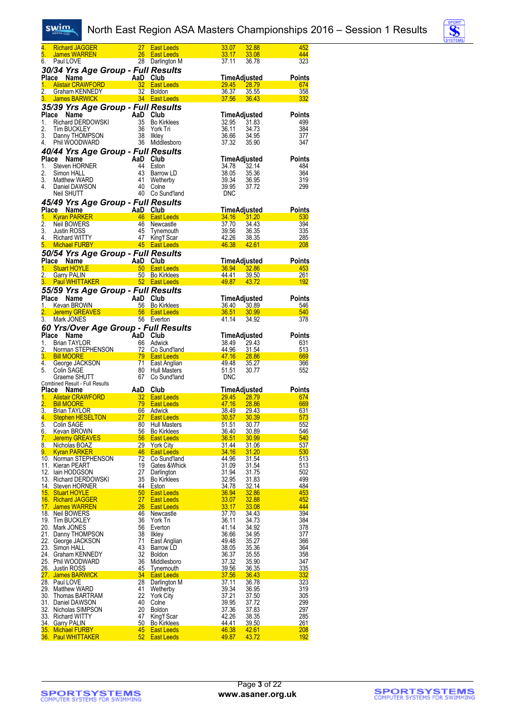#### swim.



| 4.               | <b>Richard JAGGER</b>                               | 27              | <b>East Leeds</b>                      | 33.07                 | 32.88               | 452               |
|------------------|-----------------------------------------------------|-----------------|----------------------------------------|-----------------------|---------------------|-------------------|
| 5.               | James WARREN                                        | 26              | <b>East Leeds</b>                      | <u>33.17</u>          | 33.08               | 444               |
| 6.               | Paul LOVE                                           |                 | 28 Darlington M                        | 37.11                 | 36.78               | 323               |
|                  | 30/34 Yrs Age Group - Full Results                  |                 |                                        |                       |                     |                   |
|                  |                                                     | AaD Club        |                                        |                       | TimeAdjusted        | <b>Points</b>     |
| 1.               | Place Name<br><b>Alistair CRAWFORD</b>              |                 | 32 East Leeds                          | <b>29.45</b>          | 28.79               | 674               |
| $\overline{2}$ . | Graham KENNEDY                                      | 32              | Boldon                                 | 36.37                 | <u>35.55</u>        | 358               |
| 3.               | <b>James BARWICK</b>                                |                 | 34 East Leeds                          | 37.56                 | 36.43               | 332               |
|                  |                                                     |                 |                                        |                       |                     |                   |
|                  | 35/39 Yrs Age Group - Full Results                  |                 |                                        |                       |                     |                   |
| Place            | Name                                                | AaD             | Club                                   |                       | TimeAdjusted        | Points            |
| 1.               | Richard DERDOWSKI                                   | 35              | <b>Bo Kirklees</b>                     | 32.95                 | 31.83               | 499               |
| 2.               | <b>Tim BUCKLEY</b>                                  | 36              | York Tri                               | 36.11                 | 34.73               | 384               |
| 3.<br>4.         | Danny THOMPSON<br>Phil WOODWARD                     | 38<br>36        | Ilkley<br>Middlesboro                  | 36.66<br>37.32        | 34.95               | 377<br>347        |
|                  |                                                     |                 |                                        |                       | 35.90               |                   |
|                  | 40/44 Yrs Age Group - Full Results                  |                 |                                        |                       |                     |                   |
|                  | Place<br>Name                                       | AaD Club        |                                        |                       | <b>TimeAdjusted</b> | <b>Points</b>     |
| 1.               | Steven HORNER                                       | 44              | Eston                                  | 34.78                 | 32.14               | 484               |
| 2.               | Simon HALL                                          | 43              | Barrow LD                              | 38.05                 | 35.36               | 364               |
| 3.               | Matthew WARD                                        | 41              | Wetherby                               | 39.34                 | 36.95               | 319               |
| 4.               | Daniel DAWSON                                       | 40              | Colne                                  | 39.95                 | 37.72               | 299               |
|                  | Neil SHUTT                                          |                 | 40 Co Sund'land                        | <b>DNC</b>            |                     |                   |
|                  | 45/49 Yrs Age Group - Full Results                  |                 |                                        |                       |                     |                   |
|                  | Place Name                                          | AaD             | Club                                   |                       | TimeAdjusted        | Points            |
| $1 -$            | <b>Kyran PARKER</b>                                 |                 | 46 East Leeds                          | 34.16                 | 31.20               | 530               |
| $\overline{2}$ . | Neil BOWERS                                         | 46              | Newcastle                              | 37.70                 | 34.43               | 394               |
| 3.               | Justin ROSS                                         | 45              | Tynemouth                              | 39.56                 | 36.35               | 335               |
| 4.               | <b>Richard WITTY</b>                                | 47              | King'f Scar                            | 42.26                 | <u>38.35</u>        | 285               |
| 5.               | <b>Michael FURBY</b>                                |                 | 45 East Leeds                          | <b>46.38</b>          | 42.61               | <b>208</b>        |
|                  | 50/54 Yrs Age Group - Full Results                  |                 |                                        |                       |                     |                   |
|                  | Place Name                                          | AaD             | Club                                   |                       | TimeAdjusted        | Points            |
| 1.               | <b>Stuart HOYLE</b>                                 | 50              | <b>East Leeds</b>                      | 36.94                 | 32.86               | 453               |
| 2. _             | <b>Garry PALIN</b>                                  | 50 <sub>2</sub> | <b>Bo Kirklees</b>                     | <u>44.41</u>          | 39.50               | <u>261</u>        |
| 3.               | <b>Paul WHITTAKER</b>                               |                 | 52 East Leeds                          | 49.87                 | 43.72               | 192               |
|                  | 55/59 Yrs Age Group - Full Results                  |                 |                                        |                       |                     |                   |
|                  | Place<br>Name                                       | AaD             | Club                                   |                       | TimeAdjusted        | Points            |
| 1.               | Kevan BROWN                                         |                 | 56 Bo Kirklees                         | 36.40                 | 30.89               | 546               |
| 2.               | <b>Jeremy GREAVES</b>                               |                 | 56 East Leeds                          | 36.51                 | 30.99               | 540               |
| 3.               | Mark JONES                                          | 56              | Everton                                | 41.14                 | 34.92               | 378               |
|                  |                                                     |                 |                                        |                       |                     |                   |
|                  | 60 Yrs/Over Age Group - Full Results<br><b>Name</b> | AaD Club        |                                        |                       |                     |                   |
|                  |                                                     |                 |                                        |                       | TimeAdjusted        | <b>Points</b>     |
| Place            |                                                     |                 |                                        |                       |                     |                   |
| 1.               | <b>Brian TAYLOR</b>                                 | 66              | Adwick                                 | 38.49                 | 29.43               | 631               |
| 2.               | Norman STEPHENSON                                   | <u>72</u>       | Co Sund'land                           | 44.96                 | 31.54               | 513               |
| 3.               | <b>Bill MOORE</b>                                   | 79              | <b>East Leeds</b>                      | 47.16                 | 28.86               | 669               |
| 4.               | George JACKSON                                      | 71              | East Anglian                           | 49.48                 | 35.27               | 366               |
| 5.               | Colin SAGE                                          | 80              | <b>Hull Masters</b>                    | 51.51                 | 30.77               | 552               |
|                  | Graeme SHUTT                                        | 67              | Co Sund'land                           | <b>DNC</b>            |                     |                   |
|                  | Combined Result - Full Results                      |                 |                                        |                       |                     |                   |
|                  | Place Name                                          | AaD             | Club                                   |                       | <b>TimeAdjusted</b> | <b>Points</b>     |
| 1.               | <b>Alistair CRAWFORD</b>                            | 32              | <b>East Leeds</b><br><b>East Leeds</b> | 29.45                 | 28.79               | 674               |
| 2.               | <b>Bill MOORE</b>                                   | 79              |                                        | 47.16                 | 28.86               | 669<br>631        |
| 4.               | 3. Brian TAYLOR<br><b>Stephen HESELTON</b>          | 27              | 66 Adwick<br><b>East Leeds</b>         | <u>38.49</u><br>30.57 | 29.43<br>30.39      | 573               |
| 5.               | Colin SAGE                                          | 80              | Hull Masters                           | 51.51                 | 30.77               | 552               |
| 6.               | Kevan BROWN                                         | 56              | <b>Bo Kirklees</b>                     | 36.40                 | 30.89               | 546               |
| 7.               | <b>Jeremy GREAVES</b>                               | 56              | <b>East Leeds</b>                      | 36.51                 | 30.99               | 540               |
| 8.               | Nicholas BOAZ                                       | 29              | <b>York City</b>                       | <u>31.44</u>          | <u>31.06</u>        | 537               |
| 9.               | <b>Kyran PARKER</b>                                 | 46              | <b>East Leeds</b>                      | 34.16                 | 31.20               | 530               |
|                  | 10. Norman STEPHENSON                               | 72              | Co Sund'land                           | 44.96                 | 31.54               | 513               |
|                  | 11. Kieran PEART                                    | 19              | Gates & Whick                          | 31.09                 | 31.54               | 513               |
|                  | 12. Iain HODGSON                                    | 27              | Darlington                             | 31.94                 | 31.75               | 502               |
|                  | 13. Richard DERDOWSKI                               | 35              | <b>Bo Kirklees</b>                     | 32.95                 | 31.83               | 499               |
|                  | 14. Steven HORNER                                   | 44              | Eston                                  | <u>34.78</u>          | <u>32.14</u>        | 484               |
|                  | 15. Stuart HOYLE                                    | 50              | <b>East Leeds</b>                      | 36.94                 | 32.86               | 453               |
|                  | 16. Richard JAGGER                                  | 27              | <b>East Leeds</b>                      | 33.07                 | <b>32.88</b>        | 452               |
|                  | 17. James WARREN                                    | 26              | <b>East Leeds</b>                      | 33.17                 | 33.08               | 444               |
|                  | 18. Neil BOWERS                                     | 46              | Newcastle                              | 37.70                 | 34.43               | 394               |
|                  | 19. Tim BUCKLEY                                     | 36              | York Tri                               | 36.11                 | 34.73               | 384               |
|                  | 20. Mark JONES                                      | 56              | Everton                                | 41.14                 | 34.92               | 378               |
|                  | 21. Danny THOMPSON                                  | 38              | Ilkley                                 | 36.66                 | 34.95               | 377               |
| 22.              | George JACKSON                                      | 71              | East Anglian                           | 49.48                 | 35.27               | 366               |
|                  | 23. Simon HALL                                      | 43              | Barrow LD                              | 38.05                 | 35.36               | 364               |
|                  | 24. Graham KENNEDY                                  | 32              | <b>Boldon</b>                          | 36.37                 | 35.55               | 358               |
|                  | 25. Phil WOODWARD                                   | 36              | Middlesboro                            | 37.32                 | 35.90               | 347               |
|                  | 26. Justin ROSS                                     | 45              | <b>Tynemouth</b>                       | <u>39.56</u>          | <u>36.35</u>        | 335               |
|                  | <u>27. James BARWICK</u>                            | 34              | <b>East Leeds</b>                      | 37.56                 | 36.43               | 332               |
|                  | 28. Paul LOVE<br>29. Matthew WARD                   | 28<br>41        | Darlington M                           | 37.11                 | 36.78               | 323<br>319        |
|                  | 30. Thomas BARTRAM                                  | 22              | Wetherby<br><b>York City</b>           | 39.34<br>37.21        | 36.95<br>37.50      | 305               |
|                  | 31. Daniel DAWSON                                   | 40              | Colne                                  | 39.95                 | 37.72               | 299               |
|                  | 32. Nicholas SIMPSON                                | 20              | <b>Boldon</b>                          | 37.36                 | 37.83               | 297               |
|                  | 33. Richard WITTY                                   | 47              | King'f Scar                            | 42.26                 | 38.35               | 285               |
| 34.              | <b>Garry PALIN</b>                                  | 50              | <b>Bo Kirklees</b>                     | 44.41                 | 39.50               | <u> 261</u>       |
|                  | 35. Michael FURBY<br><b>36. Paul WHITTAKER</b>      | 45<br>52        | East Leeds<br><b>East Leeds</b>        | 46.38<br>49.87        | 42.61<br>43.72      | <b>208</b><br>192 |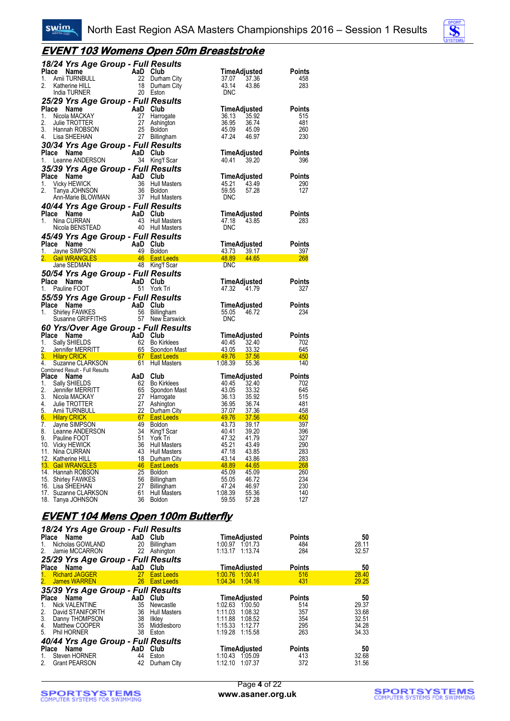

#### **EVENT 103 Womens Open 50m Breaststroke**

|              | 18/24 Yrs Age Group - Full Results                            |                 |                                            |                                     |                      |
|--------------|---------------------------------------------------------------|-----------------|--------------------------------------------|-------------------------------------|----------------------|
| Place        | Name                                                          | AaD             | Club                                       | TimeAdjusted                        | Points               |
| 1.           | Amii TURNBULL                                                 | 22              | Durham City                                | 37.36<br>37.07                      | 458                  |
| 2.           | Katherine HILL                                                |                 | 18 Durham City                             | 43.14<br>43.86                      | 283                  |
|              | <b>India TURNER</b>                                           |                 | 20 Eston                                   | <b>DNC</b>                          |                      |
|              | 25/29 Yrs Age Group - Full Results                            |                 |                                            |                                     |                      |
| Place<br>1.  | Name<br>Nicola MACKAY                                         | AaD Club<br>27  | Harrogate                                  | TimeAdjusted<br>35.92<br>36.13      | <b>Points</b><br>515 |
| 2.           | Julie TROTTER                                                 | 27              | Ashington                                  | 36.95<br>36.74                      | 481                  |
| 3.           | Hannah ROBSON                                                 | 25              | <b>Boldon</b>                              | 45.09<br>45.09                      | 260                  |
| 4.           | Lisa SHEEHAN                                                  | 27              | Billingham                                 | 47.24<br>46.97                      | 230                  |
|              | 30/34 Yrs Age Group - Full Results                            |                 |                                            |                                     |                      |
|              | Place Name                                                    | AaD Club        |                                            | TimeAdjusted                        | <b>Points</b>        |
| 1.           | Leanne ANDERSON                                               |                 | 34 King'f Scar                             | 40.41<br>39.20                      | 396                  |
|              | 35/39 Yrs Age Group - Full Results                            |                 |                                            |                                     |                      |
| <b>Place</b> | Name                                                          | AaD Club        |                                            | TimeAdjusted                        | Points               |
| 1.<br>2.     | <b>Vicky HEWICK</b><br>Tanya JOHNSON                          | 36<br>36        | <b>Hull Masters</b><br>Boldon              | 43.49<br>45.21<br>59.55<br>57.28    | 290<br>127           |
|              | Ann-Marie BLOWMAN                                             | 37              | <b>Hull Masters</b>                        | <b>DNC</b>                          |                      |
|              | 40/44 Yrs Age Group - Full Results                            |                 |                                            |                                     |                      |
| Place        | Name                                                          | AaD Club        |                                            | TimeAdjusted                        | <b>Points</b>        |
| 1.           | Nina CURRAN                                                   | 43              | Hull Masters                               | 47.18<br>43.85                      | 283                  |
|              | Nicola BENSTEAD                                               |                 | 40 Hull Masters                            | <b>DNC</b>                          |                      |
|              | 45/49 Yrs Age Group - Full Results                            |                 |                                            |                                     |                      |
|              | Place<br>Name                                                 | AaD Club        |                                            | TimeAdjusted                        | Points               |
|              | 1. Javne SIMPSON                                              | 49              | Boldon                                     | 43.73 39.17                         | <u>397</u>           |
|              | Gail WRANGLES 46 East Leeds<br>Jane SEDMAN                    |                 | 48 King'f Scar                             | 48.89<br><b>44.65</b><br><b>DNC</b> | 268                  |
|              |                                                               |                 |                                            |                                     |                      |
|              | 50/54 Yrs Age Group - Full Results                            |                 |                                            |                                     |                      |
|              |                                                               |                 |                                            |                                     |                      |
|              | Place Name                                                    | AaD Club        |                                            | TimeAdjusted                        | Points               |
| 1.           | Pauline FOOT                                                  |                 | 51 York Tri                                | 47.32<br>41.79                      | 327                  |
|              | 55/59 Yrs Age Group - Full Results                            |                 |                                            |                                     |                      |
| 1.           | Place Name<br><b>Shirley FAWKES</b>                           | AaD Club<br>56  | Billingham                                 | TimeAdjusted<br>55.05<br>46.72      | Points<br>234        |
|              | Susanne GRIFFITHS                                             | 57              | New Earswick                               | <b>DNC</b>                          |                      |
|              |                                                               |                 |                                            |                                     |                      |
|              | 60 Yrs/Over Age Group - Full Results<br>Place Name            | AaD Club        |                                            | TimeAdjusted                        | <b>Points</b>        |
| 1.           | Sally SHIELDS                                                 | 62              | <b>Bo Kirklees</b>                         | 40.45<br>32.40                      | 702                  |
| 2.           | Jennifer MERRITT                                              | 65              | Spondon Mast                               | 43.05<br>33.32                      | 645                  |
| 3.           | <b>Hilary CRICK</b>                                           | $\frac{67}{64}$ | <b>East Leeds</b>                          | 49.76<br>37.56                      | 450                  |
| 4.           | Suzanne CLARKSON<br>Combined Result - Full Results            | 61              | <b>Hull Masters</b>                        | 1:08.39<br>55.36                    | 140                  |
| <b>Place</b> | Name                                                          | AaD             | Club                                       | TimeAdjusted                        | <b>Points</b>        |
| 1.           | Sally SHIELDS                                                 | 62              | <b>Bo Kirklees</b>                         | 40.45<br>32.40                      | 702                  |
| 2.           | Jennifer MERRITT                                              | 65              | Spondon Mast                               | 43.05<br>33.32                      | 645                  |
| 3.           | Nicola MACKAY                                                 | 27<br>27        | Harrogate                                  | 36.13<br>35.92                      | 515                  |
| 4.<br>5.     | Julie TROTTER<br>Amii TURNBULL                                | 22              | Ashington<br>Durham City                   | 36.95<br>36.74<br>37.36<br>37.07    | 481<br>458           |
| 6.           | <u>67 (ماران) م</u><br><b>Hilary CRICK</b>                    |                 | <b>East Leeds East Leeds</b>               | 49.76<br>37.56                      | 450                  |
| 7.           | Jayne SIMPSON                                                 | 49              | <b>Boldon</b>                              | 43.73<br>39.17                      | 397                  |
| 8.           | Leanne ANDERSON                                               | 34              | King'f Scar                                | 40.41<br>39.20                      | 396                  |
| 9.           | Pauline FOOT                                                  | 51<br>-36       | York Tri                                   | 47.32<br>41.79<br>45.21<br>43.49    | 327<br>290           |
|              | 10. Vicky HEWICK<br>11. Nina CURRAN                           | 43              | <b>Hull Masters</b><br><b>Hull Masters</b> | 47.18<br>43.85                      | 283                  |
|              | 12. Katherine HILL                                            | 18              | Durham City                                | 43.14<br>43.86                      | 283                  |
|              | $\sim$ 46<br>13. Gail WRANGLES                                |                 | East Leeds 18.89                           | $44.65$ and $44.65$                 | 268                  |
|              | 14. Hannah ROBSON                                             | 25              | <b>Boldon</b>                              | 45.09<br>45.09                      | 260                  |
|              | 15. Shirley FAWKES                                            | 56<br>27        | Billingham                                 | 55.05<br>46.72<br>47.24<br>46.97    | 234<br>230           |
|              | 16. Lisa SHEEHAN<br>17. Suzanne CLARKSON<br>18. Tanya JOHNSON | 61<br>36        | Billingham<br>Hull Masters<br>Boldon       | 1:08.39<br>55.36<br>59.55<br>57.28  | 140<br>127           |

### **EVENT 104 Mens Open 100m Butterfly**

| 18/24 Yrs Age Group - Full Results<br>Place Name<br>Nicholas GOWLAND<br>1.<br>Jamie MCCARRON<br>2.<br>25/29 Yrs Age Group - Full Results | AaD Club<br>20<br>22 | Billingham<br>Ashington            | <b>TimeAdjusted</b><br>1:00.97 1:01.73<br>1:13.17 | 1:13.74 | <b>Points</b><br>484<br>284 | 50<br>28.11<br>32.57 |
|------------------------------------------------------------------------------------------------------------------------------------------|----------------------|------------------------------------|---------------------------------------------------|---------|-----------------------------|----------------------|
| Place Name                                                                                                                               | AaD                  | Club                               | TimeAdjusted                                      |         | <b>Points</b>               | 50                   |
| <b>Richard JAGGER</b><br>$1 -$<br>2. James WARREN                                                                                        | 27 <sub>2</sub>      | <b>East Leeds</b><br>26 East Leeds | 1:00.76 1:00.41<br>1.04.34 1.04.16                |         | 516<br>431                  | 28.40<br>29.25       |
| 35/39 Yrs Age Group - Full Results                                                                                                       |                      |                                    |                                                   |         |                             |                      |
|                                                                                                                                          |                      |                                    |                                                   |         |                             |                      |
| Place Name                                                                                                                               | AaD                  | Club                               | TimeAdjusted                                      |         | <b>Points</b>               | 50                   |
| <b>Nick VALENTINE</b><br>1.                                                                                                              | 35                   | Newcastle                          | 1:02.63                                           | 1.00.50 | 514                         | 29.37                |
| David STANIFORTH<br>2.                                                                                                                   | 36                   | <b>Hull Masters</b>                | 1:11.03                                           | 1:08.32 | 357                         | 33.68                |
| Danny THOMPSON<br>3.                                                                                                                     | 38                   | Ilkley                             | 1:11.88                                           | 1:08.52 | 354                         | 32.51                |
| 4.<br>Matthew COOPER                                                                                                                     | 35                   | Middlesboro                        | 1:15.33                                           | 1:12.77 | 295                         | 34.28                |
| Phil HORNER<br>5.                                                                                                                        | 38                   | Eston                              | 1:19.28                                           | 1:15.58 | 263                         | 34.33                |
|                                                                                                                                          |                      |                                    |                                                   |         |                             |                      |
| 40/44 Yrs Age Group - Full Results<br>Place                                                                                              | AaD                  | Club                               |                                                   |         | <b>Points</b>               |                      |
| Name<br>Steven HORNER<br>1.                                                                                                              | 44                   | Eston                              | TimeAdjusted<br>1:10.43                           | 1:05.09 | 413                         | 50<br>32.68          |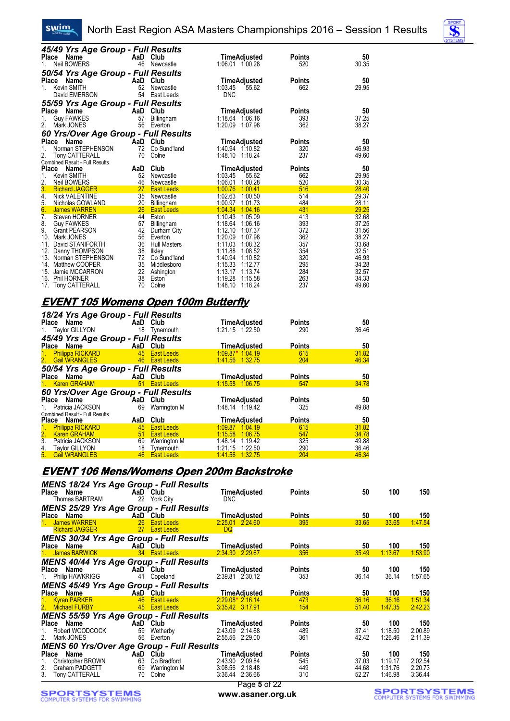#### swim. North East Region ASA Masters Championships 2016 – Session 1 Results



| 45/49 Yrs Age Group - Full Results<br>Place<br>Name<br><b>Neil BOWERS</b><br>1.            | 46              | AaD Club<br>Newcastle                 | <b>TimeAdjusted</b><br>1:06.01 1:00.28                         | <b>Points</b><br>520        | 50<br>30.35             |
|--------------------------------------------------------------------------------------------|-----------------|---------------------------------------|----------------------------------------------------------------|-----------------------------|-------------------------|
| 50/54 Yrs Age Group - Full Results<br>Place Name<br>Kevin SMITH<br>1.<br>David EMERSON     | AaD<br>52<br>54 | Club<br>Newcastle<br>East Leeds       | <b>TimeAdjusted</b><br>1:03.45<br>55.62<br><b>DNC</b>          | <b>Points</b><br>662        | 50<br>29.95             |
| 55/59 Yrs Age Group - Full Results<br>Name<br>Place                                        |                 | AaD Club                              | TimeAdjusted                                                   | Points                      | 50                      |
| <b>Guy FAWKES</b><br>1.<br>2.<br>Mark JONES                                                | 57<br>56        | Billingham<br>Everton                 | 1:18.64 1:06.16<br>1:20.09<br>1.07.98                          | 393<br>362                  | 37.25<br>38.27          |
| 60 Yrs/Over Age Group - Full Results                                                       |                 |                                       |                                                                |                             |                         |
| Place<br>Name<br>Norman STEPHENSON<br>2.<br><b>Tony CATTERALL</b>                          | AaD<br>72<br>70 | Club<br>Co Sund'land<br>Colne         | TimeAdjusted<br>1:40.94 1:10.82<br>1:48.10 1:18.24             | <b>Points</b><br>320<br>237 | 50<br>46.93<br>49.60    |
| Combined Result - Full Results<br><b>Place</b><br>Name                                     | AaD             | Club                                  | TimeAdjusted                                                   | Points                      | 50                      |
| <b>Kevin SMITH</b><br>1.<br>2.<br>Neil BOWERS                                              | 52<br>46        | Newcastle<br>Newcastle                | 1:03.45<br>55.62<br>1:06.01<br>1:00.28                         | 662<br>520                  | 29.95<br>30.35          |
| 3.<br><b>Richard JAGGER</b>                                                                | 27              | <b>East Leeds</b>                     | 1:00.76<br>1:00.41                                             | 516                         | 28.40                   |
| 4.<br><b>Nick VALENTINE</b><br>5.<br>Nicholas GOWLAND                                      | 35<br>20        | Newcastle<br>Billingham               | 1:02.63<br>1:00.50<br>1:00.97<br>1:01.73                       | 514<br>484                  | 29.37<br>28.11          |
| 6.<br><b>James WARREN</b>                                                                  | 26              | <b>East Leeds</b>                     | 1:04.34<br>1:04.16                                             | 431                         | 29.25                   |
| $\overline{7}$ .<br>Steven HORNER<br>8.<br><b>Guy FAWKES</b><br>9.<br><b>Grant PEARSON</b> | 44<br>57<br>42  | Eston<br>Billingham<br>Durham City    | 1:10.43<br>1:05.09<br>1:18.64<br>1:06.16<br>1:12.10<br>1:07.37 | 413<br>393<br>372           | 32.68<br>37.25<br>31.56 |
| 10. Mark JONES<br>David STANIFORTH<br>11.                                                  | 56<br>36        | Everton<br><b>Hull Masters</b>        | 1:20.09<br>1:07.98<br>1:11.03<br>1:08.32                       | 362<br>357                  | 38.27<br>33.68          |
| 12. Danny THOMPSON<br>13. Norman STEPHENSON<br>14. Matthew COOPER                          | 38<br>72<br>35  | Ilkley<br>Co Sund'land<br>Middlesboro | 1:11.88<br>1:08.52<br>1:40.94<br>1:10.82<br>1:15.33<br>1:12.77 | 354<br>320<br>295           | 32.51<br>46.93<br>34.28 |
| 15. Jamie MCCARRON<br>16. Phil HORNER                                                      | 22<br>38        | Ashington<br>Eston                    | 1:13.17<br>1:13.74<br>1:19.28<br>1:15.58                       | 284<br>263                  | 32.57<br>34.33          |
| 17. Tony CATTERALL                                                                         | 70              | Colne                                 | 1:48.10<br>1:18.24                                             | 237                         | 49.60                   |

#### **EVENT 105 Womens Open 100m Butterfly**

| 18/24 Yrs Age Group - Full Results                                                                            |                           |                      |                     |               |       |
|---------------------------------------------------------------------------------------------------------------|---------------------------|----------------------|---------------------|---------------|-------|
| Place Name and the place of the state of the state of the state of the state of the state of the state of the |                           | AaD Club             | <b>TimeAdjusted</b> | <b>Points</b> | 50    |
| 1. Taylor GILLYON                                                                                             |                           | 18 Tynemouth         | $1:21.15$ $1:22.50$ | 290           | 36.46 |
| 45/49 Yrs Age Group - Full Results                                                                            |                           |                      |                     |               |       |
| Place Name                                                                                                    |                           | AaD Club             | <b>TimeAdjusted</b> | <b>Points</b> | 50    |
| 1. Philippa RICKARD                                                                                           |                           | <b>45</b> East Leeds | $1.09.87*$ 1.04.19  | 615           | 31.82 |
| 2. Gail WRANGLES                                                                                              |                           | <b>East Leeds</b>    | 1.41.56 1.32.75     | 204           | 46.34 |
| 50/54 Yrs Age Group - Full Results                                                                            |                           |                      |                     |               |       |
| Place Name                                                                                                    | <b>Example 2</b> AaD Club |                      | <b>TimeAdjusted</b> | <b>Points</b> | 50    |
| 1. Karen GRAHAM                                                                                               |                           | 51 East Leeds        | 1:15.58 1:06.75     | 547           | 34.78 |
| 60 Yrs/Over Age Group - Full Results                                                                          |                           |                      |                     |               |       |
| Place Name                                                                                                    |                           | AaD Club             | <b>TimeAdjusted</b> | <b>Points</b> | 50    |
| 1. Patricia JACKSON                                                                                           |                           | 69 Warrington M      | 1:48.14 1:19.42     | 325           | 49.88 |
| Combined Result - Full Results                                                                                |                           |                      |                     |               |       |
| Place Name                                                                                                    | AaD                       | Club                 | <b>TimeAdjusted</b> | <b>Points</b> | 50    |
| 1. Philippa RICKARD                                                                                           |                           | 45 East Leeds        | 1:09.87 1:04.19     | 615           | 31.82 |
| 2. Karen GRAHAM                                                                                               | 51                        | <b>East Leeds</b>    | 1:15.58<br>1:06.75  | 547           | 34.78 |
| 3. Patricia JACKSON                                                                                           | 69                        | Warrington M         | 1:48.14 1:19.42     | 325           | 49.88 |
| 4. Taylor GILLYON                                                                                             | 18                        | Tynemouth            | 1:21.15<br>1.22.50  | 290           | 36.46 |
| 5. Gail WRANGLES                                                                                              |                           | 46 East Leeds        | 1:41.56<br>1.32.75  | 204           | 46.34 |

#### **EVENT 106 Mens/Womens Open 200m Backstroke**

| <b>MENS 18/24 Yrs Age Group - Full Results</b><br>Place Name<br>Thomas BARTRAM     |                | AaD Club<br>22 York City                         | TimeAdjusted<br><b>DNC</b>                                                   | <b>Points</b>                      | 50                            | 100                                  | 150                                  |
|------------------------------------------------------------------------------------|----------------|--------------------------------------------------|------------------------------------------------------------------------------|------------------------------------|-------------------------------|--------------------------------------|--------------------------------------|
| <b>MENS 25/29 Yrs Age Group - Full Results</b>                                     |                |                                                  |                                                                              |                                    |                               |                                      |                                      |
| Place Name                                                                         |                | AaD Club                                         | <b>TimeAdjusted</b>                                                          | <b>Points</b>                      | 50                            | 100                                  | 150                                  |
| 1. James WARREN                                                                    |                | 26 East Leeds                                    | 2:25.01 2:24.60                                                              | 395                                | 33.65                         | 33.65                                | 1:47.54                              |
| <b>Richard JAGGER</b>                                                              |                | 27 East Leeds                                    | <b>DQ</b>                                                                    |                                    |                               |                                      |                                      |
| <b>MENS 30/34 Yrs Age Group - Full Results</b><br>Place Name                       |                | AaD Club                                         | TimeAdjusted                                                                 | <b>Points</b>                      | 50                            | 100                                  | 150                                  |
| 1. James BARWICK                                                                   |                | 34 East Leeds                                    | 2:34.30 2:29.67                                                              | 356                                | 35.49                         | 1:13.67                              | 1:53.90                              |
| <b>MENS 40/44 Yrs Age Group - Full Results</b><br>Place Name<br>1. Philip HAWKRIGG | 41             | AaD Club<br>Copeland                             | TimeAdjusted<br>2:39.81 2:30.12                                              | <b>Points</b><br>353               | 50<br>36.14                   | 100<br>36.14                         | 150<br>1:57.65                       |
| <b>MENS 45/49 Yrs Age Group - Full Results</b><br>Place Name                       |                | AaD Club                                         | TimeAdjusted                                                                 | <b>Points</b>                      | 50                            | 100                                  | 150                                  |
| 1. Kyran PARKER<br>2. Michael FURBY                                                |                | 46 East Leeds<br>45 East Leeds                   | $2:29.08*2.16.14$<br>3.35.42 3.17.91                                         | 473<br>154                         | 36.16<br>51.40                | 36.16<br>1.47.35                     | 1:51.34<br>2:42.23                   |
| <b>MENS 55/59 Yrs Age Group - Full Results</b>                                     |                |                                                  |                                                                              |                                    |                               |                                      |                                      |
| Place Name<br>Robert WOODCOCK<br>Mark JONES<br>2.                                  | 59<br>56       | AaD Club<br>Wetherby<br>Everton                  | <b>TimeAdjusted</b><br>2:43.09 2:14.68<br>2:55.56 2:29.00                    | <b>Points</b><br>489<br>361        | 50<br>37.41<br>42.42          | 100<br>1:18.50<br>1:26.46            | 150<br>2:00.89<br>2:11.39            |
| <b>MENS 60 Yrs/Over Age Group - Full Results</b>                                   |                |                                                  |                                                                              |                                    |                               |                                      |                                      |
| Place Name<br>Christopher BROWN<br>2.<br>Graham PADGETT<br>3. Tony CATTERALL       | 63<br>69<br>70 | AaD Club<br>Co Bradford<br>Warrington M<br>Colne | <b>TimeAdjusted</b><br>2:43.90 2:09.84<br>3:08.56 2:18.48<br>3:36.44 2:36.66 | <b>Points</b><br>545<br>449<br>310 | 50<br>37.03<br>44.68<br>52.27 | 100<br>1:19.17<br>1:31.76<br>1:46.98 | 150<br>2:02.54<br>2:20.73<br>3:36.44 |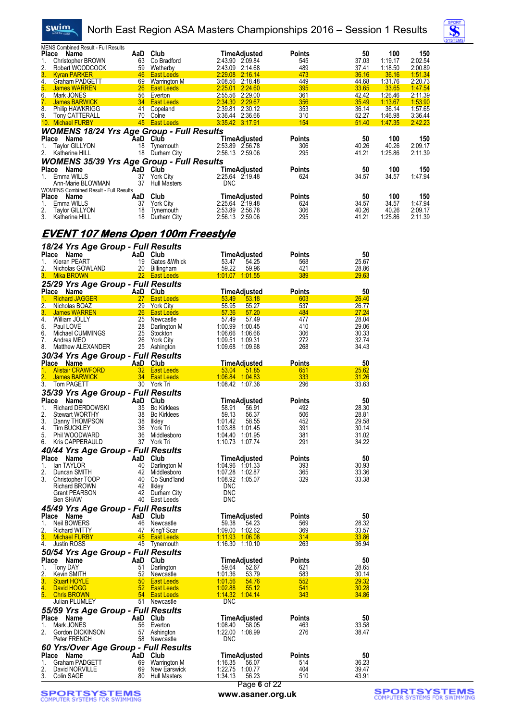

### North East Region ASA Masters Championships 2016 – Session 1 Results



| <b>MENS Combined Result - Full Results</b><br>Place Name<br>1.<br>Christopher BROWN<br>2.<br>Robert WOODCOCK                                              |                 | AaD Club<br>63 Co Bradford                                                             | TimeAdjusted<br>2:43.90 2:09.84<br>2:43.09 2:14.68 | <b>Points</b><br>545<br>489 | 50<br>37.03<br><u>37.41</u> | 100<br>1:19.17<br><u>1:18.50</u> | 150<br>2:02.54<br><u>2:00.89</u> |
|-----------------------------------------------------------------------------------------------------------------------------------------------------------|-----------------|----------------------------------------------------------------------------------------|----------------------------------------------------|-----------------------------|-----------------------------|----------------------------------|----------------------------------|
| 3.<br><b>Kyran PARKER</b><br>Graham PADGETT 69 Warrington M<br>4.                                                                                         |                 | ر 59 Wetherby<br><mark>46 East Leeds</mark> ل                                          | 2:29.08 2:16.14<br>3:08.56 2:18.48                 | 473<br>449                  | 36.16<br>44.68              | 36.16<br><u>1:31.76</u>          | 1:51.34<br>2:20.73               |
| 5.<br>James WARREN                                                                                                                                        |                 | <u> 1999 - Past Leeds III (1999)</u><br>1991 - Sol Everton                             | 2:25.01 2:24.60<br><u>a sa san</u>                 | 395                         | 33.65                       | 33.65                            | 1:47.54                          |
| 6.<br>Mark JONES<br>7.<br>James BARWICK                                                                                                                   |                 | the control of the 14 September 24 September 2014 and the set of the 14 September 2014 | 2:55.56 2:29.00<br>2:34.30 2:29.67                 | 361<br>356                  | 42.42<br>35.49              | 1:26.46<br>1:13.67               | 2:11.39<br>1:53.90               |
| 8.<br><b>Philip HAWKRIGG</b><br>9.<br>Tony CATTERALL                                                                                                      |                 | 41 Copeland<br>70 Colne                                                                | 2:39.81 2:30.12<br>3:36.44 2:36.66                 | 353<br>310                  | 36.14<br>52.27              | 36.14<br>1:46.98                 | 1:57.65<br>3:36.44               |
| 10. Michael FURBY                                                                                                                                         |                 | <b>45</b> East Leeds <b>East</b> East 2                                                | 3:35.42 3:17.91                                    | 154                         | 51.40                       | 1:47.35                          | 2:42.23                          |
| <b>WOMENS 18/24 Yrs Age Group - Full Results</b><br>Place Name                                                                                            |                 | AaD Club                                                                               | TimeAdjusted                                       | <b>Points</b>               | 50                          | 100                              | 150                              |
| Taylor GILLYON<br>1.                                                                                                                                      |                 | 18 Tynemouth                                                                           | 2:53.89 2:56.78                                    | 306                         | 40.26                       | 40.26                            | 2:09.17                          |
| Katherine HILL<br>2.                                                                                                                                      |                 | 18 Durham City                                                                         | 2:56.13 2:59.06                                    | 295                         | 41.21                       | 1:25.86                          | 2:11.39                          |
| <b>WOMENS 35/39 Yrs Age Group - Full Results<br/>Place Name AaD Club<br/>1. Emma WILLS 37 York City 2:2</b>                                               |                 |                                                                                        | TimeAdjusted                                       | <b>Points</b>               | 50                          | 100                              | 150                              |
| 1. Emma WILLS<br>Ann-Marie BLOWMAN                                                                                                                        |                 | 37 York City<br>37 Hull Masters                                                        | 2:25.64 2:19.48<br><b>DNC</b>                      | 624                         | 34.57                       | 34.57                            | 1:47.94                          |
| <b>WOMENS Combined Result - Full Results</b><br>Place Name                                                                                                | AaD Club        |                                                                                        | TimeAdjusted                                       | <b>Points</b>               | 50                          | 100                              | 150                              |
| 1.<br>Emma WILLS                                                                                                                                          |                 | 37 York City                                                                           | 2:25.64 2:19.48                                    | 624                         | 34.57                       | 34.57                            | 1:47.94                          |
| 2.<br>Taylor GILLYON<br>3.<br>Katherine HILL                                                                                                              |                 | 18 Tynemouth<br>18 Durham City                                                         | 2:53.89 2:56.78<br>2:56.13 2:59.06                 | 306<br>295                  | 40.26<br>41.21              | 40.26<br>1:25.86                 | 2:09.17<br>2:11.39               |
|                                                                                                                                                           |                 |                                                                                        |                                                    |                             |                             |                                  |                                  |
| <u>EVENT 107 Mens Open 100m Freestyle</u>                                                                                                                 |                 |                                                                                        |                                                    |                             |                             |                                  |                                  |
| 18/24 Yrs Age Group - Full Results<br>Place Name<br>AaD Club                                                                                              |                 |                                                                                        | TimeAdjusted                                       | <b>Points</b>               | 50                          |                                  |                                  |
| Kieran PEART<br>1.                                                                                                                                        |                 | 19 Gates & Whick                                                                       | 53.47<br>54.25                                     | 568                         | 25.67                       |                                  |                                  |
| 2.<br>Nieran Ferning<br>Nicholas GOWLAND 20 Billingnam<br>After BROWN 22 Est Leeds<br>3.                                                                  |                 |                                                                                        | 59.22<br>59.96<br>1.01.07 1:01.55                  | 421<br>389                  | 28.86<br>29.63              |                                  |                                  |
| 25/29 Yrs Age Group - Full Results                                                                                                                        |                 |                                                                                        |                                                    |                             |                             |                                  |                                  |
| Place Name<br>1.<br><b>Richard JAGGER</b>                                                                                                                 |                 | AaD Club<br>27 East Leeds                                                              | <b>TimeAdjusted</b><br>53.49<br>53.18              | <b>Points</b><br>603        | 50<br>26.40                 |                                  |                                  |
| $\overline{2}$ .<br>Nicholas BOAZ                                                                                                                         |                 | 29 York City                                                                           | 55.95<br>55.27                                     | 537                         | 26.77                       |                                  |                                  |
| 3.<br>James WARREN<br>4.<br>William JOLLY                                                                                                                 |                 | 26 East Leeds<br>25 Newcastle                                                          | 57.36<br>57.20<br>57.49<br>57.49                   | 484<br>477                  | <u>27.24</u><br>28.04       |                                  |                                  |
| 5.<br>Paul LOVE<br>6.<br>Michael CUMMINGS                                                                                                                 |                 | 28 Darlington M<br>25 Stockton                                                         | 1:00.99 1:00.45<br>1:06.66 1:06.66                 | 410<br>306                  | 29.06<br>30.33              |                                  |                                  |
| 7.<br>Andrea MEO                                                                                                                                          |                 | 26 York City                                                                           | 1:09.51 1:09.31                                    | 272                         | 32.74                       |                                  |                                  |
| Matthew ALEXANDER<br>8.<br>30/34 Yrs Age Group - Full Results                                                                                             |                 | 25 Ashington                                                                           | 1:09.68 1:09.68                                    | 268                         | 34.43                       |                                  |                                  |
| Place Name                                                                                                                                                |                 | AaD Club                                                                               | <b>TimeAdjusted</b>                                | <b>Points</b>               | 50                          |                                  |                                  |
| <b>Alistair CRAWFORD</b><br>1.<br><b>James BARWICK Contract Contract Contract Contract Contract Contract Contract Contract Contract Contract Contract</b> |                 | 32 East Leeds<br>34 East Leeds                                                         | 53.04<br>51.85<br>1:06.84 1:04.83                  | 651<br>333                  | 25.62<br>31.26              |                                  |                                  |
| 3.<br>Tom PAGETT                                                                                                                                          |                 | 30 York Tri                                                                            | 1:08.42 1:07.36                                    | 296                         | 33.63                       |                                  |                                  |
| 35/39 Yrs Age Group - Full Results<br>Place Name                                                                                                          | AaD Club        |                                                                                        | TimeAdjusted                                       | <b>Points</b>               | 50                          |                                  |                                  |
| Richard DERDOWSKI<br>1.<br>2.<br><b>Stewart WORTHY</b>                                                                                                    |                 | 35 Bo Kirklees<br>38 Bo Kirklees                                                       | 58.91<br>56.91<br>59.13<br>56.37                   | 492<br>506                  | 28.30<br>28.81              |                                  |                                  |
| Danny THOMPSON<br>3.                                                                                                                                      |                 | 38 Ilkley                                                                              | 1:01.42<br>58.55                                   | 452                         | 29.58                       |                                  |                                  |
| Tim BUCKLEY<br>4.<br>5.<br>Phil WOODWARD                                                                                                                  | 36              | York Tri<br>36 Middlesboro                                                             | 1:03.88 1:01.45<br>1:04.40 1:01.95                 | 391<br>381                  | 30.14<br>31.02              |                                  |                                  |
| Kris CAPPERAULD<br>6.                                                                                                                                     |                 | 37 York Tri                                                                            | 1:10.73 1:07.74                                    | 291                         | 34.22                       |                                  |                                  |
| 40/44 Yrs Age Group - Full Results<br>Place Name                                                                                                          |                 | AaD Club                                                                               | <b>TimeAdjusted</b>                                | <b>Points</b>               | 50                          |                                  |                                  |
| lan TAYLOR<br>1.                                                                                                                                          |                 | 40 Darlington M                                                                        | 1:04.96 1:01.33                                    | 393                         | 30.93                       |                                  |                                  |
| 2.<br>Duncan SMITH<br>3.<br>Christopher TOOP                                                                                                              | 42<br>40        | Middlesboro<br>Co Sund'land                                                            | 1:07.28 1:02.87<br>1:08.92 1:05.07                 | 365<br>329                  | 33.36<br>33.38              |                                  |                                  |
| <b>Richard BROWN</b><br><b>Grant PEARSON</b>                                                                                                              |                 | 42 Ilkley<br>42 Durham City                                                            | <b>DNC</b><br>DNC                                  |                             |                             |                                  |                                  |
| Ben SHAW                                                                                                                                                  |                 | 40 East Leeds                                                                          | <b>DNC</b>                                         |                             |                             |                                  |                                  |
| 45/49 Yrs Age Group - Full Results<br>Place Name                                                                                                          |                 | AaD Club                                                                               | TimeAdjusted                                       | <b>Points</b>               | 50                          |                                  |                                  |
| Neil BOWERS<br>1.                                                                                                                                         |                 | 46 Newcastle                                                                           | 59.38<br>54.23                                     | 569                         | 28.32                       |                                  |                                  |
| 2.<br><b>Richard WITTY</b><br>3.<br><b>Michael FURBY</b>                                                                                                  |                 | 47 King'f Scar<br>45 East Leeds                                                        | 1:09.00 1:02.62<br>1:11.93 1:06.08                 | 369<br>314                  | <u>33.57</u><br>33.86       |                                  |                                  |
| Justin ROSS<br>4.                                                                                                                                         |                 | 45 Tynemouth                                                                           | 1:16.30 1:10.10                                    | 263                         | 36.94                       |                                  |                                  |
| 50/54 Yrs Age Group - Full Results<br>Place Name                                                                                                          |                 | AaD Club                                                                               | <b>TimeAdjusted</b>                                | <b>Points</b>               | 50                          |                                  |                                  |
| Tony DAY<br>1.                                                                                                                                            |                 | 51 Darlington                                                                          | 59.64<br>52.67                                     | 621                         | 28.65                       |                                  |                                  |
| 2.<br>Kevin SMITH<br>3.<br><b>Stuart HOYLE</b>                                                                                                            | 50 <sub>2</sub> | 52 Newcastle<br><b>East Leeds</b>                                                      | 1:01.36<br>53.79<br>1:01.56<br>54.76               | 583<br>552                  | 30.14<br>29.32              |                                  |                                  |
| 4.<br>David HOGG<br><b>Chris BROWN</b><br>5.                                                                                                              |                 | 52 East Leeds<br>54 East Leeds                                                         | 1:02.88<br>55.12<br>1:14.32 1:04.14                | 541<br>343                  | 30.28<br>34.86              |                                  |                                  |
| Julian PLUMLEY                                                                                                                                            |                 | 51 Newcastle                                                                           | <b>DNC</b>                                         |                             |                             |                                  |                                  |
| 55/59 Yrs Age Group - Full Results<br>Place Name                                                                                                          |                 | AaD Club                                                                               | <b>TimeAdjusted</b>                                | <b>Points</b>               | 50                          |                                  |                                  |
| Mark JONES<br>1.                                                                                                                                          |                 | 56 Everton                                                                             | 1:08.40<br>58.05                                   | 463                         | 33.58                       |                                  |                                  |
| 2.<br>Gordon DICKINSON<br>Peter FRENCH                                                                                                                    |                 | 57 Ashington<br>58 Newcastle                                                           | 1:22.00 1:08.99<br><b>DNC</b>                      | 276                         | 38.47                       |                                  |                                  |
| 60 Yrs/Over Age Group - Full Results                                                                                                                      |                 |                                                                                        |                                                    |                             |                             |                                  |                                  |
| Place Name<br>1.<br>Graham PADGETT                                                                                                                        |                 | AaD Club<br>69 Warrington M                                                            | <b>TimeAdjusted</b><br>1:16.35<br>56.07            | <b>Points</b><br>514        | 50<br>36.23                 |                                  |                                  |
| 2.<br>David NORVILLE<br>3.<br>Colin SAGE                                                                                                                  |                 | 69 New Earswick<br>80 Hull Masters                                                     | 1:22.75 1:00.77<br>1:34.13<br>56.23                | 404<br>510                  | 39.47<br>43.91              |                                  |                                  |
|                                                                                                                                                           |                 |                                                                                        |                                                    |                             |                             |                                  |                                  |

**SPORTSYSTEMS**<br>COMPUTER SYSTEMS FOR SWIMMING

Page **6** of 22 **www.asaner.org.uk**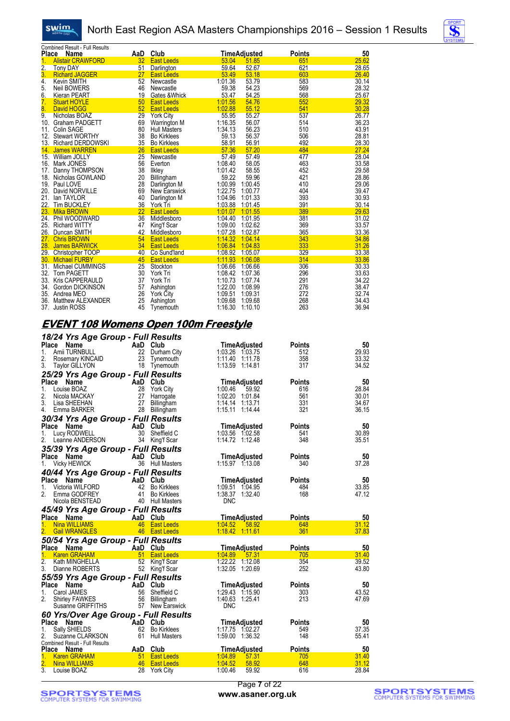swim.



| Place            | Combined Result - Full Results<br>Name | AaD | Club                |                 | <b>TimeAdjusted</b> | Points | 50    |
|------------------|----------------------------------------|-----|---------------------|-----------------|---------------------|--------|-------|
| 1.               | <b>Alistair CRAWFORD</b>               | 32  | <b>East Leeds</b>   | 53.04           | 51.85               | 651    | 25.62 |
| $\overline{2}$ . | <b>Tony DAY</b>                        | 51  | <b>Darlington</b>   | 59.64           | 52.67               | 621    | 28.65 |
| 3.               | <b>Richard JAGGER</b>                  | 27  | <b>East Leeds</b>   | 53.49           | 53.18               | 603    | 26.40 |
| 4.               | <b>Kevin SMITH</b>                     | 52  | Newcastle           | 1:01.36         | 53.79               | 583    | 30.14 |
| 5.               | Neil BOWERS                            | 46  | Newcastle           | 59.38           | 54.23               | 569    | 28.32 |
| 6.               | Kieran PEART                           | 19  | Gates & Whick       | 53.47           | 54.25               | 568    | 25.67 |
| 7.               | <b>Stuart HOYLE</b>                    | 50  | <b>East Leeds</b>   | 1:01.56         | 54.76               | 552    | 29.32 |
| 8.               | David HOGG                             | 52  | <b>East Leeds</b>   | 1:02.88         | 55.12               | 541    | 30.28 |
| 9.               | Nicholas BOAZ                          | 29  | <b>York City</b>    | 55.95           | 55.27               | 537    | 26.77 |
| 10.              | <b>Graham PADGETT</b>                  | 69  | <b>Warrington M</b> | 1:16.35         | 56.07               | 514    | 36.23 |
| 11.              | Colin SAGE                             | 80  | <b>Hull Masters</b> | 1:34.13         | 56.23               | 510    | 43.91 |
|                  | 12. Stewart WORTHY                     | 38  | <b>Bo Kirklees</b>  | 59.13           | 56.37               | 506    | 28.81 |
|                  | 13. Richard DERDOWSKI                  | 35  | <b>Bo Kirklees</b>  | 58.91           | 56.91               | 492    | 28.30 |
|                  | 14. James WARREN                       | 26  | <b>East Leeds</b>   | 57.36           | 57.20               | 484    | 27.24 |
|                  | 15. William JOLLY                      | 25  | Newcastle           | 57.49           | 57.49               | 477    | 28.04 |
|                  | 16. Mark JONES                         | 56  | Everton             | 1:08.40         | 58.05               | 463    | 33.58 |
|                  | 17. Danny THOMPSON                     | 38  | Ilkley              | 1:01.42         | 58.55               | 452    | 29.58 |
|                  | 18. Nicholas GOWLAND                   | 20  | Billingham          | 59.22           | 59.96               | 421    | 28.86 |
|                  | 19. Paul LOVE                          | 28  | Darlington M        | 1:00.99         | 1:00.45             | 410    | 29.06 |
| 20.              | David NORVILLE                         | 69  | New Earswick        | 1:22.75         | 1:00.77             | 404    | 39.47 |
| 21.              | lan TAYLOR                             | 40  | Darlington M        | 1:04.96         | 1:01.33             | 393    | 30.93 |
| 22.              | <b>Tim BUCKLEY</b>                     | 36  | York Tri            | 1:03.88         | 1:01.45             | 391    | 30.14 |
| 23.              | <b>Mika BROWN</b>                      | 22  | <b>East Leeds</b>   | 1:01.07 1:01.55 |                     | 389    | 29.63 |
|                  | 24. Phil WOODWARD                      | 36  | Middlesboro         | 1:04.40 1:01.95 |                     | 381    | 31.02 |
|                  | 25. Richard WITTY                      | 47  | King'f Scar         | 1:09.00 1:02.62 |                     | 369    | 33.57 |
|                  | 26. Duncan SMITH                       | 42  | Middlesboro         | 1:07.28 1:02.87 |                     | 365    | 33.36 |
| 27.              | <b>Chris BROWN</b>                     | 54  | <b>East Leeds</b>   | 1:14.32 1:04.14 |                     | 343    | 34.86 |
| 28.              | <b>James BARWICK</b>                   | 34  | <b>East Leeds</b>   | 1:06.84 1:04.83 |                     | 333    | 31.26 |
|                  | 29. Christopher TOOP                   | 40  | Co Sund'land        | 1:08.92 1:05.07 |                     | 329    | 33.38 |
| 30.              | <b>Michael FURBY</b>                   | 45  | <b>East Leeds</b>   | 1:11.93         | 1:06.08             | 314    | 33.86 |
| 31.              | Michael CUMMINGS                       | 25  | Stockton            | 1:06.66         | 1:06.66             | 306    | 30.33 |
| 32.              | <b>Tom PAGETT</b>                      | 30  | York Tri            | 1:08.42         | 1:07.36             | 296    | 33.63 |
|                  | 33. Kris CAPPERAULD                    | 37  | York Tri            | 1:10.73         | 1:07.74             | 291    | 34.22 |
|                  | 34. Gordon DICKINSON                   | 57  | Ashington           | 1:22.00         | 1:08.99             | 276    | 38.47 |
|                  | 35. Andrea MEO                         | 26  | <b>York City</b>    | 1:09.51         | 1:09.31             | 272    | 32.74 |
|                  | 36. Matthew ALEXANDER                  | 25  | Ashington           | 1:09.68         | 1:09.68             | 268    | 34.43 |
| 37.              | <b>Justin ROSS</b>                     | 45  | Tynemouth           | 1:16.30         | 1:10.10             | 263    | 36.94 |

#### **EVENT 108 Womens Open 100m Freestyle**

| 18/24 Yrs Age Group - Full Results               |          |                                   |                                         |                      |                |
|--------------------------------------------------|----------|-----------------------------------|-----------------------------------------|----------------------|----------------|
| Place Name                                       | AaD Club |                                   | <b>TimeAdjusted</b>                     | <b>Points</b>        | 50             |
| 1.<br>Amii TURNBULL                              |          | 22 Durham City                    | 1:03.26 1:03.75                         | 512                  | 29.93          |
| 2.<br>Rosemary KINCAID                           | 23       | Tynemouth                         | 1:11.40 1:11.78                         | 358                  | 33.32          |
| 3.<br><b>Taylor GILLYON</b>                      |          | 18 Tynemouth                      | 1:13.59 1:14.81                         | 317                  | 34.52          |
| 25/29 Yrs Age Group - Full Results               |          |                                   |                                         |                      |                |
| Place Name                                       |          | AaD Club                          | TimeAdjusted                            | <b>Points</b>        | 50             |
| 1.<br>Louise BOAZ                                | 28       | York City                         | 1:00.46<br>59.92                        | 616                  | 28.84          |
| 2.<br>Nicola MACKAY                              | 27       | Harrogate                         | 1:02.20 1:01.84                         | 561                  | 30.01          |
| 3.<br>Lisa SHEEHAN                               | 27       | Billingham                        | 1:14.14 1:13.71                         | 331                  | 34.67          |
| 4.<br>Emma BARKER                                | 28       | Billingham                        | 1:15.11 1:14.44                         | 321                  | 36.15          |
| 30/34 Yrs Age Group - Full Results               |          |                                   |                                         |                      |                |
| Place Name                                       | AaD Club |                                   | <b>TimeAdjusted</b>                     | <b>Points</b>        | 50             |
| 1.<br>Lucy RODWELL                               | 30       | Sheffield C                       | 1:03.56 1:02.58                         | 541                  | 30.89          |
| 2.<br>Leanne ANDERSON                            |          | 34 King'f Scar                    | 1:14.72 1:12.48                         | 348                  | 35.51          |
| 35/39 Yrs Age Group - Full Results               |          |                                   |                                         |                      |                |
| Place Name                                       | AaD Club |                                   | TimeAdjusted                            | <b>Points</b>        | 50             |
| 1.<br><b>Vicky HEWICK</b>                        |          | 36 Hull Masters                   | 1:15.97 1:13.08                         | 340                  | 37.28          |
| 40/44 Yrs Age Group - Full Results               |          |                                   |                                         |                      |                |
| Place Name                                       | AaD Club |                                   | <b>TimeAdjusted</b>                     | Points               | 50             |
| Victoria WILFORD<br>1.                           | 42       | <b>Bo Kirklees</b>                | 1:09.51 1:04.95                         | 484                  | 33.85          |
| 2.<br>Emma GODFREY                               |          | 41 Bo Kirklees                    | 1:38.37 1:32.40                         | 168                  | 47.12          |
| Nicola BENSTEAD                                  |          | 40 Hull Masters                   | <b>DNC</b>                              |                      |                |
|                                                  |          |                                   |                                         |                      |                |
|                                                  |          |                                   |                                         |                      |                |
| 45/49 Yrs Age Group - Full Results               |          |                                   |                                         |                      |                |
| Place Name<br>1.<br>Nina WILLIAMS                | AaD Club | 46 East Leeds                     | <b>TimeAdjusted</b><br>1:04:52<br>58.92 | <b>Points</b><br>648 | 50<br>31.12    |
| 2.<br><b>Gail WRANGLES</b>                       |          | 46 East Leeds                     | 1:18.42 1:11.61                         | 361                  | 37.83          |
|                                                  |          |                                   |                                         |                      |                |
| 50/54 Yrs Age Group - Full Results               |          |                                   |                                         |                      |                |
| Place Name<br><b>Karen GRAHAM</b>                |          | AaD Club<br>51 East Leeds         | <b>TimeAdjusted</b><br>1:04.89<br>57.31 | <b>Points</b><br>705 | 50<br>31.40    |
| 2.<br>Kath MINGHELLA                             | 52       | King'f Scar                       | 1:22.22 1:12.08                         | 354                  | 39.52          |
| 3.<br>Dianne ROBERTS                             |          | 52 King'f Scar                    | 1:32.05 1:20.69                         | 252                  | 43.80          |
|                                                  |          |                                   |                                         |                      |                |
| 55/59 Yrs Age Group - Full Results<br>Place Name |          | AaD Club                          |                                         | <b>Points</b>        | 50             |
| 1.<br>Carol JAMES                                | 56       | Sheffield C                       | TimeAdjusted<br>1:29.43 1:15.90         | 303                  | 43.52          |
| 2.<br><b>Shirley FAWKES</b>                      |          |                                   | 1:40.63 1:25.41                         | 213                  | 47.69          |
| Susanne GRIFFITHS                                |          | 56 Billingham<br>57 New Earswick  | <b>DNC</b>                              |                      |                |
|                                                  |          |                                   |                                         |                      |                |
| 60 Yrs/Over Age Group - Full Results             | AaD Club |                                   |                                         | <b>Points</b>        | 50             |
| Place Name<br>1.<br>Sally SHIELDS                |          | 62 Bo Kirklees                    | <b>TimeAdjusted</b><br>1:17.75 1:02.27  | 549                  | 37.35          |
| 2.<br>Suzanne CLARKSON                           |          | 61 Hull Masters                   | 1:59.00 1:36.32                         | 148                  | 55.41          |
| Combined Result - Full Results                   |          |                                   |                                         |                      |                |
| Place Name                                       |          | AaD Club                          | <b>TimeAdjusted</b>                     | <b>Points</b>        | 50             |
| 1.<br><b>Karen GRAHAM</b>                        |          | 51 East Leeds                     | 1:04.89<br>57.31                        | 705                  | 31.40          |
| 2.<br><b>Nina WILLIAMS</b><br>3.<br>Louise BOAZ  | 28       | 46 East Leeds<br><b>York City</b> | 1:04.52<br>58.92<br>1:00.46<br>59.92    | 648<br>616           | 31.12<br>28.84 |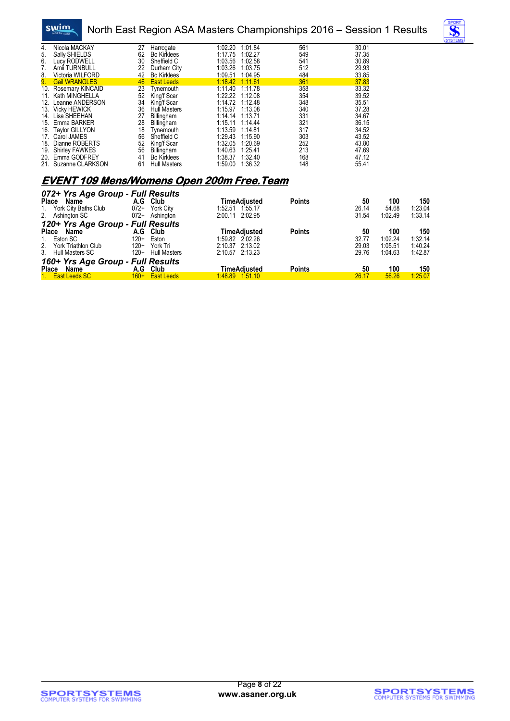

#### North East Region ASA Masters Championships 2016 – Session 1 Results



| 4.  | Nicola MACKAY         | 27 | Harrogate           | 1:02.20 | 1:01.84 | 561 | 30.01 |
|-----|-----------------------|----|---------------------|---------|---------|-----|-------|
| 5.  | Sally SHIELDS         | 62 | <b>Bo Kirklees</b>  | 1:17.75 | 1:02.27 | 549 | 37.35 |
| 6.  | Lucy RODWELL          | 30 | Sheffield C         | 1:03.56 | 1:02.58 | 541 | 30.89 |
| 7.  | Amii TURNBULL         | 22 | Durham City         | 1:03.26 | 1:03.75 | 512 | 29.93 |
| 8.  | Victoria WILFORD      | 42 | <b>Bo Kirklees</b>  | 1:09.51 | 1:04.95 | 484 | 33.85 |
| 9.  | <b>Gail WRANGLES</b>  | 46 | <b>East Leeds</b>   | 1:18.42 | 1:11.61 | 361 | 37.83 |
| 10. | Rosemary KINCAID      | 23 | Tvnemouth           | 1:11.40 | 1:11.78 | 358 | 33.32 |
| 11. | Kath MINGHELLA        | 52 | King'f Scar         | 1:22.22 | 1:12.08 | 354 | 39.52 |
| 12. | Leanne ANDERSON       | 34 | King'f Scar         | 1:14.72 | 1:12.48 | 348 | 35.51 |
| 13. | <b>Vicky HEWICK</b>   | 36 | <b>Hull Masters</b> | 1:15.97 | 1:13.08 | 340 | 37.28 |
| 14. | Lisa SHEEHAN          | 27 | Billingham          | 1:14.14 | 1:13.71 | 331 | 34.67 |
| 15. | Emma BARKER           | 28 | Billingham          | 1:15.11 | 1.14.44 | 321 | 36.15 |
|     | 16. Taylor GILLYON    | 18 | Tynemouth           | 1:13.59 | 1.14.81 | 317 | 34.52 |
| 17. | Carol JAMES           | 56 | Sheffield C         | 1:29.43 | 1:15.90 | 303 | 43.52 |
| 18. | Dianne ROBERTS        | 52 | King'f Scar         | 1:32.05 | 1:20.69 | 252 | 43.80 |
| 19. | <b>Shirley FAWKES</b> | 56 | Billingham          | 1:40.63 | 1:25.41 | 213 | 47.69 |
| 20. | Emma GODFREY          | 41 | <b>Bo Kirklees</b>  | 1:38.37 | 1:32.40 | 168 | 47.12 |
| 21. | Suzanne CLARKSON      | 61 | <b>Hull Masters</b> | 1:59.00 | 1:36.32 | 148 | 55.41 |

#### **EVENT 109 Mens/Womens Open 200m Free.Team**

| 072+ Yrs Age Group - Full Results |                               |                     |               |       |         |         |
|-----------------------------------|-------------------------------|---------------------|---------------|-------|---------|---------|
| <b>Place</b><br>Name              | A.G Club                      | <b>TimeAdiusted</b> | <b>Points</b> | 50    | 100     | 150     |
| York City Baths Club<br>1.        | $072+$<br>York City           | 1.55.17<br>1:52.51  |               | 26.14 | 54.68   | 1:23.04 |
| 2. Ashington SC                   | 072+ Ashington                | 2:00.11 2:02.95     |               | 31.54 | 1:02.49 | 1:33.14 |
| 120+ Yrs Age Group - Full Results |                               |                     |               |       |         |         |
| Place<br>Name                     | A.G<br>Club                   | TimeAdiusted        | <b>Points</b> | 50    | 100     | 150     |
| 1. Eston SC                       | $120+$<br>Eston               | 1:59.82 2:02.26     |               | 32.77 | 1:02.24 | 1:32.14 |
| 2. York Triathlon Club            | $120+$<br>York Tri            | 2:10.37 2:13.02     |               | 29.03 | 1:05.51 | 1:40.24 |
| 3. Hull Masters SC                | $120+$<br><b>Hull Masters</b> | 2:10.57 2:13.23     |               | 29.76 | 1:04.63 | 1:42.87 |
| 160+ Yrs Age Group - Full Results |                               |                     |               |       |         |         |
| Place<br>Name                     | A.G<br>Club                   | TimeAdiusted        | <b>Points</b> | 50    | 100     | 150     |
| 1. East Leeds SC                  | 160+ East Leeds               | 1.48.89 1.51.10     |               | 26.17 | 56.26   | 1:25.07 |

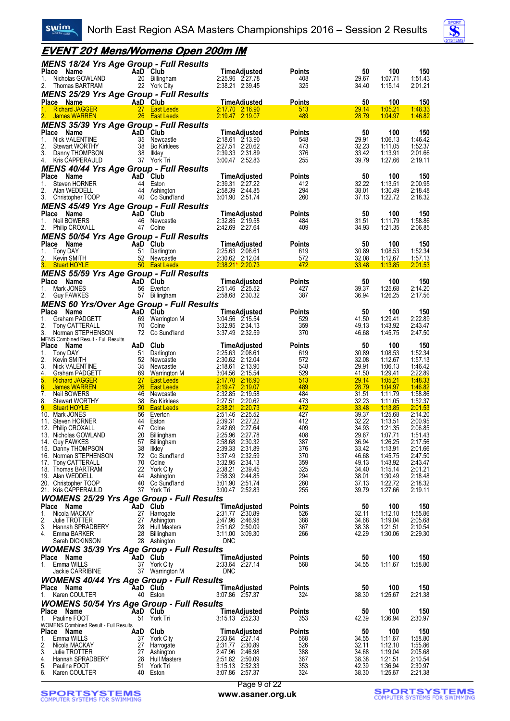

#### **EVENT 201 Mens/Womens Open 200m IM**

| <b>MENS 18/24 Yrs Age Group - Full Results</b>                     |                                        |                                        |                      |                |                           |                    |
|--------------------------------------------------------------------|----------------------------------------|----------------------------------------|----------------------|----------------|---------------------------|--------------------|
| Place Name<br>Nicholas GOWLAND<br>1.                               | AaD Club<br>20 Billingham              | <b>TimeAdjusted</b><br>2:25.96 2:27.78 | <b>Points</b><br>408 | 50<br>29.67    | 100<br>1:07.71            | 150<br>1:51.43     |
| 2.<br>Thomas BARTRAM                                               | 22 York City                           | 2:38.21 2:39.45                        | 325                  | 34.40          | 1:15.14                   | 2:01.21            |
| <b>MENS 25/29 Yrs Age Group - Full Results</b>                     |                                        |                                        |                      |                |                           |                    |
| <b>Place Name</b>                                                  | AaD Club                               | <b>TimeAdiusted</b>                    | <b>Points</b>        | 50             | 100                       | 150                |
| <b>Richard JAGGER</b><br>1.<br><b>James WARREN</b>                 | 27 East Leeds<br>26 East Leeds         | 2:17.70 2:16.90<br>2:19.47 2:19.07     | 513<br>489           | 29.14<br>28.79 | 1.05.21<br>1:04.97        | 1:48.33<br>1:46.82 |
| <b>MENS 35/39 Yrs Age Group - Full Results</b>                     |                                        |                                        |                      |                |                           |                    |
| Place Name                                                         | AaD Club                               | <b>TimeAdjusted</b>                    | <b>Points</b>        | 50             | 100                       | 150                |
| 1.<br><b>Nick VALENTINE</b>                                        | 35 Newcastle                           | 2:18.61 2:13.90                        | 548                  | 29.91          | 1:06.13                   | 1:46.42            |
| 2.<br><b>Stewart WORTHY</b>                                        | 38<br><b>Bo Kirklees</b>               | 2:27.51 2:20.62                        | 473                  | 32.23          | 1:11.05                   | 1:52.37            |
| 3.<br>Danny THOMPSON<br>4.<br>Kris CAPPERAULD                      | 38<br>llkley<br>37 York Tri            | 2:39.33 2:31.89<br>3:00.47 2:52.83     | 376<br>255           | 33.42<br>39.79 | 1:13.91<br>1:27.66        | 2:01.66<br>2:19.11 |
| <b>MENS 40/44 Yrs Age Group - Full Results</b>                     |                                        |                                        |                      |                |                           |                    |
| Place Name                                                         | AaD Club                               | TimeAdjusted                           | <b>Points</b>        | 50             | 100                       | 150                |
| 1.<br>Steven HORNER                                                | 44 Eston                               | 2:39.31 2:27.22                        | 412                  | 32.22          | 1:13.51                   | 2:00.95            |
| 2.<br>Alan WEDDELL                                                 | 44 Ashington                           | 2:58.39 2:44.85                        | 294                  | 38.01          | 1:30.49                   | 2:18.48            |
| 3.<br>Christopher TOOP                                             | 40 Co Sund'land                        | 3:01.90 2:51.74                        | 260                  | 37.13          | 1:22.72                   | 2:18.32            |
| <b>MENS 45/49 Yrs Age Group - Full Results</b><br>Place Name       | AaD Club                               | TimeAdjusted                           | <b>Points</b>        | 50             | 100                       | 150                |
| Neil BOWERS<br>1.                                                  | 46 Newcastle                           | 2:32.85 2:19.58                        | 484                  | 31.51          | 1:11.79                   | 1:58.86            |
| 2.<br><b>Philip CROXALL</b>                                        | 47 Colne                               | 2:42.69 2:27.64                        | 409                  | 34.93          | 1:21.35                   | 2:06.85            |
| <b>MENS 50/54 Yrs Age Group - Full Results</b>                     |                                        |                                        |                      |                |                           |                    |
| Place<br>Name                                                      | AaD Club                               | <b>TimeAdjusted</b>                    | <b>Points</b>        | 50             | 100                       | 150                |
| 1.<br><b>Tony DAY</b><br>2.<br>Kevin SMITH                         | 51 Darlington<br>52 Newcastle          | 2:25.63 2:08.61<br>2:30.62 2:12.04     | 619<br>572           | 30.89<br>32.08 | 1:08.53<br><u>1:12.67</u> | 1:52.34<br>1:57.13 |
| 3.<br><b>Stuart HOYLE</b>                                          | <b>East Leeds</b> 50 <b>East Leeds</b> | $2.38.21*2.20.73$                      | 472                  | 33.48          | 1:13.85                   | 2:01.53            |
| <b>MENS 55/59 Yrs Age Group - Full Results</b>                     |                                        |                                        |                      |                |                           |                    |
| Place Name                                                         | AaD Club                               | <b>TimeAdjusted</b>                    | Points               | 50             | 100                       | 150                |
| Mark JONES<br>1.                                                   | 56 Everton                             | 2:51.46 2:25.52                        | 427                  | 39.37          | 1:25.68                   | 2:14.20            |
| 2.<br>Guy FAWKES                                                   | 57 Billingham                          | 2:58.68 2:30.32                        | 387                  | 36.94          | 1:26.25                   | 2:17.56            |
| <b>MENS 60 Yrs/Over Age Group - Full Results</b><br>Place Name     | AaD Club                               | <b>TimeAdjusted</b>                    | Points               | 50             | 100                       | 150                |
| 1.<br>Graham PADGETT                                               | 69 Warrington M                        | 3:04.56 2:15.54                        | 529                  | 41.50          | 1:29.41                   | 2:22.89            |
| 2.<br>Tony CATTERALL                                               | 70<br>Colne                            | 3:32.95 2:34.13                        | 359                  | 49.13          | 1:43.92                   | 2:43.47            |
| 3.<br>Norman STEPHENSON                                            | 72 Co Sund'land                        | 3:37.49 2:32.59                        | 370                  | 46.68          | 1:45.75                   | 2:47.50            |
| <b>MENS Combined Result - Full Results</b><br>Place Name           | Club<br>AaD                            | TimeAdjusted                           | <b>Points</b>        | 50             | 100                       | 150                |
| 1.<br><b>Tony DAY</b>                                              | 51 Darlington                          | 2:25.63 2:08.61                        | 619                  | 30.89          | 1:08.53                   | 1:52.34            |
| 2.<br>Kevin SMITH                                                  | 52 Newcastle                           | 2:30.62 2:12.04                        | 572                  | 32.08          | 1:12.67                   | 1:57.13            |
| 3.<br>Nick VALENTINE<br>4.<br><b>Graham PADGETT</b>                | 35 Newcastle<br>69 Warrington M        | 2:18.61 2:13.90<br>3:04.56 2:15.54     | 548<br><u>529</u>    | 29.91<br>41.50 | 1:06.13<br><u>1:29.41</u> | 1:46.42<br>2:22.89 |
| 5.<br><b>Richard JAGGER</b>                                        | <b>27</b><br><b>East Leeds</b>         | 2:17.70 2:16.90                        | 513                  | 29.14          | <u>1:05.21</u>            | 1.48.33            |
| 6.<br><b>James WARREN</b>                                          | 26 East Leeds                          | 2:19.47 2:19.07                        | 489                  | 28.79          | 1:04.97                   | <u>1:46.82</u>     |
| 7.<br>Neil BOWERS<br>8.<br><b>Stewart WORTHY</b>                   | 46 Newcastle<br>38 Bo Kirklees         | 2:32.85 2:19.58<br>2:27.51 2:20.62     | 484<br>473           | 31.51<br>32.23 | 1:11.79<br><u>1:11.05</u> | 1:58.86<br>1:52.37 |
| 9.<br><b>Stuart HOYLE</b>                                          | 50 East Leeds                          | 2:38.21 2:20.73                        | 472                  | 33.48          | 1:13.85                   | 2:01.53            |
| 10. Mark JONES                                                     | 56 Everton                             | 2:51.46 2:25.52                        | 427                  | 39.37          | 1:25.68                   | 2:14.20            |
| 11. Steven HORNER<br>12. Philip CROXALL                            | 44 Eston<br>47 Colne                   | 2:39.31<br>2:27.22<br>2:42.69 2:27.64  | 412<br>409           | 32.22<br>34.93 | 1:13.51<br>1:21.35        | 2:00.95<br>2:06.85 |
| 13. Nicholas GOWLAND                                               | 20<br>Billingham                       | 2:25.96 2:27.78                        | 408                  | 29.67          | 1:07.71                   | 1:51.43            |
| 14. Guy FAWKES                                                     | 57<br><b>Billingham</b>                | 2:58.68 2:30.32                        | 387                  | 36.94          | 1:26.25                   | 2:17.56            |
| 15. Danny THOMPSON                                                 | 38 Ilkley                              | 2:39.33 2:31.89                        | 376                  | 33.42          | 1:13.91                   | 2:01.66            |
| 16. Norman STEPHENSON<br>17. Tony CATTERALL                        | 72 Co Sund'land<br>70 Colne            | 3:37.49 2:32.59<br>3:32.95 2:34.13     | 370<br>359           | 46.68<br>49.13 | 1:45.75<br>1:43.92        | 2:47.50<br>2:43.47 |
| 18. Thomas BARTRAM                                                 | 22 York City                           | 2:38.21 2:39.45                        | 325                  | 34.40          | 1:15.14                   | 2:01.21            |
| 19. Alan WEDDELL                                                   | 44 Ashington                           | 2:58.39 2:44.85                        | 294                  | 38.01          | 1:30.49                   | 2:18.48            |
| 20. Christopher TOOP<br>21. Kris CAPPERAULD                        | 40 Co Sund'land<br>37 York Tri         | 3:01.90 2:51.74<br>3:00.47 2:52.83     | 260<br>255           | 37.13<br>39.79 | 1:22.72<br>1:27.66        | 2:18.32<br>2:19.11 |
| <b>WOMENS 25/29 Yrs Age Group - Full Results</b>                   |                                        |                                        |                      |                |                           |                    |
| Place Name                                                         | AaD Club                               | <b>TimeAdjusted</b>                    | <b>Points</b>        | 50             | 100                       | 150                |
| Nicola MACKAY<br>1.                                                | 27 Harrogate                           | 2:31.77 2:30.89                        | 526                  | 32.11          | 1:12.10                   | 1:55.86            |
| 2.<br>Julie TROTTER<br>3.                                          | 27 Ashington<br>28 Hull Masters        | 2:47.96 2:46.98<br>2:51.62 2:50.09     | 388<br>367           | 34.68<br>38.38 | 1:19.04<br>1:21.51        | 2:05.68<br>2:10.54 |
| Hannah SPRADBERY<br>Emma BARKER<br>4.                              | 28 Billingham                          | 3:11.00 3:09.30                        | 266                  | 42.29          | 1:30.06                   | 2:29.30            |
| Sarah DICKINSON                                                    | 28 Ashington                           | <b>DNC</b>                             |                      |                |                           |                    |
| <b>WOMENS 35/39 Yrs Age Group - Full Results</b>                   |                                        |                                        |                      |                |                           |                    |
| Place Name                                                         | AaD Club                               | <b>TimeAdjusted</b>                    | <b>Points</b>        | 50             | 100                       | 150                |
| 1. Emma WILLS<br>Jackie CARRIBINE                                  | 37 York City<br>37 Warrington M        | 2:33.64 2:27.14<br>DNC                 | 568                  | 34.55          | 1:11.67                   | 1:58.80            |
| <b>WOMENS 40/44 Yrs Age Group - Full Results</b>                   |                                        |                                        |                      |                |                           |                    |
| Place Name                                                         | AaD Club                               | TimeAdjusted                           | <b>Points</b>        | 50             | 100                       | 150                |
| 1. Karen COULTER                                                   | 40 Eston                               | 3:07.86 2:57.37                        | 324                  | 38.30          | 1:25.67                   | 2:21.38            |
| <b>WOMENS 50/54 Yrs Age Group - Full Results</b>                   |                                        |                                        |                      |                |                           |                    |
| Place Name                                                         | AaD Club                               | TimeAdjusted                           | <b>Points</b>        | 50             | 100                       | 150                |
| Pauline FOOT<br>1.<br><b>WOMENS Combined Result - Full Results</b> | 51 York Tri                            | 3:15.13 2:52.33                        | 353                  | 42.39          | 1:36.94                   | 2:30.97            |
| Place Name                                                         | AaD Club                               | TimeAdjusted                           | <b>Points</b>        | 50             | 100                       | 150                |
| Emma WILLS<br>1.                                                   | 37 York City                           | 2:33.64 2:27.14                        | 568                  | 34.55          | 1:11.67                   | 1:58.80            |
| 2.<br>Nicola MACKAY<br>3.<br>Julie TROTTER                         | 27 Harrogate<br>27 Ashington           | 2:31.77 2:30.89<br>2:47.96 2:46.98     | 526<br>388           | 32.11<br>34.68 | 1:12.10<br>1:19.04        | 1:55.86<br>2:05.68 |
| Hannah SPRADBERY<br>4.                                             | 28 Hull Masters                        | 2:51.62 2:50.09                        | 367                  | 38.38          | 1:21.51                   | 2:10.54            |
| 5.<br>Pauline FOOT                                                 | 51 York Tri                            | 3:15.13 2:52.33                        | 353                  | 42.39          | 1:36.94                   | 2:30.97            |
| 6.<br>Karen COULTER                                                | 40 Eston                               | 3:07.86 2:57.37                        | 324                  | 38.30          | 1.25.67                   | 2:21.38            |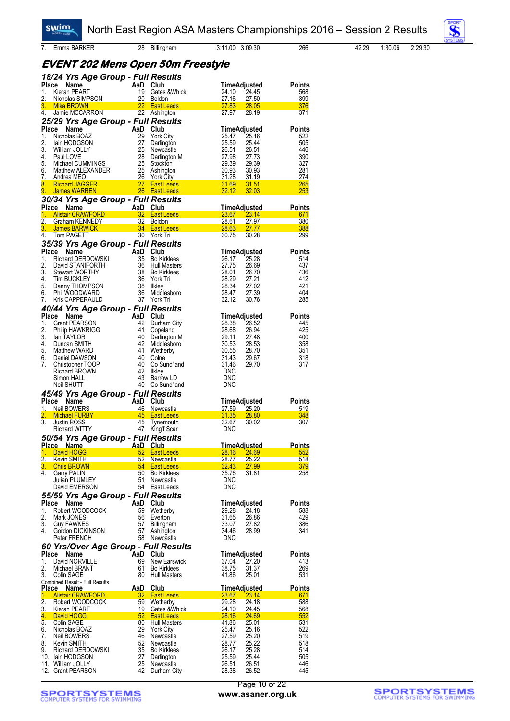**Swim** 

7. Emma BARKER 28 Billingham 3:11.00 3:09.30 266 42.29 1:30.06 2:29.30



| <b>EVENT 202 Mens Open 50m Freestyle</b> |  |  |
|------------------------------------------|--|--|
|                                          |  |  |

|                  | 18/24 Yrs Age Group - Full Results       |                |                                           |                                         |                      |
|------------------|------------------------------------------|----------------|-------------------------------------------|-----------------------------------------|----------------------|
| Place            | Name                                     | AaD Club       |                                           | TimeAdjusted                            | Points               |
| 1.<br>2.         | Kieran PEART<br>Nicholas SIMPSON         | 19<br>20       | Gates & Whick<br>Boldon                   | 24.45<br>24.10<br>27.16<br>27.50        | 568<br>399           |
| 3.               | <b>Mika BROWN</b>                        | 22             | <b>East Leeds</b>                         | 27.83<br>28.05                          | 376                  |
| 4.               | Jamie MCCARRON                           | 22             | Ashington                                 | 27.97<br>28.19                          | 371                  |
|                  | 25/29 Yrs Age Group - Full Results       |                |                                           |                                         |                      |
| Place            | Name                                     | AaD            | Club                                      | TimeAdjusted                            | <b>Points</b>        |
| 1.               | Nicholas BOAZ                            | 29             | <b>York City</b>                          | 25.47<br>25.16                          | 522                  |
| 2.<br>3.         | lain HODGSON                             | 27<br>25       | Darlington                                | 25.59<br>25.44                          | 505<br>446           |
| 4.               | William JOLLY<br>Paul LOVE               | 28             | Newcastle<br>Darlington M                 | 26.51<br>26.51<br>27.98<br>27.73        | 390                  |
| 5.               | Michael CUMMINGS                         | 25             | Stockton                                  | 29.39<br>29.39                          | 327                  |
| 6.               | Matthew ALEXANDER                        | 25             | Ashington                                 | 30.93<br>30.93                          | 281                  |
| 7.               | Andrea MEO                               | 26             | <b>York City</b>                          | 31.28<br>31.19                          | 274                  |
| 8.               | $\frac{27}{26}$<br><b>Richard JAGGER</b> |                | <b>East Leeds</b>                         | 31.69<br>31.51                          | <b>265</b>           |
| 9.               | <b>James WARREN</b>                      |                | 26 East Leeds                             | 32.12<br>32.03                          | 253                  |
|                  | 30/34 Yrs Age Group - Full Results       |                |                                           |                                         |                      |
| Place Name<br>1. | <b>Alistair CRAWFORD</b>                 | AaD Club<br>32 | <b>East Leeds</b>                         | <u>TimeAdjusted</u><br>23.67<br>23.14   | Points<br>671        |
| 2.               | Graham KENNEDY                           | 32             | Boldon                                    | <u>28.61</u><br>27.97                   | 380                  |
| 3.               | James BARWICK <b>State State State</b>   | 34             | <b>East Leeds</b>                         | <b>28.63</b><br>27.77                   | 388                  |
| 4.               | Tom PAGETT                               |                | 30 York Tri                               | 30.75<br>30.28                          | 299                  |
|                  | 35/39 Yrs Age Group - Full Results       |                |                                           |                                         |                      |
| <b>Place</b>     | Name                                     | AaD            | Club                                      | TimeAdjusted                            | <b>Points</b>        |
| 1.               | Richard DERDOWSKI                        | 35             | <b>Bo Kirklees</b>                        | 25.28<br>26.17                          | 514                  |
| 2.<br>3.         | David STANIFORTH                         | 36             | Hull Masters                              | 27.75<br>26.69                          | 437                  |
| 4.               | <b>Stewart WORTHY</b><br>Tim BUCKLEY     | 38<br>36       | <b>Bo Kirklees</b><br>York Tri            | 28.01<br>26.70<br>28.29<br>27.21        | 436<br>412           |
| 5.               | Danny THOMPSON                           | -38            | Ilkley                                    | 28.34<br>27.02                          | 421                  |
| 6.               | Phil WOODWARD                            | 36             | Middlesboro                               | 28.47<br>27.39                          | 404                  |
| 7.               | <b>Kris CAPPERAULD</b>                   | 37             | York Tri                                  | 32.12<br>30.76                          | 285                  |
|                  | 40/44 Yrs Age Group - Full Results       |                |                                           |                                         |                      |
| Place            | Name                                     | AaD            | Club                                      | TimeAdjusted                            | <b>Points</b>        |
| 1.               | <b>Grant PEARSON</b>                     | 42             | Durham City                               | 28.38<br>26.52                          | 445                  |
| 2.               | <b>Philip HAWKRIGG</b>                   | 41             | Copeland                                  | 28.68<br>26.94                          | 425                  |
| 3.               | lan TAYLOR                               | 40             | Darlington M                              | 29.11<br>27.48                          | 400                  |
| 4.<br>5.         | Duncan SMITH<br>Matthew WARD             | 42<br>41       | Middlesboro<br>Wetherby                   | 30.53<br>28.53<br>30.55<br>28.70        | 358<br>351           |
| 6.               | Daniel DAWSON                            | 40             | Colne                                     | 31.43<br>29.67                          | 318                  |
| 7.               | Christopher TOOP                         | 40             | Co Sund'land                              | 31.46<br>29.70                          | 317                  |
|                  | <b>Richard BROWN</b>                     | 42             | likley                                    | <b>DNC</b>                              |                      |
|                  | Simon HALL                               | 43             | Barrow LD                                 | <b>DNC</b>                              |                      |
|                  | Neil SHUTT                               | 40             | Co Sund'land                              | <b>DNC</b>                              |                      |
|                  | 45/49 Yrs Age Group - Full Results       |                |                                           |                                         |                      |
| Place            | Name                                     | AaD            | Club                                      | TimeAdjusted                            | Points               |
| 1.               | Neil BOWERS                              | 46             | Newcastle                                 | 27.59<br>25.20                          | 519                  |
| 2.<br>3.         | <b>Michael FURBY</b><br>Justin ROSS      | 45<br>45       | <b>East Leeds</b><br>Tynemouth            | 31.35<br>28.80<br>32.67<br>30.02        | 348<br>307           |
|                  | <b>Richard WITTY</b>                     | 47             | King'f Scar                               | <b>DNC</b>                              |                      |
|                  | 50/54 Yrs Age Group - Full Results       |                |                                           |                                         |                      |
|                  | Place Name                               | AaD Club       |                                           | <u>TimeAdjusted</u>                     | <b>Points</b>        |
|                  | 1. David HOGG                            | 52             | <b>East Leeds</b>                         | 28.16<br>24.69                          | 552                  |
| 2.               | Kevin SMITH                              | <u>52</u>      | <b>Newcastle</b>                          | <u> 28.77</u><br><u>25.22</u>           | 518                  |
| 3.               | <b>Chris BROWN</b>                       | 54             | <b>East Leeds</b>                         | 32.43<br>27.99                          | 379                  |
| 4.               | <b>Garry PALIN</b>                       | 50             | Bo Kirklees                               | 35.76<br>31.81                          | 258                  |
|                  | Julian PLUMLEY<br>David EMERSON          | 51             | Newcastle<br>54 East Leeds                | <b>DNC</b><br><b>DNC</b>                |                      |
|                  | 55/59 Yrs Age Group - Full Results       |                |                                           |                                         |                      |
|                  |                                          |                |                                           |                                         |                      |
| Place<br>1.      | Name<br>Robert WOODCOCK                  | AaD<br>59      | Club<br>Wetherby                          | TimeAdjusted<br>24.18<br>29.28          | <b>Points</b><br>588 |
| 2.               | Mark JONES                               | 56             | Everton                                   | 31.65<br>26.86                          | 429                  |
| 3.               | <b>Guy FAWKES</b>                        | 57             | Billingham                                | 33.07<br>27.82                          | 386                  |
| 4.               | Gordon DICKINSON                         | 57             | Ashington                                 | 34.46<br>28.99                          | 341                  |
|                  | Peter FRENCH                             | 58             | Newcastle                                 | <b>DNC</b>                              |                      |
|                  | 60 Yrs/Over Age Group - Full Results     |                |                                           |                                         |                      |
| Place            | Name                                     | AaD            | Club                                      | TimeAdjusted                            | <b>Points</b>        |
| 1.               | David NORVILLE                           | 69             | New Earswick                              | 27.20<br>37.04                          | 413                  |
| 2.<br>3.         | Michael BRANT<br>Colin SAGE              | 61<br>80       | <b>Bo Kirklees</b><br><b>Hull Masters</b> | 38.75<br>31.37<br>41.86<br>25.01        | 269<br>531           |
|                  | Combined Result - Full Results           |                |                                           |                                         |                      |
| Place            | Name                                     | AaD            | Club                                      | <b>TimeAdjusted</b>                     | <b>Points</b>        |
| 1.               | <b>Alistair CRAWFORD</b>                 | <u>32</u>      | <b>East Leeds</b>                         | <b>23.67</b><br><u>23.14</u>            | 671                  |
| 2.               | Robert WOODCOCK                          | 59             | Wetherby                                  | 29.28<br>24.18                          | 588                  |
| 3.               | Kieran PEART                             | 19             | Gates & Whick                             | 24.10<br>24.45                          | 568                  |
| 4.<br>5.         | David HOGG<br>Colin SAGE                 | 52<br>80       | <b>East Leeds</b><br>Hull Masters         | 28.16<br><b>24.69</b><br>41.86<br>25.01 | 552<br>531           |
| 6.               | Nicholas BOAZ                            | 29             | <b>York City</b>                          | 25.47<br>25.16                          | 522                  |
| 7.               | Neil BOWERS                              | 46             | Newcastle                                 | 27.59<br>25.20                          | 519                  |
| 8.               | Kevin SMITH                              | 52             | Newcastle                                 | 28.77<br>25.22                          | 518                  |
| 9.               | <b>Richard DERDOWSKI</b>                 | 35             | <b>Bo Kirklees</b>                        | 26.17<br>25.28                          | 514                  |
|                  | 10. Iain HODGSON                         | 27             | Darlington                                | 25.59<br>25.44                          | 505                  |
|                  | 11. William JOLLY<br>12. Grant PEARSON   | 25<br>42       | Newcastle<br>Durham City                  | 26.51<br>26.51<br>28.38<br>26.52        | 446<br>445           |
|                  |                                          |                |                                           |                                         |                      |

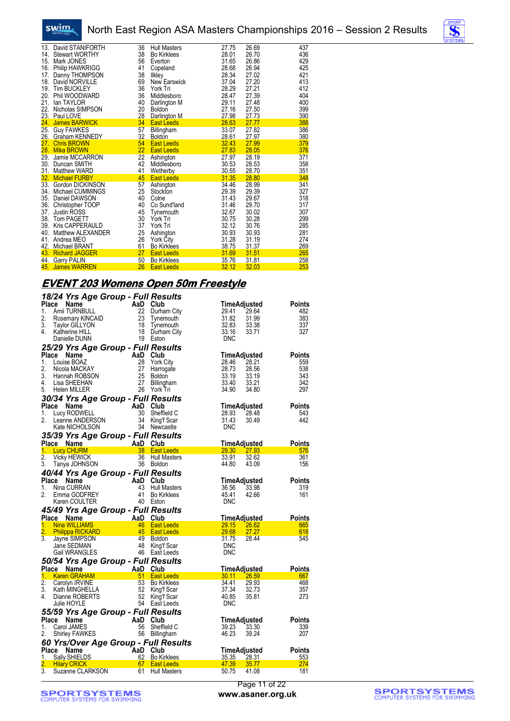



| 13. | David STANIFORTH      | 36 | <b>Hull Masters</b> | 27.75 | 26.69 | 437 |
|-----|-----------------------|----|---------------------|-------|-------|-----|
|     | 14. Stewart WORTHY    | 38 | <b>Bo Kirklees</b>  | 28.01 | 26.70 | 436 |
|     | 15. Mark JONES        | 56 | Everton             | 31.65 | 26.86 | 429 |
|     | 16. Philip HAWKRIGG   | 41 | Copeland            | 28.68 | 26.94 | 425 |
|     | 17. Danny THOMPSON    | 38 | Ilkley              | 28.34 | 27.02 | 421 |
|     | 18. David NORVILLE    | 69 | New Earswick        | 37.04 | 27.20 | 413 |
|     | 19. Tim BUCKLEY       | 36 | York Tri            | 28.29 | 27.21 | 412 |
|     | 20. Phil WOODWARD     | 36 | Middlesboro         | 28.47 | 27.39 | 404 |
| 21. | lan TAYLOR            | 40 | Darlington M        | 29.11 | 27.48 | 400 |
|     | 22. Nicholas SIMPSON  | 20 | Boldon              | 27.16 | 27.50 | 399 |
|     | 23. Paul LOVE         | 28 | Darlington M        | 27.98 | 27.73 | 390 |
|     | 24. James BARWICK     | 34 | <b>East Leeds</b>   | 28.63 | 27.77 | 388 |
|     | 25. Guy FAWKES        | 57 | Billingham          | 33.07 | 27.82 | 386 |
|     | 26. Graham KENNEDY    | 32 | <b>Boldon</b>       | 28.61 | 27.97 | 380 |
|     | 27. Chris BROWN       | 54 | <b>East Leeds</b>   | 32.43 | 27.99 | 379 |
| 28. | <b>Mika BROWN</b>     | 22 | <b>East Leeds</b>   | 27.83 | 28.05 | 376 |
|     | 29. Jamie MCCARRON    | 22 | Ashington           | 27.97 | 28.19 | 371 |
|     | 30. Duncan SMITH      | 42 | Middlesboro         | 30.53 | 28.53 | 358 |
|     | 31. Matthew WARD      | 41 | Wetherby            | 30.55 | 28.70 | 351 |
|     | 32. Michael FURBY     | 45 | <b>East Leeds</b>   | 31.35 | 28.80 | 348 |
|     | 33. Gordon DICKINSON  | 57 | Ashington           | 34.46 | 28.99 | 341 |
|     | 34. Michael CUMMINGS  | 25 | Stockton            | 29.39 | 29.39 | 327 |
|     | 35. Daniel DAWSON     | 40 | Colne               | 31.43 | 29.67 | 318 |
| 36. | Christopher TOOP      | 40 | Co Sund'land        | 31.46 | 29.70 | 317 |
| 37. | <b>Justin ROSS</b>    | 45 | Tynemouth           | 32.67 | 30.02 | 307 |
|     | 38. Tom PAGETT        | 30 | York Tri            | 30.75 | 30.28 | 299 |
|     | 39. Kris CAPPERAULD   | 37 | York Tri            | 32.12 | 30.76 | 285 |
|     | 40. Matthew ALEXANDER | 25 | Ashington           | 30.93 | 30.93 | 281 |
|     | 41. Andrea MEO        | 26 | <b>York City</b>    | 31.28 | 31.19 | 274 |
|     | 42. Michael BRANT     | 61 | <b>Bo Kirklees</b>  | 38.75 | 31.37 | 269 |
|     | 43. Richard JAGGER    | 27 | <b>East Leeds</b>   | 31.69 | 31.51 | 265 |
|     | 44. Garry PALIN       | 50 | <b>Bo Kirklees</b>  | 35.76 | 31.81 | 258 |
|     | 45. James WARREN      | 26 | <b>East Leeds</b>   | 32.12 | 32.03 | 253 |

#### **EVENT 203 Womens Open 50m Freestyle**

|                        | 18/24 Yrs Age Group - Full Results                                                                                                                                                                                                   |                 |                                                |                                       |                      |
|------------------------|--------------------------------------------------------------------------------------------------------------------------------------------------------------------------------------------------------------------------------------|-----------------|------------------------------------------------|---------------------------------------|----------------------|
| Place                  |                                                                                                                                                                                                                                      | AaD             | Club                                           | TimeAdjusted                          | <b>Points</b>        |
| 1.                     |                                                                                                                                                                                                                                      | 22              | Durham City                                    | 29.64<br>29.41                        | 482                  |
| 2.                     |                                                                                                                                                                                                                                      | 23              |                                                | 31.82<br>31.99                        | 383                  |
| 3.                     |                                                                                                                                                                                                                                      |                 | 23 Tynemouth<br>18 Tynemouth<br>18 Durbam City | 32.83<br>33.38                        | 337                  |
| 4.                     | <b>Example 18 And Control Control Control Control Control Control Control Control Control Control Control Control Control Control Control Control Control Control Control Control Control Control Control Control Control Contro</b> | 18              | Durham City                                    | 33.16<br>33.71                        | 327                  |
|                        | Danielle DUNN                                                                                                                                                                                                                        |                 | 19 Eston                                       | <b>DNC</b>                            |                      |
|                        | 25/29 Yrs Age Group - Full Results                                                                                                                                                                                                   |                 |                                                |                                       |                      |
| <b>Place</b>           | Name                                                                                                                                                                                                                                 | AaD             | Club                                           | <b>TimeAdjusted</b>                   | Points               |
| 1.                     | Louise BOAZ                                                                                                                                                                                                                          | 28              | <b>York City</b>                               | 28.21<br>28.46                        | 559                  |
| 2.                     | Nicola MACKAY                                                                                                                                                                                                                        | 27              | Harrogate                                      | 28.73<br>28.56                        | 538                  |
| 3.                     | Hannah ROBSON                                                                                                                                                                                                                        | 25              | <b>Boldon</b>                                  | 33.19<br>33.19                        | 343                  |
| 4.                     | Lisa SHEEHAN                                                                                                                                                                                                                         | 27<br>26        | <b>Billingham</b>                              | 33.40<br>33.21<br>34.90               | 342<br>297           |
| 5.                     | Helen MILLER                                                                                                                                                                                                                         |                 | York Tri                                       | 34.80                                 |                      |
|                        | 30/34 Yrs Age Group - Full Results                                                                                                                                                                                                   |                 |                                                |                                       |                      |
| Place                  | Ce Name ADD<br>Lucy RODWELL<br>Leanne ANDERSON 34<br>Kate NICHOLSON 34                                                                                                                                                               |                 | Club                                           | TimeAdjusted                          | Points               |
| 1.                     |                                                                                                                                                                                                                                      |                 | Sheffield C                                    | 28.48<br>28.93                        | 543                  |
| 2.                     |                                                                                                                                                                                                                                      |                 | 34 King'f Scar                                 | 31.43<br>30.49                        | 442                  |
|                        |                                                                                                                                                                                                                                      |                 | 34 Newcastle                                   | <b>DNC</b>                            |                      |
|                        | 35/39 Yrs Age Group - Full Results                                                                                                                                                                                                   |                 |                                                |                                       |                      |
|                        | Place Name<br>AaD Club<br>AaD Club<br>38 East L                                                                                                                                                                                      |                 |                                                | TimeAdjusted                          | Points               |
| 1.<br>$\overline{2}$ . | <b>Lucy CHURM</b>                                                                                                                                                                                                                    |                 | <b>East Leeds</b><br>36 Hull Masters           | 29.30<br>27.93<br>33.91<br>32.62      | 576<br>361           |
| 3.                     | <b>Vicky HEWICK</b>                                                                                                                                                                                                                  | 36              | <b>Boldon</b>                                  | 44.80<br>43.09                        | 156                  |
|                        | Tanya JOHNSON                                                                                                                                                                                                                        |                 |                                                |                                       |                      |
|                        | 40/44 Yrs Age Group - Full Results                                                                                                                                                                                                   |                 |                                                |                                       |                      |
| Place<br>1.            | Name<br>Nina CURRAN                                                                                                                                                                                                                  | AaD Club<br>43  | <b>Hull Masters</b>                            | TimeAdjusted<br>36.56<br>33.98        | <b>Points</b><br>319 |
|                        |                                                                                                                                                                                                                                      |                 |                                                |                                       |                      |
|                        |                                                                                                                                                                                                                                      |                 |                                                |                                       |                      |
| 2.                     | Emma GODFREY                                                                                                                                                                                                                         | 41              | <b>Bo Kirklees</b>                             | 45.41<br>42.66                        | 161                  |
|                        | Karen COULTER                                                                                                                                                                                                                        |                 | 40 Eston                                       | <b>DNC</b>                            |                      |
|                        | 45/49 Yrs Age Group - Full Results                                                                                                                                                                                                   |                 |                                                |                                       |                      |
|                        | Place Name                                                                                                                                                                                                                           | AaD             | Club                                           | <b>TimeAdjusted</b>                   | <b>Points</b>        |
| 1.                     |                                                                                                                                                                                                                                      | - 46 -          | <b>East Leeds</b>                              | 29.15<br>26.62                        | 665                  |
| 2.                     | Ce Name<br>Nina WILLIAMS<br>Philippa RICKARD                                                                                                                                                                                         | 45 <sup>2</sup> | East Leeds                                     | 29.68<br>27.27                        | 618                  |
| 3.                     | Jayne SIMPSON                                                                                                                                                                                                                        | 49              | <b>Boldon</b>                                  | 31.75<br>28.44                        | 545                  |
|                        | Jane SEDMAN<br><b>Gail WRANGLES</b>                                                                                                                                                                                                  | 48              | King'f Scar<br>46 East Leeds                   | <b>DNC</b><br><b>DNC</b>              |                      |
|                        |                                                                                                                                                                                                                                      |                 |                                                |                                       |                      |
|                        | 50/54 Yrs Age Group - Full Results                                                                                                                                                                                                   |                 |                                                |                                       |                      |
|                        | Place Name                                                                                                                                                                                                                           |                 | Club<br><b>East Leeds</b>                      | <b>TimeAdjusted</b>                   | <b>Points</b><br>667 |
| 1.<br>$\overline{2}$ . | $\frac{1}{\sqrt{1-\frac{51}{}}}\$<br><b>Karen GRAHAM</b>                                                                                                                                                                             | 53              | <b>Bo Kirklees</b>                             | 30.11 26.59<br>34.41<br>29.93         | 468                  |
| 3.                     |                                                                                                                                                                                                                                      | 52              | King'f Scar                                    | 37.34<br>32.73                        | 357                  |
| 4.                     |                                                                                                                                                                                                                                      | 52              | King'f Scar                                    | 40.85<br>35.81                        | 273                  |
|                        | Carolyn IRVINE<br>Kath MINGHELLA<br>Dianne ROBERTS<br>Dianne ROBERTS<br>Julie HOYLE                                                                                                                                                  | 54              | East Leeds                                     | <b>DNC</b>                            |                      |
|                        |                                                                                                                                                                                                                                      |                 |                                                |                                       |                      |
| Place                  | 55/59 Yrs Age Group - Full Results                                                                                                                                                                                                   | AaD             | Club                                           | TimeAdjusted                          | Points               |
| 1.                     |                                                                                                                                                                                                                                      | 56              | Sheffield C                                    | 33.30<br>39.23                        | 339                  |
| 2.                     |                                                                                                                                                                                                                                      |                 | 56 Billingham                                  | 46.23<br>39.24                        | 207                  |
|                        | Carol JAMES<br>Carol JAMES<br>Shirley FAWKES<br>Varian Caroline Valley FAWKES                                                                                                                                                        |                 |                                                |                                       |                      |
|                        |                                                                                                                                                                                                                                      |                 |                                                |                                       | <b>Points</b>        |
|                        |                                                                                                                                                                                                                                      |                 |                                                | TimeAdjusted<br><u>35.35</u><br>28.31 | 553                  |
|                        | <b>60 Yrs/Over Age Group - Full Results<br/>Place Name AaD Club<br/>1. Sally SHIELDS 62 Bo Kirklees</b><br>$\overline{67}$<br><b>Hilary CRICK</b><br>Suzanne CLARKSON                                                                | 61              | <b>East Leeds</b>                              | 47.39<br>35.77<br>50.75               | 274<br>181           |

Page 11 of 22 **www.asaner.org.uk**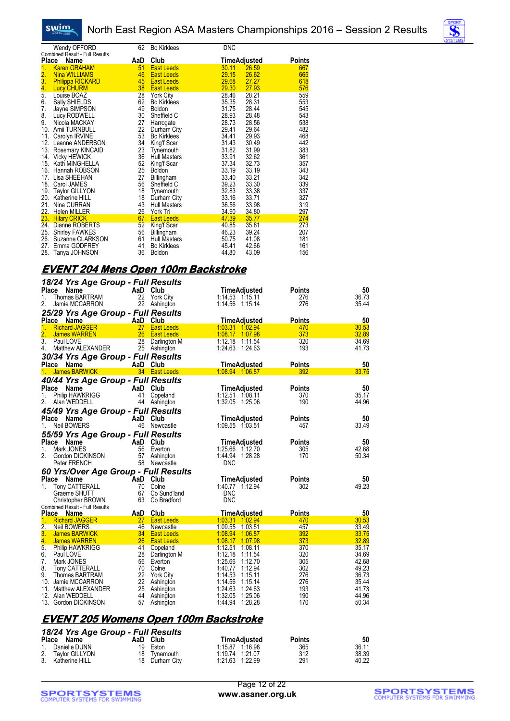



|               | Wendy OFFORD                                  | 62  | <b>Bo Kirklees</b>  | <b>DNC</b> |                     |               |
|---------------|-----------------------------------------------|-----|---------------------|------------|---------------------|---------------|
| <b>Place</b>  | Combined Result - Full Results<br><b>Name</b> | AaD | Club                |            | <u>TimeAdjusted</u> | <b>Points</b> |
| 1.            | <b>Karen GRAHAM</b>                           | 51  | <b>East Leeds</b>   | 30.11      | 26.59               | 667           |
|               | <b>Nina WILLIAMS</b>                          | 46  | <b>East Leeds</b>   | 29.15      | 26.62               | 665           |
| $\frac{2}{3}$ | <b>Philippa RICKARD</b>                       | 45  | <b>East Leeds</b>   | 29.68      | 27.27               | 618           |
|               | <b>Lucy CHURM</b>                             | 38  | <b>East Leeds</b>   | 29.30      | 27.93               | 576           |
| $\frac{4}{5}$ | Louise BOAZ                                   | 28  | <b>York City</b>    | 28.46      | 28.21               | 559           |
| 6.            | Sally SHIELDS                                 | 62  | <b>Bo Kirklees</b>  | 35.35      | 28.31               | 553           |
| 7.            | Jayne SIMPSON                                 | 49  | <b>Boldon</b>       | 31.75      | 28.44               | 545           |
| 8.            | Lucy RODWELL                                  | 30  | Sheffield C         | 28.93      | 28.48               | 543           |
| 9.            | Nicola MACKAY                                 | 27  | Harrogate           | 28.73      | 28.56               | 538           |
| 10.           | Amii TURNBULL                                 | 22  | Durham City         | 29.41      | 29.64               | 482           |
| 11.           | Carolyn IRVINE                                | 53  | Bo Kirklees         | 34.41      | 29.93               | 468           |
| 12.           | Leanne ANDERSON                               | 34  | King'f Scar         | 31.43      | 30.49               | 442           |
| 13.           | Rosemary KINCAID                              | 23  | Tynemouth           | 31.82      | 31.99               | 383           |
| 14.           | Vicky HEWICK                                  | 36  | <b>Hull Masters</b> | 33.91      | 32.62               | 361           |
| 15.           | Kath MINGHELLA                                | 52  | King'f Scar         | 37.34      | 32.73               | 357           |
| 16.           | Hannah ROBSON                                 | 25  | <b>Boldon</b>       | 33.19      | 33.19               | 343           |
| 17.           | Lisa SHEEHAN                                  | 27  | Billingham          | 33.40      | 33.21               | 342           |
| 18.           | Carol JAMES                                   | 56  | Sheffield C         | 39.23      | 33.30               | 339           |
| 19.           | <b>Taylor GILLYON</b>                         | 18  | Tynemouth           | 32.83      | 33.38               | 337           |
|               | 20. Katherine HILL                            | 18  | Durham City         | 33.16      | 33.71               | 327           |
| 21.           | Nina CURRAN                                   | 43  | <b>Hull Masters</b> | 36.56      | 33.98               | 319           |
|               | 22. Helen MILLER                              | 26  | York Tri            | 34.90      | 34.80               | 297           |
| 23.           | <b>Hilary CRICK</b>                           | 67  | <b>East Leeds</b>   | 47.39      | 35.77               | 274           |
| 24.           | Dianne ROBERTS                                | 52  | King'f Scar         | 40.85      | 35.81               | 273           |
| 25.           | <b>Shirley FAWKES</b>                         | 56  | Billingham          | 46.23      | 39.24               | 207           |
| 26.           | Suzanne CLARKSON                              | 61  | <b>Hull Masters</b> | 50.75      | 41.08               | 181           |
| 27.           | Emma GODFREY                                  | 41  | <b>Bo Kirklees</b>  | 45.41      | 42.66               | 161           |
|               | 28. Tanya JOHNSON                             | 36  | <b>Boldon</b>       | 44.80      | 43.09               | 156           |

# **EVENT 204 Mens Open 100m Backstroke**

| 18/24 Yrs Age Group - Full Results    |                 |                           |                     |               |       |
|---------------------------------------|-----------------|---------------------------|---------------------|---------------|-------|
| Name<br>Place                         | AaD             | Club                      | TimeAdjusted        | <b>Points</b> | 50    |
| Thomas BARTRAM<br>1.                  | 22              | <b>York City</b>          | $1:14.53$ $1:15.11$ | 276           | 36.73 |
| 2.<br>Jamie MCCARRON                  | 22              | Ashington                 | 1:14.56 1:15.14     | 276           | 35.44 |
| 25/29 Yrs Age Group - Full Results    |                 |                           |                     |               |       |
| Place<br>Name                         | AaD             | Club                      | TimeAdjusted        | <b>Points</b> | 50    |
| 1,<br><b>Richard JAGGER</b>           | 27 <sup>2</sup> | <b>East Leeds</b>         | 1:03.31 1:02.94     | 470           | 30.53 |
| 2.<br><b>James WARREN</b>             | 26              | <b>East Leeds</b>         | 1:08.17 1:07.98     | 373           | 32.89 |
| 3.<br>Paul LOVE                       | 28              | Darlington M              | 1:12.18 1:11.54     | 320           | 34.69 |
| 4.<br>Matthew ALEXANDER               | 25              | Ashington                 | 1:24.63<br>1:24.63  | 193           | 41.73 |
| 30/34 Yrs Age Group - Full Results    |                 |                           |                     |               |       |
| Place Name                            | AaD Club        |                           | <b>TimeAdjusted</b> | <b>Points</b> | 50    |
| <b>James BARWICK</b><br>1.            |                 | 34 East Leeds             | 1:08.94 1:06.87     | 392           | 33.75 |
|                                       |                 |                           |                     |               |       |
| 40/44 Yrs Age Group - Full Results    |                 |                           |                     |               |       |
| <b>Place</b><br>Name                  | AaD             | Club                      | TimeAdjusted        | <b>Points</b> | 50    |
| <b>Philip HAWKRIGG</b><br>1.          | 41              | Copeland                  | 1:12.51 1:08.11     | 370           | 35.17 |
| 2.<br>Alan WEDDELL                    | 44              | Ashington                 | 1:32.05 1:25.06     | 190           | 44.96 |
| 45/49 Yrs Age Group - Full Results    |                 |                           |                     |               |       |
| Place<br>Name                         | AaD Club        |                           | <b>TimeAdjusted</b> | Points        | 50    |
| 1.<br><b>Neil BOWERS</b>              | 46              | Newcastle                 | 1:09.55 1:03.51     | 457           | 33.49 |
| 55/59 Yrs Age Group - Full Results    |                 |                           |                     |               |       |
| <b>Place</b><br>Name                  | AaD             | Club                      | TimeAdjusted        | <b>Points</b> | 50    |
| Mark JONES<br>1.                      | 56              | Everton                   | 1:25.66 1:12.70     | 305           | 42.68 |
| 2.<br>Gordon DICKINSON                | 57              |                           | 1:44.94<br>1.28.28  | 170           | 50.34 |
| Peter FRENCH                          |                 | Ashington<br>58 Newcastle | <b>DNC</b>          |               |       |
|                                       |                 |                           |                     |               |       |
| 60 Yrs/Over Age Group - Full Results  |                 |                           |                     |               |       |
| Place<br>Name                         | AaD             | Club                      | TimeAdjusted        | <b>Points</b> | 50    |
| 1.<br><b>Tony CATTERALL</b>           | 70              | Colne                     | 1:40.77 1:12.94     | 302           | 49.23 |
| Graeme SHUTT                          | 67              | Co Sund'land              | <b>DNC</b>          |               |       |
| Christopher BROWN                     | 63              | Co Bradford               | <b>DNC</b>          |               |       |
| <b>Combined Result - Full Results</b> |                 |                           |                     |               |       |
| Place<br>Name                         | AaD             | Club                      | <b>TimeAdjusted</b> | <b>Points</b> | 50    |
| 1.<br><b>Richard JAGGER</b>           | 27 <sub>2</sub> | <b>East Leeds</b>         | 1:03.31 1:02.94     | 470           | 30.53 |
| $\overline{2}$ .<br>Neil BOWERS       | 46              | Newcastle                 | 1:09.55 1:03.51     | 457           | 33.49 |
| 3.<br><b>James BARWICK</b>            |                 | 34 East Leeds             | 1:08.94<br>1:06.87  | 392           | 33.75 |
| 4.<br><b>James WARREN</b>             | 26              | <b>East Leeds</b>         | 1:08.17<br>1:07.98  | 373           | 32.89 |
| 5.<br><b>Philip HAWKRIGG</b>          | 41              | Copeland                  | 1:12.51<br>1:08.11  | 370           | 35.17 |
| 6.<br>Paul LOVE                       | 28              | Darlington M              | 1:12.18 1:11.54     | 320           | 34.69 |
| 7.<br>Mark JONES                      | 56              | Everton                   | 1:25.66<br>1:12.70  | 305           | 42.68 |
| 8.<br>Tony CATTERALL                  | 70              | Colne                     | 1:40.77 1:12.94     | 302           | 49.23 |
| 9.<br>Thomas BARTRAM                  | 22              | <b>York City</b>          | 1:14.53<br>1:15.11  | 276           | 36.73 |
| 10. Jamie MCCARRON                    | 22              | Ashington                 | 1:14.56<br>1:15.14  | 276           | 35.44 |
| Matthew ALEXANDER<br>11.              | 25              | Ashington                 | 1:24.63<br>1:24.63  | 193           | 41.73 |
| 12. Alan WEDDELL                      | 44              | Ashington                 | 1:32.05<br>1:25.06  | 190           | 44.96 |
| 13. Gordon DICKINSON                  | 57              | Ashington                 | 1:44.94<br>1:28.28  | 170           | 50.34 |
|                                       |                 |                           |                     |               |       |

#### **EVENT 205 Womens Open 100m Backstroke**

| 18/24 Yrs Age Group - Full Results |    |                |                 |                     |               |       |
|------------------------------------|----|----------------|-----------------|---------------------|---------------|-------|
| Place Name                         |    | AaD Club       |                 | <b>TimeAdiusted</b> | <b>Points</b> | 50    |
| 1. Danielle DUNN                   | 19 | Eston          | 1:15.87 1:16.98 |                     | 365           | 36.11 |
| 2. Taylor GILLYON                  |    | 18 Tynemouth   | 1:19.74 1:21.07 |                     | 312           | 38.39 |
| 3. Katherine HILL                  |    | 18 Durham City | 1:21.63 1:22.99 |                     | 291           | 40.22 |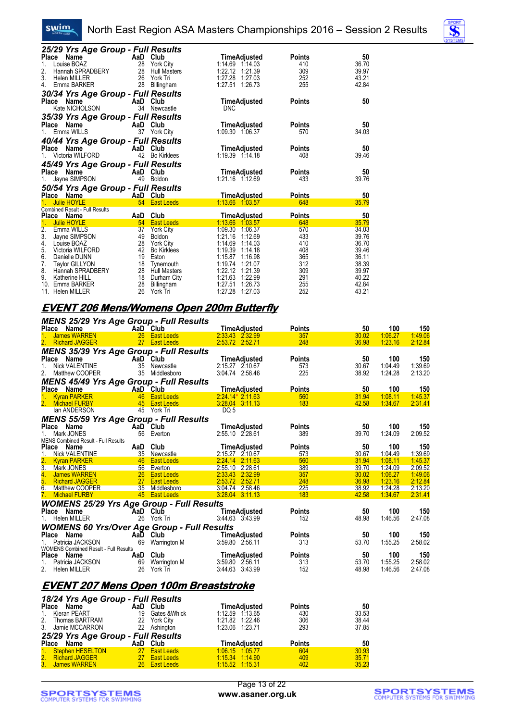#### North East Region ASA Masters Championships 2016 – Session 2 Results

| 25/29 Yrs Age Group - Full Results                          |          |                     |                                        |               |       |
|-------------------------------------------------------------|----------|---------------------|----------------------------------------|---------------|-------|
| Name<br>Place                                               | AaD      | Club                | TimeAdjusted                           | <b>Points</b> | 50    |
| Louise BOAZ<br>1.                                           | 28       | <b>York City</b>    | 1:14.69<br>1:14.03                     | 410           | 36.70 |
| 2.<br>Hannah SPRADBERY                                      | 28       | <b>Hull Masters</b> | 1:22.12<br>1:21.39                     | 309           | 39.97 |
| 3.<br><b>Helen MILLER</b>                                   | 26       | York Tri            | 1:27.28<br>1.27.03                     | 252           | 43.21 |
| 4.<br>Emma BARKER                                           | 28       | Billingham          | 1:27.51 1:26.73                        | 255           | 42.84 |
| 30/34 Yrs Age Group - Full Results                          |          |                     |                                        |               |       |
| Name<br><b>Place</b>                                        | AaD      | Club                | TimeAdjusted                           | <b>Points</b> | 50    |
| Kate NICHOLSON                                              | 34       | Newcastle           | <b>DNC</b>                             |               |       |
| 35/39 Yrs Age Group - Full Results                          |          |                     |                                        |               |       |
| Name<br><b>Place</b>                                        | AaD      | Club                | TimeAdjusted                           | <b>Points</b> | 50    |
| Emma WILLS                                                  | 37       | <b>York City</b>    | 1:09.30 1:06.37                        | 570           | 34.03 |
| 40/44 Yrs Age Group - Full Results                          |          |                     |                                        |               |       |
| Place<br>Name                                               | AaD      | Club                | <b>TimeAdjusted</b>                    | Points        | 50    |
| Victoria WILFORD                                            | 42       | <b>Bo Kirklees</b>  | 1:19.39 1:14.18                        | 408           | 39.46 |
|                                                             |          |                     |                                        |               |       |
| 45/49 Yrs Age Group - Full Results<br>Place Name            | AaD      | Club                |                                        | <b>Points</b> | 50    |
| Jayne SIMPSON                                               | 49       | Boldon              | <b>TimeAdjusted</b><br>1:21.16 1:12.69 | 433           | 39.76 |
|                                                             |          |                     |                                        |               |       |
| 50/54 Yrs Age Group - Full Results                          |          |                     |                                        |               |       |
| Place Name                                                  | AaD Club |                     | <u>TimeAdjusted</u>                    | Points        | 50    |
| <b>Julie HOYLE</b><br><b>Combined Result - Full Results</b> | 54       | <b>East Leeds</b>   | 1:13.66 1:03.57                        | 648           | 35.79 |
| Place Name                                                  | AaD      | Club                | <b>TimeAdjusted</b>                    | <b>Points</b> | 50    |
| <b>Julie HOYLE</b>                                          | 54       | <b>East Leeds</b>   | 1:13.66<br>1:03.57                     | 648           | 35.79 |
| $\overline{2}$ .<br>Emma WILLS                              | 37       | <b>York City</b>    | 1:09.30<br>1:06.37                     | 570           | 34.03 |
| 3.<br>Jayne SIMPSON                                         | 49       | <b>Boldon</b>       | 1:21.16<br>1:12.69                     | 433           | 39.76 |
| 4.<br>Louise BOAZ                                           | 28       | <b>York City</b>    | 1:14.69<br>1:14.03                     | 410           | 36.70 |
| 5.<br>Victoria WILFORD                                      | 42       | <b>Bo Kirklees</b>  | 1:19.39<br>1:14.18                     | 408           | 39.46 |
| 6.<br>Danielle DUNN                                         | 19       | Eston               | 1:15.87<br>1:16.98                     | 365           | 36.11 |
| 7.<br><b>Taylor GILLYON</b>                                 | 18       | Tynemouth           | 1:19.74<br>1:21.07                     | 312           | 38.39 |
| 8.<br>Hannah SPRADBERY                                      | 28       | <b>Hull Masters</b> | 1:22.12<br>1:21.39                     | 309           | 39.97 |
| 9.<br>Katherine HILL                                        | 18       | Durham City         | 1:21.63<br>1:22.99                     | 291           | 40.22 |
| 10.<br>Emma BARKER                                          | 28       | Billingham          | 1:27.51<br>1:26.73                     | 255           | 42.84 |
| Helen MILLER<br>11.                                         | 26       | York Tri            | 1:27.28<br>1:27.03                     | 252           | 43.21 |

#### **EVENT 206 Mens/Womens Open 200m Butterfly**

swim.

| <b>MENS 25/29 Yrs Age Group - Full Results</b>     |          |                             |                                 |                      |             |                |                |
|----------------------------------------------------|----------|-----------------------------|---------------------------------|----------------------|-------------|----------------|----------------|
| Place Name                                         | AaD Club |                             | <b>TimeAdjusted</b>             | <b>Points</b>        | 50          | 100            | 150            |
| <b>James WARREN</b>                                |          | 26 East Leeds               | 2.33.43 2.32.99                 | 357                  | 30.02       | 1:06.27        | 1:49.06        |
| 2. Richard JAGGER                                  |          | 27 East Leeds               | 2:53.72 2:52.71                 | 248                  | 36.98       | 1:23.16        | 2:12.84        |
| <b>MENS 35/39 Yrs Age Group - Full Results</b>     |          |                             |                                 |                      |             |                |                |
| Place Name                                         |          | AaD Club                    | <b>TimeAdjusted</b>             | <b>Points</b>        | 50          | 100            | 150            |
| <b>Nick VALENTINE</b><br>1.                        |          | 35 Newcastle                | 2:15.27 2:10.67                 | 573                  | 30.67       | 1:04.49        | 1:39.69        |
| 2.<br>Matthew COOPER                               |          | 35 Middlesboro              | 3:04.74 2:58.46                 | 225                  | 38.92       | 1:24.28        | 2:13.20        |
| <b>MENS 45/49 Yrs Age Group - Full Results</b>     |          |                             |                                 |                      |             |                |                |
| Place Name                                         |          | AaD Club                    | <b>TimeAdjusted</b>             | <b>Points</b>        | 50          | 100            | 150            |
| <b>Kyran PARKER</b><br>1.                          |          | 46 East Leeds               | $2:24.14*2.11.63$               | 560                  | 31.94       | 1:08.11        | 1:45.37        |
| 2. Michael FURBY                                   |          | 45 East Leeds               | 3:28.04 3:11.13                 | 183                  | 42.58       | 1:34.67        | 2:31.41        |
| lan ANDERSON                                       |          | 45 York Tri                 | DQ 5                            |                      |             |                |                |
| <b>MENS 55/59 Yrs Age Group - Full Results</b>     |          |                             |                                 |                      |             |                |                |
| Place Name                                         |          | AaD Club                    | TimeAdjusted                    | <b>Points</b>        | 50          | 100            | 150            |
| 1. Mark JONES                                      |          | 56 Everton                  | 2:55.10 2.28.61                 | 389                  | 39.70       | 1:24.09        | 2:09.52        |
| MENS Combined Result - Full Results<br>Place Name  |          | AaD Club                    | <b>TimeAdjusted</b>             | <b>Points</b>        | 50          | 100            | 150            |
| 1.<br><b>Nick VALENTINE</b>                        |          | 35 Newcastle                | 2:15.27 2:10.67                 | 573                  | 30.67       | 1:04.49        | 1:39.69        |
| 2.<br><b>Kyran PARKER</b>                          |          | 46 East Leeds               | 2:24.14 2:11.63                 | 560                  | 31.94       | 1:08.11        | 1:45.37        |
| 3.<br>Mark JONES                                   |          | 56 Everton                  | 2:55.10 2:28.61                 | 389                  | 39.70       | 1:24.09        | 2:09.52        |
| 4.<br>James WARREN                                 |          | 26 East Leeds               | 2:33.43 2:32.99                 | 357                  | 30.02       | 1:06.27        | 1:49.06        |
| 5.<br><b>Richard JAGGER</b>                        |          | 27 East Leeds               | 2:53.72 2:52.71                 | 248                  | 36.98       | 1:23.16        | 2:12.84        |
| 6. Matthew COOPER                                  |          | 35 Middlesboro              | 3:04.74 2:58.46                 | 225                  | 38.92       | 1:24.28        | 2:13.20        |
| 7. Michael FURBY                                   |          | 45 East Leeds               | 3:28.04 3:11.13                 | 183                  | 42.58       | 1:34.67        | 2:31.41        |
| <b>WOMENS 25/29 Yrs Age Group - Full Results</b>   |          |                             |                                 |                      |             |                |                |
| Place Name                                         |          | AaD Club                    | TimeAdjusted                    | <b>Points</b>        | 50          | 100            | 150            |
| 1. Helen MILLER                                    |          | 26 York Tri                 | 3:44.63 3:43.99                 | 152                  | 48.98       | 1:46.56        | 2:47.08        |
| <b>WOMENS 60 Yrs/Over Age Group - Full Results</b> |          |                             |                                 |                      |             |                |                |
| Place Name                                         |          | AaD Club                    | TimeAdjusted                    | <b>Points</b>        | 50          | 100            | 150            |
| Patricia JACKSON<br>1.                             |          | 69 Warrington M             | 3:59.80 2:56.11                 | 313                  | 53.70       | 1:55.25        | 2:58.02        |
| <b>WOMENS Combined Result - Full Results</b>       |          |                             |                                 |                      |             |                |                |
| Place Name<br>1.<br>Patricia JACKSON               |          | AaD Club<br>69 Warrington M | TimeAdjusted<br>3:59.80 2:56.11 | <b>Points</b><br>313 | 50<br>53.70 | 100<br>1:55.25 | 150<br>2:58.02 |
| 2. Helen MILLER                                    |          | 26 York Tri                 | 3:44.63 3:43.99                 | 152                  | 48.98       | 1:46.56        | 2:47.08        |
|                                                    |          |                             |                                 |                      |             |                |                |
|                                                    |          |                             |                                 |                      |             |                |                |
| <u>EVENT 207 Mens Open 100m Breaststroke</u>       |          |                             |                                 |                      |             |                |                |
| 18/24 Yrs Age Group - Full Results                 |          |                             |                                 |                      |             |                |                |
| Place Name                                         |          | AaD Club                    | <b>TimeAdjusted</b>             | <b>Points</b>        | 50          |                |                |
| 1.<br>Kieran PEART                                 |          | 19 Gates & Whick            | 1:12.59 1:13.65                 | 430                  | 33.53       |                |                |
| 2.<br>Thomas BARTRAM                               |          | 22 York City                | 1:21.82 1:22.46                 | 306                  | 38.44       |                |                |
| 3.<br>Jamie MCCARRON                               |          | 22 Ashington                | 1:23.06 1:23.71                 | 293                  | 37.85       |                |                |
| 25/29 Yrs Age Group - Full Results                 |          |                             |                                 |                      |             |                |                |
| Place<br>Name                                      |          | AaD Club                    | <b>TimeAdjusted</b>             | <b>Points</b>        | 50          |                |                |

Place Name **AaD Club TimeAdjusted Points 50**<br>1. Stephen HESELTON 27 East Leeds 1:06.15 1:05.77 604 30.93 2. Richard JAGGER 27 East Leeds 1:15.34 1:14.90 409 35.71 3. James WARREN 26 East Leeds 1:15.52 1:15.31 402 35.23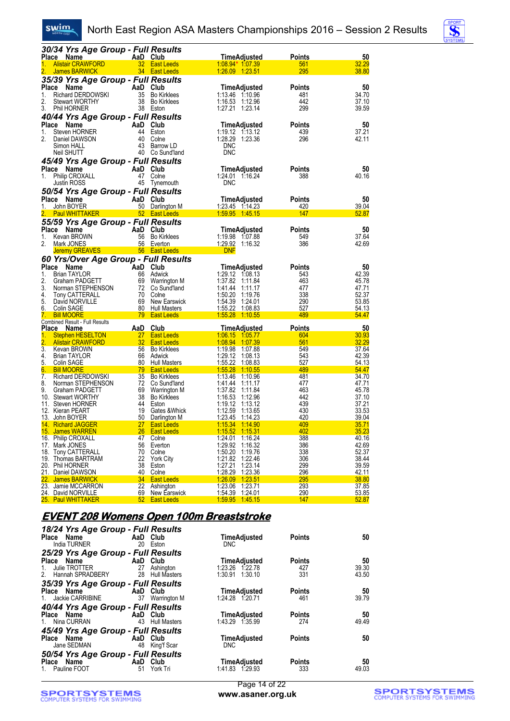



|          |                                                     | 30/34 Yrs Age Group - Full Results             |                                        |                                    |                    |               |                |
|----------|-----------------------------------------------------|------------------------------------------------|----------------------------------------|------------------------------------|--------------------|---------------|----------------|
|          | Place Name                                          | AaD Club                                       |                                        | TimeAdjusted                       |                    | <b>Points</b> | 50             |
| 1.       | <b>Alistair CRAWFORD</b>                            |                                                | 32 East Leeds                          | 1:08.94* 1.07.39                   |                    | 561           | 32.29          |
|          | James BARWICK                                       |                                                | 34 East Leeds                          | 1.26.09 1.23.51                    |                    | 295           | 38.80          |
|          |                                                     | 35/39 Yrs Age Group - Full Results             |                                        |                                    |                    |               |                |
| Place    | <b>Name</b>                                         | AaD                                            | Club                                   | TimeAdjusted                       |                    | <b>Points</b> | 50             |
| 1.<br>2. | <b>Richard DERDOWSKI</b><br><b>Stewart WORTHY</b>   | 35                                             | <b>Bo Kirklees</b><br>38 Bo Kirklees   | 1:13.46 1:10.96<br>1:16.53 1:12.96 |                    | 481<br>442    | 34.70<br>37.10 |
| 3.       | Phil HORNER                                         |                                                | 38 Eston                               | 1:27.21 1:23.14                    |                    | 299           | 39.59          |
|          |                                                     |                                                |                                        |                                    |                    |               |                |
|          | Place Name                                          | 40/44 Yrs Age Group - Full Results<br>AaD Club |                                        | TimeAdjusted                       |                    | Points        | 50             |
| 1.       | Steven HORNER                                       |                                                | 44 Eston                               | 1:19.12 1:13.12                    |                    | 439           | 37.21          |
| 2.       | Daniel DAWSON                                       | 40                                             | Colne                                  | 1:28.29 1:23.36                    |                    | 296           | 42.11          |
|          | Simon HALL                                          |                                                | 43 Barrow LD                           | <b>DNC</b>                         |                    |               |                |
|          | Neil SHUTT                                          |                                                | 40 Co Sund'land                        | <b>DNC</b>                         |                    |               |                |
|          |                                                     | 45/49 Yrs Age Group - Full Results             |                                        |                                    |                    |               |                |
|          | Place Name                                          | AaD Club                                       |                                        | TimeAdjusted                       |                    | Points        | 50             |
| 1.       | <b>Philip CROXALL</b>                               |                                                | 47 Colne                               | 1:24.01 1:16.24                    |                    | 388           | 40.16          |
|          | Justin ROSS                                         |                                                | 45 Tynemouth                           | <b>DNC</b>                         |                    |               |                |
|          |                                                     | 50/54 Yrs Age Group - Full Results             |                                        |                                    |                    |               |                |
|          | Place Name                                          | AaD Club                                       |                                        | TimeAdjusted                       |                    | Points        | 50             |
| 1.       | John BOYER                                          |                                                | 50 Darlington M                        | 1:23.45 1:14.23                    |                    | 420           | 39.04          |
| 2.       | <b>Paul WHITTAKER</b>                               |                                                | 52 East Leeds                          | 1:59.95 1:45.15                    |                    | 147           | 52.87          |
|          |                                                     | 55/59 Yrs Age Group - Full Results             |                                        |                                    |                    |               |                |
| Place    | Name                                                | AaD Club                                       |                                        | TimeAdjusted                       |                    | Points        | 50             |
| 1.       | Kevan BROWN                                         |                                                | 56 Bo Kirklees                         | 1:19.98 1:07.88                    |                    | 549           | 37.64          |
| 2.       | Mark JONES                                          |                                                | 56 Everton                             | 1:29.92 1:16.32                    |                    | 386           | 42.69          |
|          | <b>Jeremy GREAVES</b>                               |                                                | <u>star 56 East Leeds</u>              | <b>DNF</b>                         |                    |               |                |
|          |                                                     | 60 Yrs/Over Age Group - Full Results           |                                        |                                    |                    |               |                |
|          | Place Name                                          | AaD Club                                       |                                        | <b>TimeAdjusted</b>                |                    | Points        | 50             |
| 1.       | <b>Brian TAYLOR</b>                                 | 66                                             | Adwick                                 | 1:29.12 1:08.13<br>1:37.82 1:11.84 |                    | 543           | 42.39          |
| 2.<br>3. | Graham PADGETT                                      | 69                                             | Warrington M<br>72 Co Sund'land        |                                    |                    | 463<br>477    | 45.78<br>47.71 |
| 4.       | Norman STEPHENSON<br>Tony CATTERALL                 |                                                | 70 Colne                               | 1:41.44 1:11.17<br>1:50.20         | 1:19.76            | 338           | 52.37          |
| 5.       | David NORVILLE                                      |                                                | 69 New Earswick                        | 1:54.39 1:24.01                    |                    | 290           | 53.85          |
| 6.       | <b>Colin SAGE</b>                                   |                                                | 80 Hull Masters                        |                                    |                    | 527           | <u>54.13</u>   |
| 7.       | <b>Bill MOORE</b>                                   | 79                                             | <b>East Leeds</b>                      | <u>1:55.28</u>                     | 1:10.55            | 489           | 54.47          |
|          | Combined Result - Full Results                      |                                                |                                        |                                    |                    |               |                |
|          | Place Name                                          | AaD Club                                       |                                        | <b>TimeAdjusted</b>                |                    | <b>Points</b> | 50<br>30.93    |
| 1.<br>2. | <b>Stephen HESELTON</b><br><b>Alistair CRAWFORD</b> | 27 <sub>2</sub><br>32                          | <b>East Leeds</b><br><b>East Leeds</b> | 1:06.15 1:05.77<br>1:08.94 1:07.39 |                    | 604<br>561    | 32.29          |
| 3.       | Kevan BROWN                                         |                                                | 56 Bo Kirklees                         | 1:19.98 1:07.88                    |                    | 549           | 37.64          |
| 4.       | Brian TAYLOR                                        |                                                | 66 Adwick                              | 1:29.12 1:08.13                    |                    | 543           | 42.39          |
| 5.       | Colin SAGE                                          | 80                                             | <b>Hull Masters</b>                    | 1:55.22 1:08.83                    |                    | 527           | 54.13          |
| 6.       | <b>Bill MOORE</b>                                   |                                                | 79 East Leeds                          | 1:55.28 1:10.55                    |                    | 489           | 54.47          |
| 7.       | Richard DERDOWSKI                                   |                                                | 35 Bo Kirklees                         | 1:13.46 1:10.96                    |                    | 481           | 34.70          |
| 8.       | Norman STEPHENSON                                   |                                                | 72 Co Sund'land                        |                                    |                    | 477           | 47.71          |
| 9.       | Graham PADGETT                                      |                                                | 69 Warrington M                        | 1:37.82 1:11.84                    |                    | 463           | 45.78<br>37.10 |
|          | 10. Stewart WORTHY<br>11. Steven HORNER             |                                                | 38 Bo Kirklees<br>44 Eston             | 1:16.53 1:12.96<br>1:19.12 1:13.12 |                    | 442<br>439    | 37.21          |
|          | 12. Kieran PEART                                    | 19                                             | Gates & Whick                          | 1:12.59 1:13.65                    |                    | 430           | 33.53          |
| 13.      | John BOYER                                          |                                                | 50 Darlington M                        | <u>1:23.45</u>                     | 1:14.23            | 420           | 39.04          |
|          | 14. Richard JAGGER                                  | 27 <sub>2</sub>                                | <b>East Leeds</b>                      |                                    |                    | 409           | <u>35.71</u>   |
|          | 15. James WARREN                                    | 26                                             | <b>East Leeds</b>                      | 1:15.52                            | 1:15.31            | 402           | 35.23          |
|          | 16. Philip CROXALL                                  | 47                                             | Colne                                  | 1:24.01                            | 1:16.24            | 388           | 40.16          |
|          | 17. Mark JONES                                      | 56                                             | Everton                                | 1:29.92                            | 1:16.32            | 386           | 42.69<br>52.37 |
|          | 18. Tony CATTERALL<br>19. Thomas BARTRAM            | 70<br>22                                       | Colne<br><b>York City</b>              | 1:50.20<br>1:21.82                 | 1:19.76<br>1:22.46 | 338<br>306    | 38.44          |
|          | 20. Phil HORNER                                     | 38                                             | Eston                                  | 1:27.21                            | 1:23.14            | 299           | 39.59          |
|          | 21. Daniel DAWSON                                   | 40                                             | Colne                                  | 1:28.29                            | 1.23.36            | <b>296</b>    | 42.11          |
|          | 22. James BARWICK                                   | 34                                             | <b>East Leeds</b>                      | <u>1:26.09</u>                     | 1.23.51            | 295           | 38.80          |
|          | 23. Jamie MCCARRON                                  | 22                                             | Ashington                              | 1:23.06                            | 1:23.71            | 293           | 37.85          |
|          | 24. David NORVILLE                                  | 69                                             | New Earswick                           | 1:54.39                            | 1:24.01            | <u>290</u>    | 53.85          |
|          | 25. Paul WHITTAKER                                  | 52                                             | <b>East Leeds</b>                      | 1:59.95                            | 1.45.15            | 147           | 52.87          |

### **EVENT 208 Womens Open 100m Breaststroke**

| 18/24 Yrs Age Group - Full Results<br>Place Name <b>Name</b><br>India TURNER | AaD Club | 20 Eston            | TimeAdjusted<br>DNC. | <b>Points</b> | 50    |
|------------------------------------------------------------------------------|----------|---------------------|----------------------|---------------|-------|
| 25/29 Yrs Age Group - Full Results                                           |          |                     |                      |               |       |
| Place Name AaD Club                                                          |          |                     | <b>TimeAdjusted</b>  | <b>Points</b> | 50    |
| 1. Julie TROTTER 27                                                          |          | Ashington           | 1:23.26 1:22.78      | 427           | 39.30 |
| 2. Hannah SPRADBERY 28 Hull Masters                                          |          |                     | 1:30.91 1:30.10      | 331           | 43.50 |
| 35/39 Yrs Age Group - Full Results                                           |          |                     |                      |               |       |
| Place Name AaD Club                                                          |          |                     | TimeAdjusted         | <b>Points</b> | 50    |
| 1. Jackie CARRIBINE 37 Warrington M                                          |          |                     | 1:24.28 1:20.71      | 461           | 39.79 |
| 40/44 Yrs Age Group - Full Results                                           |          |                     |                      |               |       |
| <b>Example 2</b> AaD Club<br>Place Name                                      |          |                     | TimeAdjusted         | <b>Points</b> | 50    |
| 1. Nina CURRAN                                                               | 43       | <b>Hull Masters</b> | 1:43.29 1:35.99      | 274           | 49.49 |
| 45/49 Yrs Age Group - Full Results                                           |          |                     |                      |               |       |
| <b>Example 2 AaD</b> Club<br>Place Name                                      |          |                     | <b>TimeAdjusted</b>  | <b>Points</b> | 50    |
| Jane SEDMAN                                                                  | 48       | King'f Scar         | <b>DNC</b>           |               |       |
| 50/54 Yrs Age Group - Full Results                                           |          |                     |                      |               |       |
| <b>Example 2</b> AaD Club<br>Place Name                                      |          |                     | TimeAdjusted         | <b>Points</b> | 50    |
| 1. Pauline FOOT                                                              | 51       | York Tri            | 1:41.83 1.29.93      | 333           | 49.03 |
|                                                                              |          |                     |                      |               |       |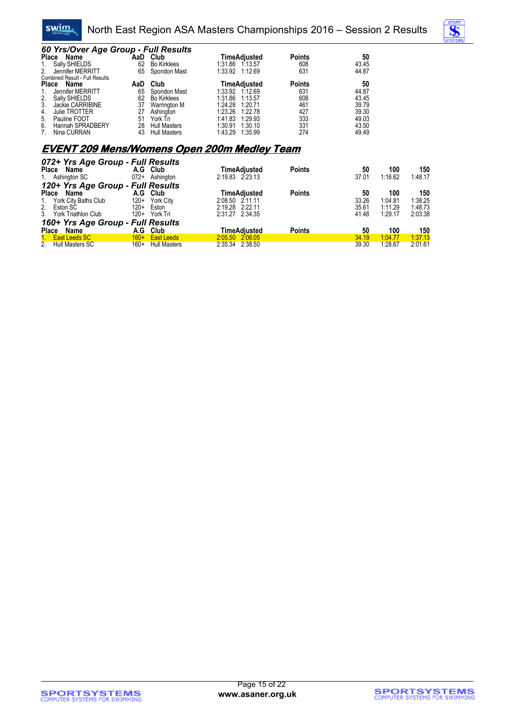



| 60 Yrs/Over Age Group - Full Results<br>Place Name |     | AaD Club            | <b>TimeAdjusted</b> | <b>Points</b> | 50    |     |
|----------------------------------------------------|-----|---------------------|---------------------|---------------|-------|-----|
| 1. Sally SHIELDS                                   | 62  | <b>Bo Kirklees</b>  | 1:31.86 1:13.57     | 608           | 43.45 |     |
| 2.<br>Jennifer MERRITT                             | 65  | Spondon Mast        | 1:33.92 1:12.69     | 631           | 44.87 |     |
| Combined Result - Full Results                     |     |                     |                     |               |       |     |
| Place Name                                         | AaD | Club                | <b>TimeAdjusted</b> | <b>Points</b> | 50    |     |
| Jennifer MERRITT<br>1.                             | 65  | Spondon Mast        | 1:33.92 1:12.69     | 631           | 44.87 |     |
| 2. Sally SHIELDS                                   | 62  | <b>Bo</b> Kirklees  | 1:31.86<br>1:13.57  | 608           | 43.45 |     |
| 3. Jackie CARRIBINE                                | 37  | Warrington M        | 1:24.28<br>1:20.71  | 461           | 39.79 |     |
| Julie TROTTER<br>4.                                | 27  | Ashington           | 1:23.26<br>1:22.78  | 427           | 39.30 |     |
| 5. Pauline FOOT                                    | 51  | York Tri            | 1:41.83<br>1.29.93  | 333           | 49.03 |     |
| 6.<br>Hannah SPRADBERY                             | 28  | <b>Hull Masters</b> | 1:30.91<br>1:30.10  | 331           | 43.50 |     |
| Nina CURRAN                                        | 43  | <b>Hull Masters</b> | 1:43.29<br>1:35.99  | 274           | 49.49 |     |
| <b>EVENT 209 Mens/Womens Open 200m Medley Team</b> |     |                     |                     |               |       |     |
|                                                    |     |                     |                     |               |       |     |
| 072+ Yrs Age Group - Full Results                  |     |                     | Time Adjusted       | <b>Dointo</b> | гΩ.   | 101 |

| Place       | Name                              | A.G    | Club              | TimeAdiusted        | <b>Points</b> | 50    | 100     | 150     |
|-------------|-----------------------------------|--------|-------------------|---------------------|---------------|-------|---------|---------|
|             | 1. Ashington SC                   | $072+$ | Ashington         | 2:19.83 2:23.13     |               | 37.01 | 1:16.62 | 1:48.17 |
|             | 120+ Yrs Age Group - Full Results |        |                   |                     |               |       |         |         |
|             | Place Name                        |        | A.G Club          | TimeAdiusted        | <b>Points</b> | 50    | 100     | 150     |
|             | 1. York City Baths Club           | $120+$ | York City         | 2:08.50 2:11.11     |               | 33.26 | 1:04.81 | 1:38.25 |
| 2. Eston SC |                                   | $120+$ | Eston             | 2:19.28 2:22.11     |               | 35.61 | 1:11.29 | 1:48.73 |
|             | 3. York Triathlon Club            | $120+$ | York Tri          | 2:31.27 2:34.35     |               | 41.48 | 1:29.17 | 2:03.38 |
|             | 160+ Yrs Age Group - Full Results |        |                   |                     |               |       |         |         |
|             | Place Name                        |        | A.G Club          | <b>TimeAdiusted</b> | <b>Points</b> | 50    | 100     | 150     |
|             | 1. East Leeds SC                  | $160+$ | <b>East Leeds</b> | 2:05.50 2:08.05     |               | 34.19 | 1:04.77 | 1:37.13 |
|             | 2. Hull Masters SC                | $160+$ | Hull Masters      | 2:35.34 2:38.50     |               | 39.30 | 1:28.67 | 2:01.61 |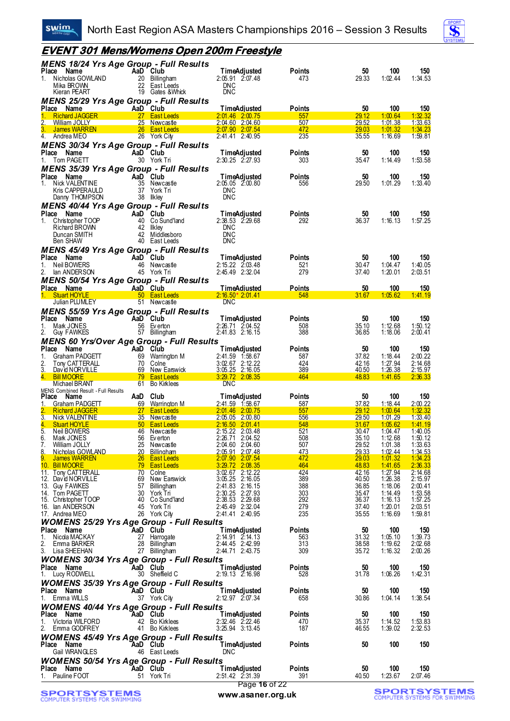

| Swinn,                                                                            | North East Region ASA Masters Championships 2016 – Session 3 Results                                      |                                                                                  |                             |                         |                           |                           |
|-----------------------------------------------------------------------------------|-----------------------------------------------------------------------------------------------------------|----------------------------------------------------------------------------------|-----------------------------|-------------------------|---------------------------|---------------------------|
|                                                                                   | <u>EVENT 301 Mens/Womens Open 200m Freestyle</u>                                                          |                                                                                  |                             |                         |                           |                           |
| Place Name<br>1. Nicholas GOWLAND<br>Mika BROWN<br>Kieran PEART                   | MENS 18/24 Yrs Age Group - Full Results<br>AaD Club<br>20 Billingham<br>22 East Leeds<br>19 Gates & Whick | <b>TimeAdjusted</b><br>2:05.91 2:07.48<br><b>DNC</b><br><b>DNC</b>               | <b>Points</b><br>473        | 50<br>29.33             | 100<br>1:02.44            | 150<br>1:34.53            |
| Place Name                                                                        | <b>MENS 25/29 Yrs Age Group - Full Results</b><br>AaD Club                                                | <b>TimeAdjusted</b>                                                              | Points                      | 50                      | 100                       | 150                       |
| <b>Richard JAGGER</b><br>1.                                                       | 27 East Leeds                                                                                             | $2:01.46$ $2:00.75$                                                              | 557                         | 29.12                   | 1:00.64                   | 1:32.32                   |
| 2. William JOLLY<br>3. James WARREN                                               | 25 Newcastle<br>26 East Leeds                                                                             | $2:04.60$ $2:04.60$<br>$2:07.90$ $2:07.54$                                       | 507<br>472                  | 29.52<br>29.03          | 1:01.38<br>1:01.32        | 1:33.63<br>1:34.23        |
| 4. Andrea MEO                                                                     | 26 York City                                                                                              | 2:41.41 2:40.95                                                                  | 235                         | 35.55                   | 1:16.69                   | 1:59.81                   |
| Place<br>Name<br>1.<br>Tom PAGETT                                                 | MENS 30/34 Yrs Age Group - Full Results<br>AaD Club<br>30 York Tri                                        | <b>TimeAdjusted</b><br>$2:30.25$ $2:27.93$                                       | Points<br>303               | 50<br>35.47             | 100<br>1:14.49            | 150<br>1:53.58            |
| Place<br>Name                                                                     | <b>MENS 35/39 Yrs Age Group - Full Results</b><br>AaD Club                                                | <b>TimeAdjusted</b>                                                              | Points                      | 50                      | 100                       | 150                       |
| Nick VALENTINE<br>1.<br>Kris CAPPERAULD<br>Danny THOMPSON                         | 35 Newcastle<br>37 York Tri<br>38 Ilkley                                                                  | 2:05.05 2:00.80<br><b>DNC</b><br><b>DNC</b>                                      | 556                         | 29.50                   | 1:01.29                   | 1:33.40                   |
|                                                                                   | <b>MENS 40/44 Yrs Age Group - Full Results</b>                                                            |                                                                                  |                             |                         |                           |                           |
| Place<br>Name<br>1. Christopher TOOP<br>Richard BROWN<br>Duncan SMITH<br>Ben SHAW | AaD Club<br>40 Co Sund'land<br>42 Ilkley<br>42 Middlesboro<br>40 East Leeds                               | <b>TimeAdjusted</b><br>2:38.53 2:29.68<br><b>DNC</b><br><b>DNC</b><br><b>DNC</b> | Points<br>292               | 50<br>36.37             | 100<br>1:16.13            | 150<br>1:57.25            |
|                                                                                   | <b>MENS 45/49 Yrs Age Group - Full Results</b><br>AaD Club                                                |                                                                                  |                             |                         |                           |                           |
| Place Name<br>Neil BOWERS<br>1.<br>2. Ian ANDERSON                                | 46 Newcastle<br>45 York Tri                                                                               | <b>TimeAdjusted</b><br>2:15.22 2:03.48<br>2:45.49 2:32.04                        | <b>Points</b><br>521<br>279 | 50<br>30.47<br>37.40    | 100<br>1:04.47<br>1:20.01 | 150<br>1:40.05<br>2:03.51 |
| Place Name                                                                        | <b>MENS 50/54 Yrs Age Group - Full Results</b><br>AaD Club                                                | <u>TimeAdiusted</u>                                                              | <u>Points</u>               | 50                      | 100                       | 150                       |
| 1. Stuart HOYLE<br>Julian PLUMLEY                                                 | 50 East Leeds<br>51 Newcastle                                                                             | $2:16.50*2:01.41$<br><b>DNC</b>                                                  | 548                         | 31.67                   | 1:05.62                   | <u>1:41.19</u>            |
|                                                                                   | <b>MENS 55/59 Yrs Age Group - Full Results</b>                                                            |                                                                                  |                             |                         |                           |                           |
| Place Name                                                                        | AaD Club                                                                                                  | <b>TimeAdjusted</b>                                                              | <b>Points</b>               | 50                      | 100                       | 150                       |
| 1.<br>Mark JONES<br>2. Guy FAWKES                                                 | 56 Everton<br>57 Billingham                                                                               | 2:26.71 2:04.52<br>2:41.83 2:16.15                                               | 508<br>388                  | 35.10<br>36.85          | 1:12.68<br>1:18.06        | 1:50.12<br>2:00.41        |
| Place Name                                                                        | <b>MENS 60 Yrs/Over Age Group - Full Results</b><br>AaD Club                                              |                                                                                  |                             |                         |                           |                           |
| Graham PADGETT<br>1.                                                              | 69 Warrington M                                                                                           | <b>TimeAdjusted</b><br>2:41.59 1:58.67                                           | <b>Points</b><br>587        | 50<br>37.82             | 100<br>1:18.44            | 150<br>2:00.22            |
| 2.<br>Tony CATTERALL<br>3. David NORVILLE                                         | 70 Colne<br>69 New Earswick                                                                               | 3:02.67 2:12.22<br>3:05.25 2:16.05                                               | 424<br>389                  | 42.16<br>40.50          | 1:27.94<br>1:26.38        | 2:14.68<br><u>2:15.97</u> |
| 4. Bill MOORE                                                                     | <b>19 East Leeds</b>                                                                                      | 3:29.72 2:08.35                                                                  | 464                         | 48.83                   | 1:41.65                   | 2:36.33                   |
| Michael BRANT<br>MENS Combined Result - Full Results                              | 61 Bo Kirklees                                                                                            | <b>DNC</b>                                                                       |                             |                         |                           |                           |
| Place<br>Name<br>1. Graham PADGETT                                                | AaD Club<br>69 Warrington M                                                                               | <b>TimeAdjusted</b><br>2:41.59 1:58.67                                           | <b>Points</b><br>587        | 50<br>37.82             | 100<br>1:18.44            | 150<br>2:00.22            |
| 2. Richard JAGGER                                                                 | 27 East Leeds                                                                                             | $2:01.46$ $2:00.75$                                                              | 557                         |                         | $29.12 \quad 1:00.64$     | $-1.32.32$                |
| 3.<br><b>Nick VALENTINE</b><br>4.<br><b>Stuart HOYLE</b>                          | 35 Newcastle<br>50 <sub>2</sub><br><b>East Leeds</b>                                                      | 2:05.05 2:00.80<br>$2:16.50$ $2:01.41$                                           | 556<br>548                  | 29.50<br>31.67          | 1:01.29<br>1:05.62        | 1:33.40<br>1:41.19        |
| 5.<br>Neil BOWERS                                                                 | 46 Newcastle                                                                                              | $2:15.22$ $2:03.48$                                                              | 521<br>508                  | 30.47<br>35.10          | 1:04.47                   | $1:40.05$<br>$1:50.12$    |
| 6.<br>Mark JONES<br>7.<br>William JOLLY                                           | 56 Everton<br>25 Newcastle                                                                                | 2:26.71 2:04.52<br>2:04.60 2:04.60                                               | 507                         | 29.52                   | 1:12.68<br>1:01.38        | 1:33.63                   |
| 8.<br>Nicholas GOWLAND<br>9.<br>James WARREN                                      | 20 Billingham<br>26 <sup>2</sup><br><b>East Leeds</b>                                                     | $2:05.91$ $2:07.48$<br><u>2:07.90 2:07.54</u>                                    | 473<br>472                  | <u> 29.33 </u><br>29.03 | <u>1:02.44</u><br>1:01.32 | $\frac{1:34.53}{1:34.23}$ |
| 10. Bill MOORE                                                                    | 79 East Leeds                                                                                             | 3:29.72 2:08.35                                                                  | 464                         | 48.83                   | 1:41.65                   | 2:36.33                   |
| 11. Tony CATTERALL<br>12. David NORVILLE                                          | 70 Colne<br>69 New Earswick                                                                               | $3:02.67$ $2:12.22$<br>3:05.25 2:16.05                                           | 424<br>389                  | 42.16<br>40.50          | 1:27.94<br>1:26.38        | $2:14.68$<br>$2:15.97$    |
| 13. Guy FAWKES                                                                    | 57 Billingham                                                                                             | 2:41.83 2:16.15                                                                  | 388                         | 36.85                   | 1:18.06                   | 2:00.41                   |
| 14. Tom PAGETT<br>15. Christopher TOOP                                            | 30 York Tri<br>40 Co Sund'land                                                                            | $2:30.25$ $2:27.93$<br>2:38.53 2:29.68                                           | 303<br>292                  | 35.47<br>36.37          | 1:14.49<br>1:16.13        | $1:53.58$<br>$1:57.25$    |
| 16. Ian ANDERSON<br>17. Andrea MEO                                                | 45 York Tri<br>26 York City                                                                               | 2:45.49 2:32.04<br>2:41.41 2:40.95                                               | 279<br>235                  | 37.40<br>35.55          | 1:20.01<br>1:16.69        | 2:03.51<br>1:59.81        |
|                                                                                   | <b>WOMENS 25/29 Yrs Age Group - Full Results</b>                                                          |                                                                                  |                             |                         |                           |                           |
| Place Name                                                                        | AaD Club                                                                                                  | <b>TimeAdjusted</b>                                                              | Points                      | 50                      | 100                       | 150                       |
| Nicola MACKAY<br>1.<br>2. Emma BARKER                                             | 27 Harrogate<br>28 Billingham                                                                             | $2:14.91$ $2:14.13$<br>2:44.45 2:42.99                                           | 563<br>313                  | 31.32<br>38.58          | 1:05.10<br>1:19.62        | 1:39.73<br>2:02.68        |
| 3. Lisa SHEEHAN                                                                   | 27 Billingham                                                                                             | 2:44.71 2:43.75                                                                  | 309                         | 35.72                   | 1:16.32                   | 2:00.26                   |
| Place Name                                                                        | <b>WOMENS 30/34 Yrs Age Group - Full Results</b><br>AaD Club                                              | TimeAdjusted                                                                     | Points                      | 50                      | 100                       | 150                       |
| 1. Lucy RODWELL                                                                   | 30 Sheffield C                                                                                            | 2:19.13 2:16.98                                                                  | 528                         | 31.78                   | 1:06.26                   | 1:42.31                   |
| Place Name<br>1. Emma WILLS                                                       | <b>WOMENS 35/39 Yrs Age Group - Full Results</b><br>AaD Club<br>37 York City                              | TimeAdjusted<br>2:12.97 2:07.34                                                  | Points<br>658               | 50<br>30.86             | 100<br>1:04.14            | 150<br>1:38.54            |
|                                                                                   | <b>WOMENS 40/44 Yrs Age Group - Full Results</b>                                                          |                                                                                  |                             |                         |                           |                           |
| Place Name<br>Victoria WILFORD<br>1.                                              | AaD Club<br>42 Bo Kirklees                                                                                | <b>TimeAdjusted</b><br>$2:32.46$ $2:22.46$                                       | Points<br>470               | 50<br>35.37             | 100<br>1:14.52            | 150<br>1:53.83<br>2:32.53 |
| 2. Emma GODFREY                                                                   | 41 Bo Kirklees                                                                                            | 3:25.94 3:13.45                                                                  | 187                         | 46.55                   | 1:39.02                   |                           |
| Place Name<br>Gail WRANGLES                                                       | <b>WOMENS 45/49 Yrs Age Group - Full Results</b><br><b>AaD</b> Club<br>46 East Leeds                      | <b>TimeAdjusted</b><br><b>DNC</b>                                                | <b>Points</b>               | 50                      | 100                       | 150                       |
| Place Name                                                                        | <b>WOMENS 50/54 Yrs Age Group - Full Results</b><br>AaD Club                                              | <b>TimeAdjusted</b>                                                              |                             | 50                      | 100                       | 150                       |
| 1. Pauline FOOT                                                                   | 51 York Tri                                                                                               | 2:51.42 2:31.39                                                                  | Points<br>391               | 40.50                   | 1:23.67                   | 2:07.46                   |

# **SPORTSYSTEMS**<br>COMPUTER SYSTEMS FOR SWIMMING

#### Page **16** of 22 **www.asaner.org.uk**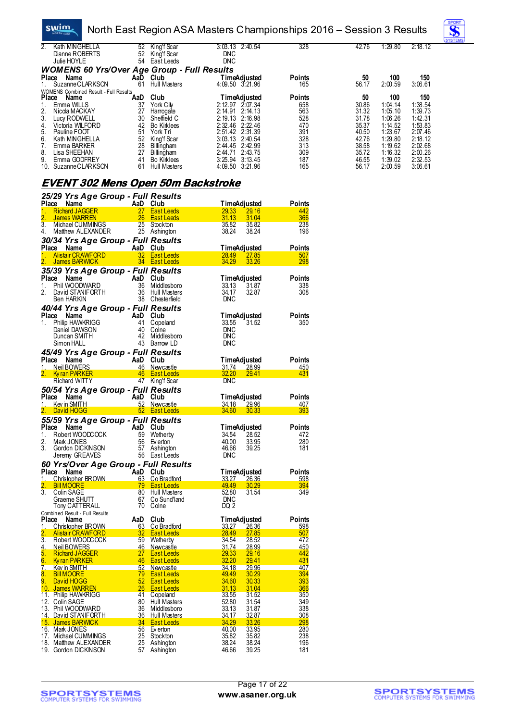#### swim. North East Region ASA Masters Championships 2016 – Session 3 Results



| 2.<br>Kath MNGHELLA                                | 52  | King'f Scar        |            | $3:03.13$ $2:40.54$ | 328           | 42.76 | 1:29.80 | 2:18.12 |
|----------------------------------------------------|-----|--------------------|------------|---------------------|---------------|-------|---------|---------|
| Dianne ROBERTS                                     | 52  | King'f Scar        | <b>DNC</b> |                     |               |       |         |         |
| Julie HOYLE                                        | 54  | East Leeds         | <b>DNC</b> |                     |               |       |         |         |
| <b>WOMENS 60 Yrs/Over Age Group - Full Results</b> |     |                    |            |                     |               |       |         |         |
| Name<br><b>Place</b>                               | AaD | Club               |            | TimeAdiusted        | <b>Points</b> | 50    | 100     | 150     |
| Suzanne CLARKSON                                   | 61  | Hull Masters       |            | $4:09.50$ $3:21.96$ | 165           | 56.17 | 2:00.59 | 3:06.61 |
| <b>WOMENS Combined Result - Full Results</b>       |     |                    |            |                     |               |       |         |         |
| Name<br><b>Place</b>                               | AaD | Club               |            | TimeAdjusted        | <b>Points</b> | 50    | 100     | 150     |
| Emma WILLS                                         | 37  | York Citv          |            | $2:12.97$ $2:07.34$ | 658           | 30.86 | 1:04.14 | 1:38.54 |
| 2.<br>Nicola MACKAY                                | 27  | Harrogate          | 2:14.91    | 2:14.13             | 563           | 31.32 | 1:05.10 | 1:39.73 |
| 3.<br>Lucy RODWELL                                 | 30  | Sheffield C        |            | $2:19.13$ $2:16.98$ | 528           | 31.78 | 1:06.26 | 1:42.31 |
| 4.<br>Victoria WILFORD                             | 42  | <b>Bo Kirklees</b> | 2:32.46    | 2:22.46             | 470           | 35.37 | 1:14.52 | 1:53.83 |
| Pauline FOOT<br>5.                                 | 51  | York Tri           |            | 2:51.42 2:31.39     | 391           | 40.50 | 1:23.67 | 2:07.46 |
| 6.<br>Kath MNGHELLA                                | 52  | King'f Scar        |            | $3:03.13$ $2:40.54$ | 328           | 42.76 | 1:29.80 | 2:18.12 |
| Emma BARKER                                        | 28  | Billingham         |            | 2:44.45 2:42.99     | 313           | 38.58 | 1:19.62 | 2:02.68 |
| 8.<br>Lisa SHEEHAN                                 | 27  | Billingham         | 2:44.71    | 2:43.75             | 309           | 35.72 | 1:16.32 | 2:00.26 |
| 9.<br>Emma GODFREY                                 | 41  | <b>Bo Kirklees</b> | 3:25.94    | 3:13.45             | 187           | 46.55 | 1:39.02 | 2:32.53 |
| Suzanne CLARKSON<br>10.                            | 61  | Hull Masters       | 4:09.50    | 3:21.96             | 165           | 56.17 | 2:00.59 | 3:06.61 |

#### **EVENT 302 Mens Open 50m Backstroke**

|                                 | 25/29 Yrs Age Group - Full Results                                                                                                |           |                                        |                                        |                               |                   |
|---------------------------------|-----------------------------------------------------------------------------------------------------------------------------------|-----------|----------------------------------------|----------------------------------------|-------------------------------|-------------------|
| Place                           | Name<br>AaD Club<br>27 Eastl                                                                                                      |           |                                        | TimeAdjusted                           |                               | Points            |
| 1.                              | <b>Richard JAGGER</b>                                                                                                             |           | <b>East Leeds</b>                      | 29.33                                  | <b>29.16</b>                  | 442               |
| 3.                              | James WARREN<br>Michael CUMMINGS                                                                                                  | <b>25</b> | <b>East Leeds</b><br>Stockton          | 31.13<br>35.82                         | 31.04<br>35.82                | 366<br>238        |
| 4.                              | Matthew ALEXANDER                                                                                                                 |           | 25 Ashington                           | 38.24                                  | 38.24                         | 196               |
|                                 |                                                                                                                                   |           |                                        |                                        |                               |                   |
| Place Name                      | 30/34 Yrs Age Group - Full Results<br><b>Example 2</b> AaD Club                                                                   |           |                                        | TimeAdjusted                           |                               | Points            |
| 1.                              | <b>Alistair CRAWFORD</b>                                                                                                          |           | 32 East Leeds                          | <b>28.49</b>                           | 27.85                         | 507               |
|                                 | James BARWICK                                                                                                                     |           | 34 East Leeds                          | 34.29                                  | 33.26                         | 298               |
|                                 | 35/39 Yrs Age Group - Full Results                                                                                                |           |                                        |                                        |                               |                   |
| Place Name                      | <b>E</b> Name<br>Phil WOODWARD<br>David STANIFORTH                                                                                | AaD Club  |                                        | <b>TimeAdjusted</b>                    |                               | Points            |
| 1.                              |                                                                                                                                   | 36        | Middlesboro                            | 33.13                                  | 31.87                         | 338               |
| 2.                              |                                                                                                                                   |           | 36 Hull Masters                        | 34.17                                  | 32.87                         | 308               |
|                                 | Ben HARKIN                                                                                                                        |           | 38 Chesterfield                        | <b>DNC</b>                             |                               |                   |
|                                 | 40/44 Yrs Age Group - Full Results                                                                                                |           |                                        |                                        |                               |                   |
| Place Name                      | <b>EXAMPLE SEARCH Philip HAWKRIGG</b>                                                                                             | AaD Club  |                                        | TimeAdjusted                           |                               | Points            |
| 1.                              |                                                                                                                                   | 41        | Copeland                               | 33.55                                  | 31.52                         | 350               |
|                                 | Daniel DAWSON<br>Duncan SMITH                                                                                                     | 40<br>42  | Colne<br>Middlesboro                   | <b>DNC</b><br>DNC                      |                               |                   |
|                                 | Simon HALL                                                                                                                        |           | 43 Barrow LD                           | DNC                                    |                               |                   |
|                                 | 45/49 Yrs Age Group - Full Results                                                                                                |           |                                        |                                        |                               |                   |
| Place                           | Name                                                                                                                              | AaD Club  |                                        | <b>TimeAdjusted</b>                    |                               | Points            |
| <u>1.</u>                       | <b>Neil BOWERS</b>                                                                                                                |           | 46 Newcastle                           | <u>31.74 _</u>                         | <u>28.99</u>                  | <u>450</u>        |
| 2.                              | Ky ran PARKER                                                                                                                     |           | 46 East Leeds                          | <b>32.20</b>                           | 29.41                         | 431               |
|                                 | Richard WITTY                                                                                                                     |           | 47 King'f Scar                         | <b>DNC</b>                             |                               |                   |
|                                 | 50/54 Yrs Age Group - Full Results                                                                                                |           |                                        |                                        |                               |                   |
| Place                           | Name                                                                                                                              | AaD Club  |                                        | <b>TimeAdjusted</b>                    |                               | Points            |
| 1.                              | Kev in SMITH                                                                                                                      |           | 52 Newcastle                           | 34.18 29.96                            |                               | <u>407</u>        |
|                                 | David HOGG                                                                                                                        |           | 52 East Leeds                          | <b>34.60</b>                           | 30.33                         | 393               |
|                                 | 55/59 Yrs Age Group - Full Results                                                                                                |           |                                        |                                        |                               |                   |
|                                 |                                                                                                                                   |           |                                        |                                        |                               |                   |
|                                 | Name                                                                                                                              | AaD Club  |                                        | TimeAdjusted                           |                               | Points            |
|                                 |                                                                                                                                   | 59        | Wetherby                               | 34.54                                  | 28.52                         | 472               |
|                                 | Robert WOODCOCK<br>Mark JONES                                                                                                     | 56        | Ev erton                               | 40.00                                  | 33.95                         | 280               |
|                                 | Gordon DICKNSON                                                                                                                   |           | 57 Ashington                           | 46.66<br><b>DNC</b>                    | 39.25                         | 181               |
|                                 | Jeremy GREAVES                                                                                                                    |           | 56 East Leeds                          |                                        |                               |                   |
| Place<br>1.<br>2.<br>3.         | 60 Yrs/Over Age Group - Full Results                                                                                              |           |                                        |                                        |                               |                   |
| 1.                              | Name<br>Christopher BROWN                                                                                                         | AaD       | Club<br>63 Co Bradford                 | <b>TimeAdjusted</b><br><u>33.27 - </u> | 26.36                         | Points<br>598     |
|                                 | <b>Bill MOORE</b>                                                                                                                 |           | <b>East Leeds</b>                      | 49.49                                  | <b>30.29</b>                  | 394               |
|                                 | <u>2001 - 2002 - 2003 - 2004 - 2004 - 2004 - 2004 - 2004 - 2004 - 2004 - 2004 - 2004 - 2004 - 2004 - 2004 - 200</u><br>Colin SAGE | 80        | Hull Masters                           | 52.80                                  | 31.54                         | 349               |
|                                 | Graeme SHUTT                                                                                                                      | 67        | Co Sund'land                           | DNC                                    |                               |                   |
| Place<br>2.<br>$\overline{3}$ . | Tony CATTERALL                                                                                                                    | 70        | Colne                                  | DQ 2                                   |                               |                   |
|                                 | Combined Result - Full Results<br>Name                                                                                            | AaD       | Club                                   |                                        |                               | Points            |
| Place<br>1.                     | <b>Christopher BROWN</b>                                                                                                          | 63        | Co Bradford                            | <b>TimeAdjusted</b><br><u>33.27 - </u> | <u>26.36</u>                  | 598               |
|                                 | <b>Alistair CRAWFORD</b>                                                                                                          | 32        | <b>East Leeds</b>                      | <b>28.49</b>                           | <u>27.85</u>                  | 507               |
|                                 | 3. Robert WOODCOCK                                                                                                                | 59        | Wetherby                               | 34.54                                  | 28.52                         | 472               |
| 4.                              | <b>Neil BOWERS</b>                                                                                                                | <u>46</u> | Newcastle                              | <u>31.74</u>                           | <u>28.99</u>                  | <u>450</u>        |
| 5.                              | <b>Richard JAGGER</b>                                                                                                             | 27        | <b>East Leeds</b>                      | 29.33                                  | <u>29.16</u>                  | 442               |
|                                 | 6. Kyran PARKER                                                                                                                   | 46        | <b>East Leeds</b>                      | 32.20                                  | 29.41                         | 431               |
| 7.                              | <b>Kev in SMITH</b>                                                                                                               | 52        | Newcastle                              | 34.18<br>49.49                         | <u> 29.96</u><br><u>30.29</u> | <u>407</u><br>394 |
| 8.<br>9.                        | <b>Bill MOORE</b><br>David HOGG                                                                                                   | 79<br>52  | <b>East Leeds</b><br><b>East Leeds</b> | 34.60                                  | 30.33                         | <b>393</b>        |
| 10.                             | <b>James WARREN</b>                                                                                                               | 26        | <b>East Leeds</b>                      | 31.13                                  | 31.04                         | 366               |
|                                 | 11. Philip HAWKRIGG                                                                                                               | 41        | Copeland                               | 33.55                                  | 31.52                         | 350               |
| 12. Colin SAGE                  |                                                                                                                                   | 80        | Hull Masters                           | 52.80                                  | 31.54                         | 349               |
|                                 | 13. Phil WOODWARD                                                                                                                 | 36        | Middlesboro                            | 33.13                                  | 31.87                         | 338               |
|                                 | 14. David STANIFORTH                                                                                                              | 36        | Hull Masters                           | 34.17                                  | 32.87                         | 308               |
|                                 | 15. James BARWICK<br>16. Mark JONES                                                                                               | 34<br>56  | East Leeds<br>Ev erton                 | 34.29<br>40.00                         | 33.26<br>33.95                | 298<br>280        |
|                                 | 17. Michael CUMMINGS                                                                                                              | 25        | Stockton                               | 35.82                                  | 35.82                         | 238               |
|                                 | 18. Matthew ALEXANDER<br>19. Gordon DICKNSON                                                                                      | 25<br>57  | Ashington<br>Ashington                 | 38.24<br>46.66                         | 38.24<br>39.25                | 196<br>181        |

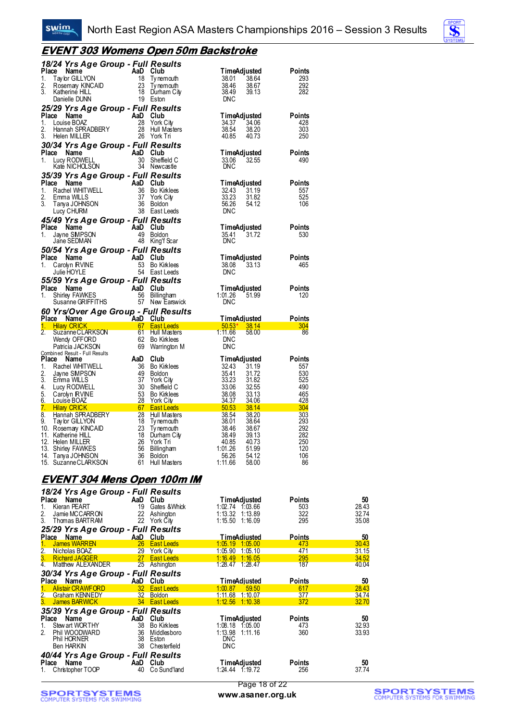

#### **EVENT 303 Womens Open 50m Backstroke**

| 18/24 Yrs Age Group - Full Results<br>Place Name<br>Ce Name<br>Tay br GILLYON<br>Tay br GILLYON 18 Ty nemouth<br>Rosemay KINCAID 23 Ty nemouth<br>Katherine HILL 18 Durham City<br>Raherine HILL 19 Br then<br>1.<br>2.<br>3.<br>Danielle DUNN                                                                                                      | 19 Eston                                                                                                                                            | TimeAdjusted<br>38.01<br>38.64<br>38.46<br>38.67<br>38.49<br>39.13<br><b>DNC</b>                                                                                               | Points<br>293<br>292<br>282                             |
|-----------------------------------------------------------------------------------------------------------------------------------------------------------------------------------------------------------------------------------------------------------------------------------------------------------------------------------------------------|-----------------------------------------------------------------------------------------------------------------------------------------------------|--------------------------------------------------------------------------------------------------------------------------------------------------------------------------------|---------------------------------------------------------|
| 25/29 Yrs Age Group - Full Results<br>Place Name<br><b>Ce Name AD Club</b><br>Louise BOAZ 28 York (<br>Hannah SPRADBERY 28 Hull N<br>Halen MILLER 26 York (<br>1.<br>2.<br>3.<br>Helen MILLER                                                                                                                                                       | York City<br>Hull Masters<br>26 York Tri                                                                                                            | TimeAdjusted<br>34.37<br>34.06<br>38.54<br>38.20<br>40.85<br>40.73                                                                                                             | <b>Points</b><br>428<br>303<br>250                      |
| 30/34 Yrs Age Group - Full Results<br>Place Name<br>1.                                                                                                                                                                                                                                                                                              | Sheffield C<br>34 Newcastle                                                                                                                         | TimeAdjusted<br>33.06<br>32.55<br><b>DNC</b>                                                                                                                                   | <b>Points</b><br>490                                    |
| 35/39 Yrs Age Group - Full Results<br>Ce Name<br>Rachel WHITWELL<br>Emma WILLS<br>Tanya JOHNSON<br>Lucy CHURM<br>CHURM<br>CHURM<br>CHURM<br>CHURM<br>CHURM<br>CHURM<br>CHURM<br>CHURM<br>CHURM<br>CHURM<br>CHURM<br>CHURM<br>CHURM<br>CHURM<br>CHURM<br>CHURM<br>CHURM<br>CHURM<br>CHURM<br>CHURM<br>CHURM<br>CHURM<br>Place Name<br>1.<br>2.<br>3. | 36 Bo Kirklees<br>York City<br>38 East Leeds                                                                                                        | <b>TimeAdjusted</b><br>32.43<br>31.19<br>33.23<br>31.82<br>56.26<br>54.12<br><b>DNC</b>                                                                                        | Points<br>557<br>525<br>106                             |
| 45/49 Yrs Age Group - Full Results<br>Place Name<br>1.<br>Jayne SMPSON<br>Jane SEDMAN                                                                                                                                                                                                                                                               | AaD Club<br>49 Boldon<br>48 King'f Scar                                                                                                             | <b>TimeAdjusted</b><br>35.41<br>31.72<br><b>DNC</b>                                                                                                                            | <b>Points</b><br>530                                    |
| 50/54 Yrs Age Group - Full Results<br>Place Name<br>Carolyn RVINE<br>1.<br>Julie HOYLE                                                                                                                                                                                                                                                              | AaD Club<br>53 Bo Kirklees<br>54 East Leeds                                                                                                         | TimeAdjusted<br>38.08<br>33.13<br><b>DNC</b>                                                                                                                                   | Points<br>465                                           |
| 55/59 Yrs Age Group - Full Results<br>Place Name<br>Community FAWKES<br>Shirley FAWKES<br>Susanne GRIFFITHS<br>State CRIFFITHS<br>State CRIFFITHS<br>State CRIFFITHS<br>State CRIFFITHS<br>State CRIFFITHS<br>State CRIFFITHS<br>1.                                                                                                                 | 57 New Earswick                                                                                                                                     | TimeAdjusted<br>$1:01.26$ 51.99<br><b>DNC</b>                                                                                                                                  | <b>Points</b><br>120                                    |
| 60 Yrs/Over Age Group - Full Results                                                                                                                                                                                                                                                                                                                |                                                                                                                                                     |                                                                                                                                                                                |                                                         |
| Place Name<br>1.                                                                                                                                                                                                                                                                                                                                    |                                                                                                                                                     | <b>TimeAdjusted</b><br>$\frac{50.53^*}{50.53^*}$ 38.14                                                                                                                         | Points<br>304                                           |
| Contract of the Manusov Contract of Teat Leeds<br>Suzanne CLARKSON<br>Wendy OFFORD 62 Bo Kirkless<br>Patricia JACKSON 69 Warrington M<br>$\overline{2}$ .                                                                                                                                                                                           | 69 Warrington M                                                                                                                                     | 1:11.66<br>58.00<br><b>DNC</b><br><b>DNC</b>                                                                                                                                   | 86                                                      |
| Combined Result - Full Results<br>Place<br>Name<br>1.<br>Rachel WHITWELL<br>$\frac{1}{49}$<br>2.<br>Jayne SMPSON<br>$\overline{3}$ .<br>Emma WILLS<br>4. Lucy RODWELL<br>5.<br>Carolyn RVINE<br>6.<br>Louise BOAZ                                                                                                                                   | AaD<br>Club<br>Bo Kirklees<br><b>Boldon</b><br>York City<br>30<br>Sheffield C<br>53<br><b>Bo Kirklees</b><br><b>York City</b>                       | <b>TimeAdjusted</b><br>$32.43$ $31.19$<br>$35.44$ $34.72$<br>35.41<br>33.23<br>31.72<br>31.82<br>33.06<br>32.55<br>38.08<br>33.13<br>34.37<br>34.06                            | <b>Points</b><br>557<br>530<br>525<br>490<br>465<br>428 |
| 7. Hilary CRICK                                                                                                                                                                                                                                                                                                                                     | East Leeds                                                                                                                                          | 38.14                                                                                                                                                                          | <u>a shekara</u><br>304                                 |
| University<br><b>Hilary CRICK Miliary CRICK</b><br>Hannah SPRADBERY 28<br>Triche CILL YON 13<br>8.<br>9.<br>10. Rosemary KINCAID<br>11. Katherine HILL<br>12. Helen MILLER<br>13. Shirley FAWKES<br>14. Tanya JOHNSON<br>15. Suzanne CLARKSON                                                                                                       | Hull Masters<br>Ty nemouth<br>23<br>Ty nemouth<br>18<br>Durham City<br>26<br>York Tri<br>56<br>Billingham<br>36<br><b>Boldon</b><br>61 Hull Masters | $\frac{50.53}{50.53}$<br>$\frac{38.54}{38.46}$<br>$\frac{38.49}{40.85}$<br>38.20<br>38.64<br>38.67<br>39.13<br>40.73<br>1:01.26<br>51.99<br>56.26<br>54.12<br>1:11.66<br>58.00 | 303<br>293<br>292<br>282<br>250<br>120<br>106<br>- 86   |

#### **EVENT 304 Mens Open 100m IM**

|                                   | 18/24 Yrs Age Group - Full Results   |                                 |                      |             |
|-----------------------------------|--------------------------------------|---------------------------------|----------------------|-------------|
| Name<br><b>Place</b>              | AaD<br>Club                          | TimeAdjusted                    | <b>Points</b>        | 50          |
| Kieran PEART<br>1.                | 19<br>Gates & Whick                  | $1:02.74$ 1:03.66               | 503                  | 28.43       |
| 2.<br>Jamie MCCARRON              | 22<br>Ashington                      | $1:13.32$ $1:13.89$             | 322                  | 32.74       |
| 3.<br>Thomas BARTRAM              | 22<br>York City                      | $1:15.50$ $1:16.09$             | 295                  | 35.08       |
|                                   | 25/29 Yrs Age Group - Full Results   |                                 |                      |             |
| <b>Name</b><br><b>Place</b>       | Club<br>AaD                          | <b>TimeAdiusted</b>             | <b>Points</b>        | 50          |
| James WARREN<br>$1_{-}$           | 26 <sup>2</sup><br><b>East Leeds</b> | 1:05.19 1:05.00                 | 473                  | 30.43       |
| 2.<br>Nicholas BOAZ               | 29 York City                         | 1:05.90<br>1:05.10              | 471                  | 31.15       |
| 3. Richard JAGGER                 | 27 East Leeds                        | $1:16.49$ $1:16.05$             | 295                  | 34.52       |
| 4. Matthew ALEXANDER              | 25 Ashington                         | $1:28.47$ $1:28.47$             | 187                  | 40.04       |
|                                   | 30/34 Yrs Age Group - Full Results   |                                 |                      |             |
| Place Name                        | Club<br>AaD                          | <b>TimeAdjusted</b>             | Points               | 50          |
| <b>Alistair CRAWFORD</b><br>1.    | 32 East Leeds                        | 1:00.87<br>59.50                | 617                  | 28.43       |
| <b>Graham KENNEDY</b>             | 32 <sup>2</sup><br><b>Boldon</b>     | $1:11.68$ 1:10.07               | 377                  | 34.74       |
| $\frac{2}{3}$<br>James BARWICK    | 34 East Leeds                        | $1:12.56$ 1:10.38               | 372                  | 32.70       |
|                                   | 35/39 Yrs Age Group - Full Results   |                                 |                      |             |
| Name<br>Place                     | AaD<br>Club                          | <b>TimeAdjusted</b>             | <b>Points</b>        | 50          |
| Stew art WORTHY<br>1.             | 38<br><b>Bo Kirklees</b>             | $1:08.18$ $1:05.00$             | 473                  | 32.93       |
| Phil WOODWARD<br>2.               |                                      |                                 |                      | 33.93       |
|                                   |                                      |                                 |                      |             |
|                                   | 36<br>Middlesboro                    | $1:13.98$ 1:11.16               | 360                  |             |
| Phil HORNER                       | 38<br>Eston                          | <b>DNC</b>                      |                      |             |
| <b>Ben HARKIN</b>                 | 38<br>Chesterfield                   | <b>DNC</b>                      |                      |             |
|                                   | 40/44 Yrs Age Group - Full Results   |                                 |                      |             |
| Name<br>Place<br>Christopher TOOP | Club<br>AaD<br>Co Sund'land<br>40    | TimeAdjusted<br>1:24.44 1:19.72 | <b>Points</b><br>256 | 50<br>37.74 |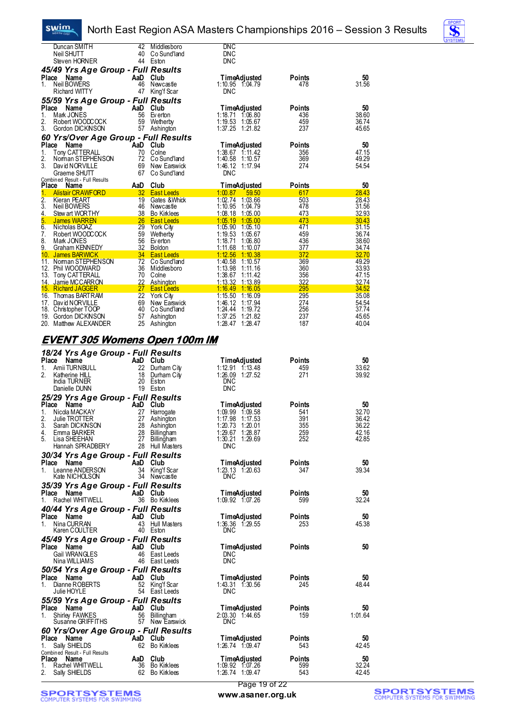#### swim. North East Region ASA Masters Championships 2016 – Session 3 Results

|                  | Duncan SMITH                           | 42       | Middlesboro            | <b>DNC</b>                               |               |                |
|------------------|----------------------------------------|----------|------------------------|------------------------------------------|---------------|----------------|
|                  | Neil SHUTT                             | 40       | Co Sund'land           | <b>DNC</b>                               |               |                |
|                  | Steven HORNER                          |          | 44 Eston               | <b>DNC</b>                               |               |                |
|                  | 45/49 Yrs Age Group - Full Results     |          |                        |                                          |               |                |
| Place            | Name                                   | AaD      | Club                   | TimeAdjusted                             | Points        | 50             |
| 1.               | Neil BOWERS                            | 46       | Newcastle              | $1:10.95$ $1:04.79$                      | 478           | 31.56          |
|                  | <b>Richard WITTY</b>                   | 47       | King'f Scar            | <b>DNC</b>                               |               |                |
|                  | 55/59 Yrs Age Group - Full Results     |          |                        |                                          |               |                |
| Place            | Name                                   | AaD      | Club                   | TimeAdjusted                             | <b>Points</b> | 50             |
| 1.               | Mark JONES                             | 56       | Ev erton               | $1:18.71$ $1:06.80$                      | 436           | 38.60          |
| 2.               | Robert WOODCOCK                        | 59       | Wetherby               | 1:19.53 1:05.67                          | 459           | 36.74          |
| 3.               | Gordon DICKNSON                        | 57       | Ashington              | $1:37.25$ $1:21.82$                      | 237           | 45.65          |
|                  | 60 Yrs/Over Age Group - Full Results   |          |                        |                                          |               |                |
| Place            | Name                                   |          | AaD Club               | TimeAdjusted                             | <b>Points</b> | 50             |
| 1.               | Tony CATTERALL                         | 70       | Colne                  | $1:38.67$ 1:11.42                        | 356           | 47.15          |
| 2.               | Noman STEPHENSON                       | 72       | Co Sund'land           | 1:40.58<br>1:10.57                       | 369           | 49.29          |
| 3.               | David NORVILLE                         | 69       | New Earswick           | 1:46.12 1:17.94                          | 274           | 54.54          |
|                  | Graeme SHUTT                           | 67       | Co Sund'Iand           | <b>DNC</b>                               |               |                |
| <b>Place</b>     | Combined Result - Full Results<br>Name | AaD      | Club                   | <b>TimeAdjusted</b>                      | <b>Points</b> | 50             |
| 1.               | <b>Alistair CRAWFORD</b>               | 32       | <b>East Leeds</b>      | 1:00.87<br>59.50                         | 617           | 28.43          |
| $\overline{2}$ . | <b>Kieran PEART</b>                    | 19       | Gates & Whick          | 1:02.74 1:03.66                          | 503           | 28.43          |
| 3.               | Neil BOWERS                            | 46       | Newcastle              | 1:10.95<br>1:04.79                       | 478           | 31.56          |
| 4.               | Stew art WORTHY                        | 38       | <b>Bo Kirklees</b>     | 1:08.18<br>1:05.00                       | 473           | 32.93          |
| 5.               | <b>James WARREN</b>                    | 26       | <b>East Leeds</b>      | 1:05.19<br>1:05.00                       | 473           | 30.43          |
| 6.               | Nicholas BOAZ                          | 29       | <b>York City</b>       | 1:05.90 1:05.10                          | 471           | 31.15          |
| 7.               | Robert WOODCOCK                        |          |                        |                                          |               |                |
|                  |                                        | 59       | Wetherby               | 1:19.53<br>1:05.67                       | 459           | 36.74          |
| 8.               | Mark JONES                             | 56       | Ev erton               | 1:18.71<br>1:06.80                       | 436           | 38.60          |
| 9.               | <b>Graham KENNEDY</b>                  | 32       | Boldon                 | 1:11.68<br>1:10.07                       | 377           | 34.74          |
| 10.              | James BARWICK                          | 34       | <b>East Leeds</b>      | 1:12.56<br>1:10.38                       | 372           | 32.70          |
|                  | 11. Noman STEPHENSON                   | 72       | Co Sund'land           | 1:40.58<br>1:10.57                       | 369           | 49.29          |
| 13.              | 12. Phil WOODWARD                      | 36<br>70 | Middlesboro<br>Colne   | 1:13.98<br>1:11.16<br>1:38.67<br>1:11.42 | 360<br>356    | 33.93<br>47.15 |
| 14.              | Tony CATTERALL<br>Jamie MCCARRON       | 22       | <b>Ashington</b>       | 1:13.32<br>1:13.89                       | 322           | 32.74          |
|                  | 15. Richard JAGGER                     | 27       | <b>East Leeds</b>      | 1:16.49<br>1:16.05                       | 295           | 34.52          |
|                  | 16. Thomas BARTRAM                     | 22       | York City              | 1:15.50<br>1:16.09                       | 295           | 35.08          |
| 17.              | David NORVILLE                         | 69       | New Earswick           | 1:46.12<br>1:17.94                       | 274           | 54.54          |
| 18.              | Christopher TOOP                       | 40       | Co Sund'land           | 1:24.44<br>1:19.72                       | 256           | 37.74          |
| 19.<br>20.       | Gordon DICKNSON<br>Matthew ALEXANDER   | 57<br>25 | Ashington<br>Ashington | 1:37.25<br>1:21.82<br>1:28.47<br>1:28.47 | 237<br>187    | 45.65<br>40.04 |

#### **EVENT 305 Womens Open 100m IM**

| 18/24 Yrs Age Group - Full Results               |           |                                |                                            |               |             |
|--------------------------------------------------|-----------|--------------------------------|--------------------------------------------|---------------|-------------|
| Place<br>Name                                    | AaD Club  |                                | <b>TimeAdjusted</b>                        | Points        | 50          |
| Amii TURNBULL<br>1.                              |           | 22 Durham City                 | $1:12.91$ $1:13.48$                        | 459           | 33.62       |
| 2.<br>Katherine HILL                             |           | 18 Durham City                 | 1:26.09 1:27.52                            | 271           | 39.92       |
| India TURNER<br>Danielle DUNN                    |           | 20 Eston<br>19 Eston           | <b>DNC</b><br>DNC                          |               |             |
|                                                  |           |                                |                                            |               |             |
| 25/29 Yrs Age Group - Full Results<br>Place Name |           | AaD Club                       |                                            | <b>Points</b> | 50          |
| 1.<br>Nicola MACKAY                              | 27        | Harrogate                      | <b>TimeAdjusted</b><br>$1:09.99$ $1:09.58$ | 541           | 32.70       |
| 2.<br>Julie TROTTER                              |           | 27 Ashington                   | 1:17.98 1:17.53                            | 391           | 36.42       |
| 3.<br>Sarah DICKNSON                             |           | 28 Ashington                   | $1:20.73$ $1:20.01$                        | 355           | 36.22       |
| 4.<br>Emma BARKER                                |           | 28 Billingham                  | 1:29.67 1:28.87                            | 259           | 42.16       |
| 5.<br>Lisa SHEEHAN                               | 27        | Billingham                     | 1:30.21 1:29.69                            | 252           | 42.85       |
| Hannah SPRADBERY                                 |           | 28 Hull Masters                | <b>DNC</b>                                 |               |             |
| 30/34 Yrs Age Group - Full Results               |           |                                |                                            |               |             |
| Place Name<br>$1_{-}$                            | AaD Club  |                                | <b>TimeAdjusted</b>                        | Points<br>347 | 50<br>39.34 |
| Leanne ANDERSON<br>Kate NICHOLSON                |           | 34 King'f Scar<br>34 Newcastle | $1:23.13 \quad 1:20.63$<br>DNC             |               |             |
| 35/39 Yrs Age Group - Full Results               |           |                                |                                            |               |             |
| Place<br>Name                                    | AaD Club  |                                | <b>TimeAdjusted</b>                        | <b>Points</b> | 50          |
| Rachel WHITWELL<br>1.                            |           | 36 Bo Kirklees                 | $1:09.92 \quad 1:07.26$                    | 599           | 32.24       |
| 40/44 Yrs Age Group - Full Results               |           |                                |                                            |               |             |
| Place Name                                       |           | AaD Club                       | <b>TimeAdjusted</b>                        | <b>Points</b> | 50          |
| Nina CURRAN<br>1.                                |           | 43 Hull Masters                | $1:36.36$ $1:29.55$                        | 253           | 45.38       |
| Karen COULTER                                    |           | 40 Eston                       | DNC                                        |               |             |
| 45/49 Yrs Age Group - Full Results               |           |                                |                                            |               |             |
| Place<br>Name                                    | AaD Club  |                                | <b>TimeAdjusted</b>                        | <b>Points</b> | 50          |
| <b>Gail WRANGLES</b>                             |           | 46 East Leeds                  | <b>DNC</b>                                 |               |             |
| Nina WILLIAMS                                    |           | 46 East Leeds                  | <b>DNC</b>                                 |               |             |
| 50/54 Yrs Age Group - Full Results               |           |                                |                                            |               |             |
| Place Name<br>Dianne ROBERTS<br>1.               | AaD Club  | 52 King'f Scar                 | <b>TimeAdjusted</b><br>1:43.31 1:30.56     | Points<br>245 | 50<br>48.44 |
| Julie HOYLE                                      |           | 54 East Leeds                  | <b>DNC</b>                                 |               |             |
| 55/59 Yrs Age Group - Full Results               |           |                                |                                            |               |             |
| Place<br>Name                                    |           | AaD Club                       | <b>TimeAdjusted</b>                        | <b>Points</b> | 50          |
| <b>Shirley FAWKES</b><br>1.                      |           | 56 Billingham                  | 2:03.30 1:44.65                            | 159           | 1:01.64     |
| Susanne GRIFFITHS                                |           | 57 New Earswick                | DNC                                        |               |             |
| 60 Yrs/Over Age Group - Full Results             |           |                                |                                            |               |             |
| Place Name                                       | `AaD Club |                                | <b>TimeAdjusted</b>                        | <b>Points</b> | 50          |
| Sally SHIELDS<br>1.                              |           | 62 Bo Kirklees                 | $1:26.74$ $1:09.47$                        | 543           | 42.45       |
| Combined Result - Full Results<br>Place<br>Name  | AaD Club  |                                | <b>TimeAdiusted</b>                        | Points        | 50          |
| Rachel WHITWELL<br>1.                            |           | 36 Bo Kirklees                 | 1:09.92 1:07.26                            | 599           | 32.24       |
| 2.<br>Sally SHIELDS                              |           | 62 Bo Kirklees                 | 1:26.74 1:09.47                            | 543           | 42.45       |
|                                                  |           |                                |                                            |               |             |

**SPORTSYSTEMS**<br>COMPUTER SYSTEMS FOR SWIMMING

Page 19 of 22 **www.asaner.org.uk**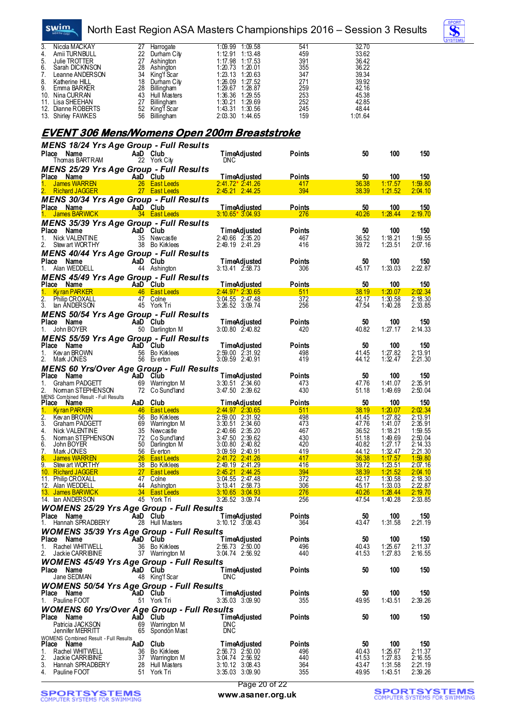North East Region ASA Masters Championships 2016 – Session 3 Results



|                                                               |                                              |                                                                 |                                                       | <u>INONII LASEINGOMI AOA MIASIGIS OTIAMIpionships Z0 T0 – OCSSION O NCSUIIS</u> |                |                    |                        |
|---------------------------------------------------------------|----------------------------------------------|-----------------------------------------------------------------|-------------------------------------------------------|---------------------------------------------------------------------------------|----------------|--------------------|------------------------|
| 3.<br>Nicola MACKAY                                           | 27                                           | Harrogate                                                       | $1:09.99$ $1:09.58$                                   | 541                                                                             | 32.70          |                    |                        |
| 4.<br>Amii TURNBULL<br>$\frac{5}{6}$<br>Julie TROTTER         | 22                                           | Durham City<br>27 Ashington                                     | $1:12.91$ $1:13.48$<br>1:17.98 1:17.53                | 459<br>391                                                                      | 33.62<br>36.42 |                    |                        |
| Sarah DICKNSON                                                |                                              | 28 Ashington                                                    | 1:20.73 1:20.01                                       | 355                                                                             | 36.22          |                    |                        |
| 7.<br>Leanne ANDERSON<br>8.<br>Katherine HILL                 |                                              | 34 King'f Scar<br>18 Durham City                                | 1:23.13 1:20.63<br>1:26.09 1:27.52                    | 347<br>271                                                                      | 39.34<br>39.92 |                    |                        |
| 9.<br>Emma BARKER                                             |                                              | 28 Billingham                                                   | 1:29.67 1:28.87                                       | 259                                                                             | 42.16          |                    |                        |
| 10. Nina CURRAN<br>11. Lisa SHEEHAN                           |                                              | 43 Hull Masters<br>27 Billingham                                | 1:36.36 1:29.55<br>1:30.21 1:29.69                    | 253<br>252                                                                      | 45.38<br>42.85 |                    |                        |
| 12. Dianne ROBERTS                                            |                                              | 52 King'f Scar                                                  | 1:43.31 1:30.56                                       | 245                                                                             | 48.44          |                    |                        |
| 13. Shirley FAWKES                                            |                                              | 56 Billingham                                                   | 2:03.30 1:44.65                                       | 159                                                                             | 1:01.64        |                    |                        |
|                                                               |                                              | <u>EVENT 306 Mens/Womens Open 200m Breaststroke</u>             |                                                       |                                                                                 |                |                    |                        |
|                                                               |                                              |                                                                 |                                                       |                                                                                 |                |                    |                        |
| Place Name                                                    |                                              | <b>MENS 18/24 Yrs Age Group - Full Results</b><br>AaD Club      | <b>TimeAdjusted</b>                                   | <b>Points</b>                                                                   | 50             | 100                | 150                    |
| Thomas BARTRAM                                                |                                              | 22 York City                                                    | <b>DNC</b>                                            |                                                                                 |                |                    |                        |
|                                                               |                                              | <b>MENS 25/29 Yrs Age Group - Full Results</b>                  |                                                       |                                                                                 |                |                    |                        |
| Place Name<br><b>James WARREN</b>                             |                                              | AaD Club<br>26 East Leeds                                       | <b>TimeAdjusted</b><br>$2:41.72*2:41.26$              | Points<br>417                                                                   | 50<br>36.38    | 100<br>1:17.57     | 150<br>1:59.80         |
| 2. Richard JAGGER                                             |                                              | 27 East Leeds                                                   | $2:45.21$ $2:44.25$                                   | 394                                                                             | 38.39          | 1:21.52            | 2:04.10                |
|                                                               |                                              | <b>MENS 30/34 Yrs Age Group - Full Results</b>                  |                                                       |                                                                                 |                |                    |                        |
| Place Name<br>James BARWICK                                   |                                              | AaD Club<br>34 East Leeds                                       | TimeAdjusted<br>$3:10.65*3.04.93$                     | <u>Points</u><br>276                                                            | 50<br>40.26    | 100<br>1:28.44     | <u>150</u><br>2:19.70  |
|                                                               |                                              | <b>MENS 35/39 Yrs Age Group - Full Results</b>                  |                                                       |                                                                                 |                |                    |                        |
| Place Name                                                    |                                              | AaD Club                                                        | <b>TimeAdjusted</b>                                   | Points                                                                          | 50             | 100                | 150                    |
| Nick VALENTINE<br>1.<br>Stew art WORTHY<br>2.                 |                                              | 35 Newcastle<br>38 Bo Kirklees                                  | $2:40.66$ $2:35.20$<br>2:49.19 2:41.29                | 467<br>416                                                                      | 36.52<br>39.72 | 1:18.21<br>1:23.51 | 1:59.55<br>2:07.16     |
|                                                               |                                              | <b>MENS 40/44 Yrs Age Group - Full Results</b>                  |                                                       |                                                                                 |                |                    |                        |
| Place<br>Name                                                 |                                              | AaD Club                                                        | <b>TimeAdjusted</b>                                   | <b>Points</b>                                                                   | 50             | 100                | $150$<br>2:22.87       |
| Alan WEDDELL<br>1.                                            |                                              | 44 Ashington                                                    | $3:13.41$ $2:58.73$                                   | 306                                                                             | 45.17          | 1:33.03            |                        |
| Place Name                                                    |                                              | <b>MENS 45/49 Yrs Age Group - Full Results</b><br>AaD Club      | <b>TimeAdjusted</b>                                   | Points                                                                          | 50             | 100                | <b>150</b>             |
| Ky ran PARKER<br>1.                                           |                                              | 46 East Leeds                                                   | $2:44.97*2:30.65$                                     | 511                                                                             | 38.19          | 1:20.07            | 2:02.34                |
| $\frac{2}{3}$ .<br>Philip CROXALL<br>lan ANDERSON             |                                              | 47 Colne<br>45 York Tri                                         | $3:04.55$ $2:47.48$<br>3:26.52 3:09.74                | 372<br>256                                                                      | 42.17<br>47.54 | 1:30.58<br>1:40.28 | 2:18.30<br>2:33.85     |
|                                                               |                                              | <b>MENS 50/54 Yrs Age Group - Full Results</b>                  |                                                       |                                                                                 |                |                    |                        |
| Place<br>Name                                                 |                                              | AaD Club                                                        | <b>TimeAdjusted</b>                                   | Points                                                                          | 50             | 100                | 150                    |
| John BOYER<br>1.                                              |                                              | 50 Darlington M                                                 | $3:00.80$ $2:40.82$                                   | 420                                                                             | 40.82          | 1:27.17            | 2:14.33                |
| Place<br>Name                                                 |                                              | <b>MENS 55/59 Yrs Age Group - Full Results</b><br>AaD Club      | <b>TimeAdjusted</b>                                   | Points                                                                          | 50             | 100                | 150                    |
| Kev an BROWN<br>1.                                            |                                              | 56 Bo Kirklees                                                  | $2:59.00$ $2:31.92$                                   | 498                                                                             | 41.45          | 1:27.82            | 2:13.91<br>2:21.30     |
| 2.<br>Mark JONES                                              |                                              | 56 Everton                                                      | 3:09.59 2:40.91                                       | 419                                                                             | 44.12          | 1:32.47            |                        |
| Place<br>Name                                                 |                                              | MENS 60 Yrs/Over Age Group - Full Results<br>- AaD Club         | <b>TimeAdjusted</b>                                   | Points                                                                          | 50             | 100                | 150                    |
| Graham PADGETT<br>1.                                          |                                              | 69 Warrington M                                                 | $3:30.51$ $2:34.60$                                   | 473                                                                             | 47.76          | 1:41.07            | 2:35.91                |
| 2.<br>Noman STEPHENSON<br>MENS Combined Result - Full Results |                                              | 72 Co Sund'land                                                 | 3:47.50 2:39.62                                       | 430                                                                             | 51.18          | 1:49.69            | 2:50.04                |
| Place Name                                                    |                                              | AaD Club                                                        | <u>TimeAdjusted</u>                                   | Points                                                                          | 50             | 100                | <u>150</u>             |
| <u>1. Kyran PARKER</u><br>2.<br>Kev an BROWN                  | 56                                           | 46 East Leeds<br><b>Bo Kirklees</b>                             | 2:44.97 2:30.65<br>2:59.00 2:31.92                    | 511<br>498                                                                      | 38.19<br>41.45 | 1:20.07<br>1:27.82 | 2:02.34<br>2:13.91     |
| 3.<br>Graham PADGETT                                          | 69                                           | Warrington M                                                    | 3:30.51 2:34.60                                       | 473                                                                             | 47.76          | 1:41.07            | 2:35.91                |
| Nick VALENTINE<br>4.<br>5.                                    | 72                                           | 35 Newcastle                                                    | 2:40.66 2:35.20                                       | 467<br>430                                                                      | 36.52<br>51.18 | 1:18.21            | 1:59.55                |
| Noman STEPHENSON<br>6.<br>John BOYER                          |                                              | Co Sund'land<br>50 Darlington M                                 | $3:47.50$ $2:39.62$<br>$3:00.80$ $\overline{2:40.82}$ | 420                                                                             | 40.82          | 1:49.69<br>1:27.17 | $2:50.04$<br>$2:14.33$ |
| 7.<br>Mark JONES<br><b>James WARREN</b>                       |                                              | 56 Everton                                                      | $3:09.59$ $2:40.91$                                   | 419                                                                             | 44.12          | 1:32.47            | 2:21.30                |
| 8.<br>9.<br>Stew art WORTHY                                   |                                              | 26 East Leeds<br>38 Bo Kirklees                                 | $2:41.72$ $2:41.26$<br>2:49.19 2:41.29                | 417<br>416                                                                      | 36.38<br>39.72 | 1:17.57<br>1:23.51 | 1:59.80<br>2:07.16     |
| 10. Richard JAGGER                                            |                                              | 27 East Leeds                                                   | $2:45.21$ $2:44.25$                                   | 394                                                                             | 38.39          | 1:21.52            | 2:04.10                |
| 11. Philip CROXALL<br>12. Alan WEDDELL                        | 44                                           | 47 Colne<br>Ashington                                           | $3:04.55$ $2:47.48$<br>3:13.41 2:58.73                | 372<br>306                                                                      | 42.17<br>45.17 | 1:30.58<br>1:33.03 | 2:18.30<br>2:22.87     |
| <u>13. James BARWICK</u>                                      |                                              | 34 East Leeds                                                   | $3:10.65$ $3:04.93$                                   | 276                                                                             | 40.26          | 1:28.44            | 2:19.70                |
| 14. Ian ANDERSON                                              |                                              | 45 York Tri<br><b>WOMENS 25/29 Yrs Age Group - Full Results</b> | $3:26.52$ $3:09.74$                                   | 256                                                                             | 47.54          | 1:40.28            | 2:33.85                |
| Place<br>Name                                                 |                                              | AaD Club                                                        | <b>TimeAdjusted</b>                                   | Points                                                                          | 50             | 100                | 150                    |
| Hannah SPRADBERY<br>1.                                        |                                              | 28 Hull Masters                                                 | $3:10.12$ $3:08.43$                                   | 364                                                                             | 43.47          | 1:31.58            | 2:21.19                |
|                                                               |                                              | <b>WOMENS 35/39 Yrs Age Group - Full Results</b>                |                                                       |                                                                                 |                |                    |                        |
| Place<br>Name<br>Rachel WHITWELL<br>1.                        |                                              | AaD Club<br>36 Bo Kirklees                                      | <b>TimeAdjusted</b><br>$2:56.73$ $2:50.00$            | Points<br>496                                                                   | 50<br>40.43    | 100<br>1:25.67     | 150<br>2:11.37         |
| 2.<br>Jackie CARRIBINE                                        |                                              | 37 Warrington M                                                 | $3:04.74$ $2:56.92$                                   | 440                                                                             | 41.53          | 1:27.83            | 2:16.55                |
|                                                               |                                              | <b>WOMENS 45/49 Yrs Age Group - Full Results</b>                |                                                       |                                                                                 |                |                    |                        |
| Place Name<br>Jane SEDMAN                                     |                                              | AaD Club<br>48 King'f Scar                                      | <b>TimeAdjusted</b><br><b>DNC</b>                     | Points                                                                          | 50             | 100                | 150                    |
|                                                               |                                              | <b>WOMENS 50/54 Yrs Age Group - Full Results</b>                |                                                       |                                                                                 |                |                    |                        |
| Place<br>Name                                                 |                                              | AaD Club                                                        | <b>TimeAdjusted</b>                                   | Points                                                                          | 50             | 100                | 150                    |
| Pauline FOOT<br>1.                                            |                                              | 51 York Tri                                                     | $3:35.03$ $3:09.90$                                   | 355                                                                             | 49.95          | 1:43.51            | 2:39.26                |
| Place<br>Name                                                 |                                              | <b>WOMENS 60 Yrs/Over Age Group - Full Results</b><br>AaD Club  | <b>TimeAdjusted</b>                                   | Points                                                                          | 50             | 100                | 150                    |
| Patricia JACKSON                                              | 69                                           | Warrington M                                                    | <b>DNC</b>                                            |                                                                                 |                |                    |                        |
| Jennifer MERRITT                                              | <b>WOMENS Combined Result - Full Results</b> | 65 Spondon Mast                                                 | <b>DNC</b>                                            |                                                                                 |                |                    |                        |
| Place<br>Name                                                 |                                              | AaD Club                                                        | <b>TimeAdjusted</b>                                   | Points                                                                          | 50             | 100                | 150                    |
| Rachel WHITWELL<br>1.<br>2.<br>Jackie CARRIBINE               |                                              | 36 Bo Kirklees<br>37 Warrington M                               | $2:56.73$ $2:50.00$<br>3:04.74 2:56.92                | 496<br>440                                                                      | 40.43<br>41.53 | 1:25.67<br>1:27.83 | $2:11.37$<br>$2:16.55$ |
| 3.<br>Hannah SPRADBERY                                        | 28                                           | Hull Masters                                                    | $3:10.12$ $3:08.43$                                   | 364                                                                             | 43.47          | 1:31.58            | 2:21.19                |
| 4. Pauline FOOT                                               |                                              | 51 York Tri                                                     | $3:35.03$ $3:09.90$                                   | 355                                                                             | 49.95          | 1:43.51            | 2:39.26                |

**SPORTSYSTEMS**<br>COMPUTER SYSTEMS FOR SWIMMING

swim.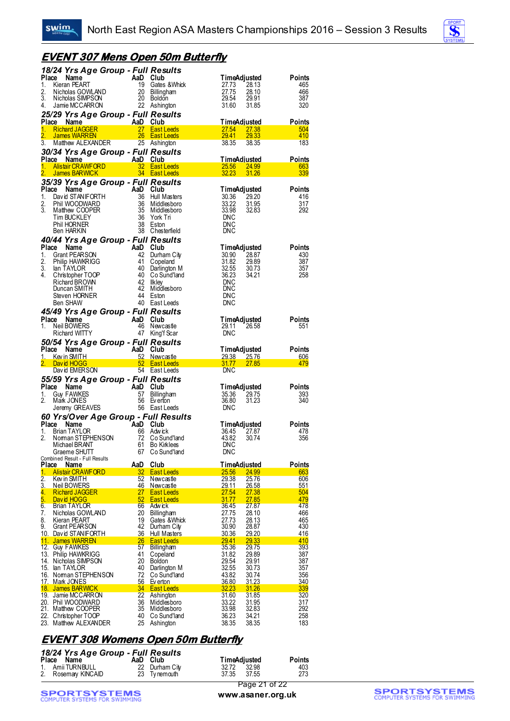

#### **EVENT 307 Mens Open 50m Butterfly**

|               | 18/24 Yrs Age Group - Full Results                                                                                                                                                                                                   |            |                 |                                                                               |                       |                                     |               |
|---------------|--------------------------------------------------------------------------------------------------------------------------------------------------------------------------------------------------------------------------------------|------------|-----------------|-------------------------------------------------------------------------------|-----------------------|-------------------------------------|---------------|
| Place         | Name                                                                                                                                                                                                                                 | $AaD_{10}$ |                 | Club                                                                          |                       | <b>TimeAdjusted</b>                 | Points        |
| 1.<br>2.      | Kieran PEART<br>Nicholas GOWLAND                                                                                                                                                                                                     |            | 19<br>20        | Gates & Whick<br>Billingham                                                   | 27.73<br>27.75        | 28.13<br>28.10                      | 465<br>466    |
| 3.            | Nicholas SIMPSON                                                                                                                                                                                                                     |            | 20              | Boldon                                                                        | 29.54                 | 29.91                               | 387           |
| 4.            | Jamie MCCARRON                                                                                                                                                                                                                       |            |                 | 22 Ashington                                                                  | 31.60                 | 31.85                               | 320           |
|               | 25/29 Yrs Age Group - Full Results                                                                                                                                                                                                   |            |                 |                                                                               |                       |                                     |               |
|               | Place Name                                                                                                                                                                                                                           |            | AaD Club        |                                                                               |                       | <b>TimeAdjusted</b>                 | <b>Points</b> |
| 1.<br>2.      | <b>Richard JAGGER</b><br><b>James WARREN</b>                                                                                                                                                                                         |            | 27<br>26        | <b>East Leeds</b><br><b>East Leeds</b>                                        | 27.54<br>29.41        | 27.38<br>29.33                      | 504<br>410    |
| 3.            | Matthew ALEXANDER                                                                                                                                                                                                                    |            | 25              | Ashington                                                                     | 38.35                 | 38.35                               | 183           |
|               | 30/34 Yrs Age Group - Full Results                                                                                                                                                                                                   |            |                 |                                                                               |                       |                                     |               |
|               | Place Name                                                                                                                                                                                                                           |            | AaD Club        |                                                                               |                       | <b>TimeAdjusted</b>                 | Points        |
| 1.            | <b>e Name</b><br>Alistair CRAWFORD                                                                                                                                                                                                   |            | 32 <sub>2</sub> | <b>East Leeds</b>                                                             | 25.56                 | 24.99                               | 663           |
| 2.            | <b>James BARWICK</b>                                                                                                                                                                                                                 |            |                 | 34 East Leeds                                                                 | 32.23                 | 31.26                               | 339           |
|               | 35/39 Yrs Age Group - Full Results                                                                                                                                                                                                   |            |                 |                                                                               |                       |                                     |               |
| Place<br>1.   |                                                                                                                                                                                                                                      |            | AaD Club<br>36  | Hull Masters                                                                  | 30.36                 | TimeAdjusted<br>29.20               | Points<br>416 |
| 2.            |                                                                                                                                                                                                                                      |            | 36              | Middlesboro                                                                   | 33.22                 | 31.95                               | 317           |
| 3.            |                                                                                                                                                                                                                                      |            | $\frac{35}{36}$ | Middlesboro                                                                   | 33.98                 | 32.83                               | 292           |
|               | <b>CONTRACT CONTRACT CONTRACT CONTRACT CONTRACT CONTRACT CONTRACT CONTRACT CONTRACT CONTRACT CONTRACT CONTRACT CONTRACT CONTRACT CONTRACT CONTRACT CONTRACT CONTRACT CONTRACT CONTRACT CONTRACT CONTRACT CONTRACT CONTRACT CONTR</b> |            |                 | York Tri                                                                      | DNC                   |                                     |               |
|               | Ben HARKIN                                                                                                                                                                                                                           |            |                 | 38 Eston<br>38 Chesterfield                                                   | <b>DNC</b><br>DNC     |                                     |               |
|               | 40/44 Yrs Age Group - Full Results                                                                                                                                                                                                   |            |                 |                                                                               |                       |                                     |               |
| Place         | Name                                                                                                                                                                                                                                 |            | AaD Club        |                                                                               |                       | <b>TimeAdjusted</b>                 | Points        |
| 1.            | Grant PEARSON                                                                                                                                                                                                                        |            | 42              | Durham City                                                                   | 30.90                 | 28.87                               | 430           |
| 2.            | Philip HAWKRIGG                                                                                                                                                                                                                      |            | 41              | Copeland                                                                      | 31.82                 | 29.89                               | 387           |
| 3.<br>4.      | lan TAYLOR                                                                                                                                                                                                                           |            | 40<br>40        | Darlington M                                                                  | 32.55                 | 30.73                               | 357           |
|               | Christopher TOOP<br>Richard BROWN                                                                                                                                                                                                    |            | 42              | Co Sund'land<br><b>Ilkley</b>                                                 | 36.23<br>DNC          | 34.21                               | 258           |
|               | Duncan SMITH                                                                                                                                                                                                                         |            | -42             | Middlesboro                                                                   | DNC                   |                                     |               |
|               | Steven HORNER                                                                                                                                                                                                                        |            | -44             | Eston                                                                         | DNC                   |                                     |               |
|               | Ben SHAW                                                                                                                                                                                                                             |            | 40              | East Leeds                                                                    | DNC                   |                                     |               |
|               | 45/49 Yrs Age Group - Full Results                                                                                                                                                                                                   |            |                 |                                                                               |                       |                                     |               |
| 1.            | Place Name<br>Neil BOWERS                                                                                                                                                                                                            |            | AaD<br>46       | Club                                                                          |                       | <b>TimeAdjusted</b>                 | Points        |
|               | Richard WITTY                                                                                                                                                                                                                        |            | 47              | Newcastle<br>King'f Scar                                                      | 29.11<br><b>DNC</b>   | 26.58                               | 551           |
|               | 50/54 Yrs Age Group - Full Results                                                                                                                                                                                                   |            |                 |                                                                               |                       |                                     |               |
|               |                                                                                                                                                                                                                                      |            |                 |                                                                               |                       |                                     |               |
|               |                                                                                                                                                                                                                                      |            | AaD             | Club                                                                          |                       |                                     |               |
|               | Place Name<br>Kev in SMITH                                                                                                                                                                                                           |            | <u>52</u>       | <u>Newcastle</u>                                                              | <u>29.38</u>          | <b>TimeAdjusted</b><br><u>25.76</u> | Points<br>606 |
|               | David HOGG                                                                                                                                                                                                                           |            | 52              | <b>East Leeds</b>                                                             | 31.77                 | 27.85                               | 479           |
|               | David EMERSON                                                                                                                                                                                                                        |            |                 | 54 East Leeds                                                                 | <b>DNC</b>            |                                     |               |
|               | 55/59 Yrs Age Group - Full Results                                                                                                                                                                                                   |            |                 |                                                                               |                       |                                     |               |
|               | Place Name                                                                                                                                                                                                                           |            | AaD             | Club                                                                          |                       | <b>TimeAdjusted</b>                 | Points        |
| 1.<br>2.      | <b>Guy FAWKES</b><br>Mark JONES                                                                                                                                                                                                      |            | 57<br>56        | Billingham<br>Ev erton                                                        | 35.36<br>36.80        | 29.75<br>31.23                      | 393<br>340    |
|               | Jeremy GREAVES                                                                                                                                                                                                                       |            |                 | 56 East Leeds                                                                 | DNC                   |                                     |               |
|               |                                                                                                                                                                                                                                      |            |                 |                                                                               |                       |                                     |               |
|               |                                                                                                                                                                                                                                      |            |                 | 60 Yrs/Over Age Group - Full Results<br>Place Name AaD Club<br>1 Prior TAYLOP |                       | TimeAdjusted                        | Points        |
| 1.            | <b>Brian TAYLOR</b>                                                                                                                                                                                                                  |            | 66              | Adwick                                                                        | 36.45                 | 27.87                               | 478           |
| 2.            | Noman STEPHENSON<br>Michael BRANT                                                                                                                                                                                                    |            | 72<br>61        | Co Sund'Iand<br><b>Bo Kirklees</b>                                            | 43.82<br><b>DNC</b>   | 30.74                               | 356           |
|               | Graeme SHUTT                                                                                                                                                                                                                         |            | 67              | Co Sund'land                                                                  | DNC                   |                                     |               |
|               | Combined Result - Full Results                                                                                                                                                                                                       |            |                 |                                                                               |                       |                                     |               |
| Place         | Name                                                                                                                                                                                                                                 |            | AaD             | Club                                                                          |                       | TimeAdjusted                        | Points        |
| 1.            | <b>Alistair CRAWFORD</b><br>Kev in SMITH                                                                                                                                                                                             |            | 32<br>52        | <b>East Leeds</b><br>Newcastle                                                | <b>25.56</b><br>29.38 | 24.99<br>25.76                      | 663<br>606    |
| $\frac{2}{3}$ | Neil BOWERS                                                                                                                                                                                                                          |            | 46              | <b>Newcastle</b>                                                              | 29.11                 | 26.58                               | <u>551</u>    |
| 4.            | <b>Richard JAGGER</b>                                                                                                                                                                                                                |            | 27              | <b>East Leeds</b>                                                             | 27.54                 | 27.38                               | 504           |
| 5.            | David HOGG                                                                                                                                                                                                                           |            | 52              | <b>East Leeds</b>                                                             | 31.77                 | 27.85                               | 479           |
| 6.<br>7.      | <b>Brian TAYLOR</b><br>Nicholas GOWLAND                                                                                                                                                                                              |            | 66<br>20        | Adwick<br>Billingham                                                          | 36.45<br>27.75        | 27.87<br>28.10                      | 478<br>466    |
| 8.            | Kieran PEART                                                                                                                                                                                                                         |            | 19              | Gates & Whick                                                                 | 27.73                 | 28.13                               | 465           |
| 9.            | Grant PEARSON                                                                                                                                                                                                                        |            | 42              | Durham City                                                                   | 30.90                 | 28.87                               | 430           |
|               | 10. David STANIFORTH<br><u>11. James WARREN</u>                                                                                                                                                                                      |            | 36<br><u>26</u> | Hull Masters<br><b>East Leeds</b>                                             | 30.36                 | 29.20                               | 416<br>410    |
| 12.           | <b>Guy FAWKES</b>                                                                                                                                                                                                                    |            | 57              | <b>Billingham</b>                                                             | <u>29.41</u><br>35.36 | 29.33<br>29.75                      | 393           |
| 13.           | <b>Philip HAWKRIGG</b>                                                                                                                                                                                                               |            | 41              | Copeland                                                                      | 31.82                 | 29.89                               | 387           |
| 14.           | Nicholas SIMPSON                                                                                                                                                                                                                     |            | 20              | Boldon                                                                        | 29.54                 | 29.91                               | 387           |
|               | 15. Ian TAYLOR<br>16. Noman STEPHENSON                                                                                                                                                                                               |            | 40<br>72        | Darlington M<br>Co Sund'land                                                  | 32.55<br>43.82        | 30.73<br>30.74                      | 357<br>356    |
| <u> 17.  </u> | Mark JONES                                                                                                                                                                                                                           |            | 56              | Ev erton                                                                      | 36.80                 | 31.23                               | 340           |
|               | 18. James BARWICK                                                                                                                                                                                                                    |            | 34              | <b>East Leeds</b>                                                             | 32.23                 | 31.26                               | 339           |
|               | 19. Jamie MCCARRON                                                                                                                                                                                                                   |            | 22              | Ashington                                                                     | 31.60                 | 31.85                               | 320           |
|               | 20. Phil WOODWARD                                                                                                                                                                                                                    |            | 36<br>35        | Middlesboro<br>Middlesboro                                                    | 33.22<br>33.98        | 31.95<br>32.83                      | 317<br>292    |
| 22.           | 21. Matthew COOPER<br>Christopher TOOP<br>23. Matthew ALEXANDER                                                                                                                                                                      |            | 40<br>25        | Co Sund'land<br>Ashington                                                     | 36.23<br>38.35        | 34.21<br>38.35                      | 258<br>183    |

#### **EVENT 308 Womens Open 50m Butterfly**

| 18/24 Yrs Age Group - Full Results<br>Place Name | AaD Club |                                | <b>TimeAdjusted</b> |                | <b>Points</b> |
|--------------------------------------------------|----------|--------------------------------|---------------------|----------------|---------------|
| 1. Amii TURNBULL<br>2. Rosemary KINCAID          |          | 22 Durham City<br>23 Tynemouth | 32.72<br>37.35      | 32.98<br>37.55 | 403<br>273    |